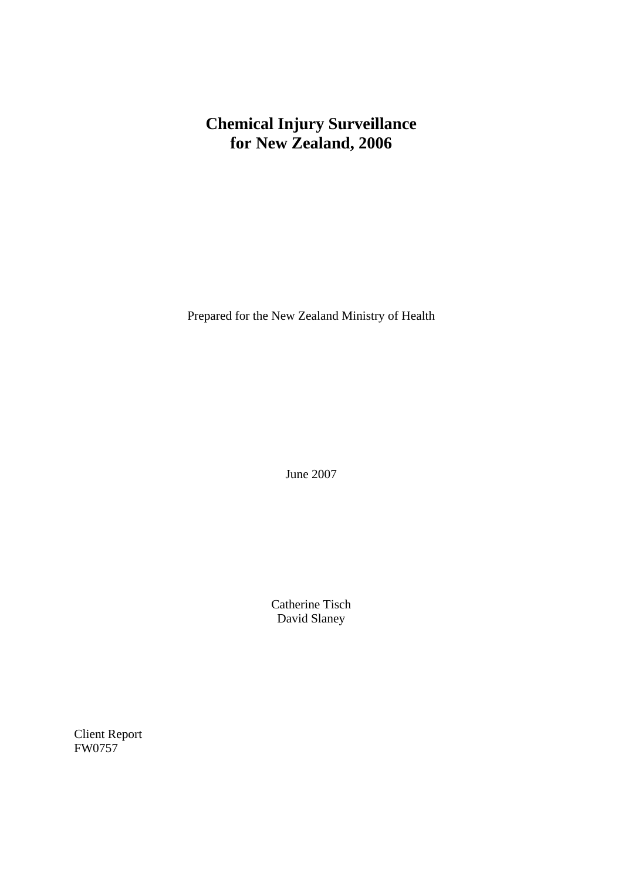# **Chemical Injury Surveillance for New Zealand, 2006**

Prepared for the New Zealand Ministry of Health

June 2007

Catherine Tisch David Slaney

Client Report FW0757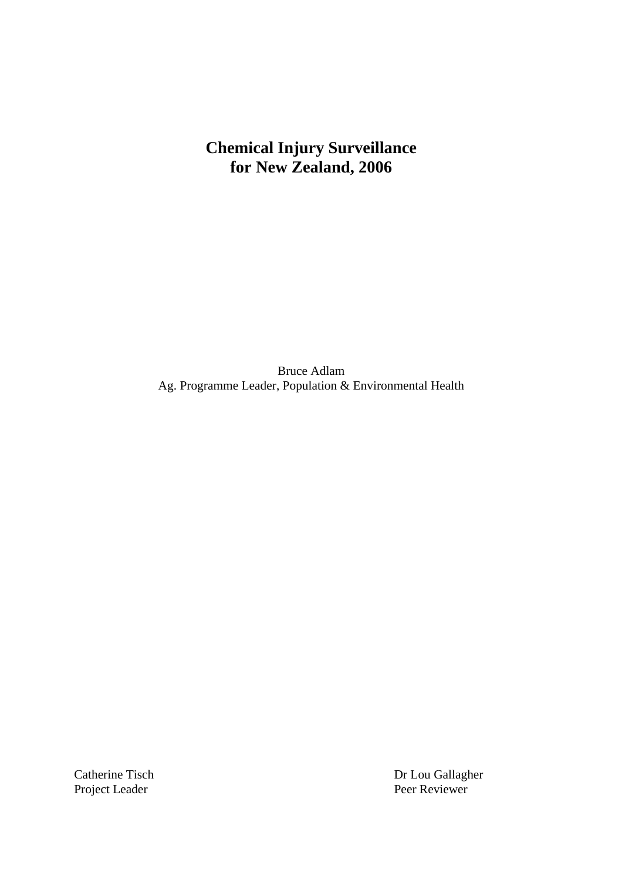# **Chemical Injury Surveillance for New Zealand, 2006**

Bruce Adlam Ag. Programme Leader, Population & Environmental Health

Project Leader

Catherine Tisch Dr Lou Gallagher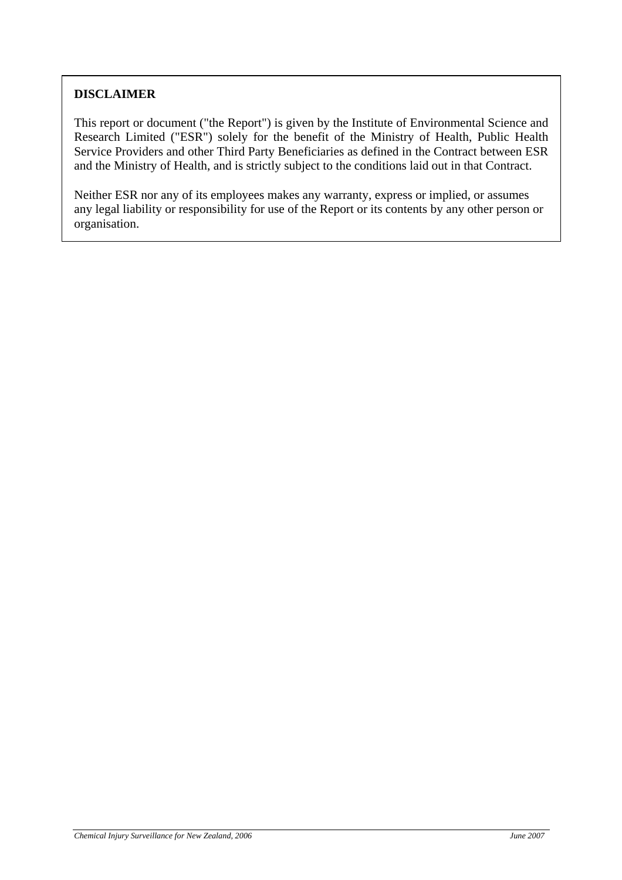### **DISCLAIMER**

This report or document ("the Report") is given by the Institute of Environmental Science and Research Limited ("ESR") solely for the benefit of the Ministry of Health, Public Health Service Providers and other Third Party Beneficiaries as defined in the Contract between ESR and the Ministry of Health, and is strictly subject to the conditions laid out in that Contract.

Neither ESR nor any of its employees makes any warranty, express or implied, or assumes any legal liability or responsibility for use of the Report or its contents by any other person or organisation.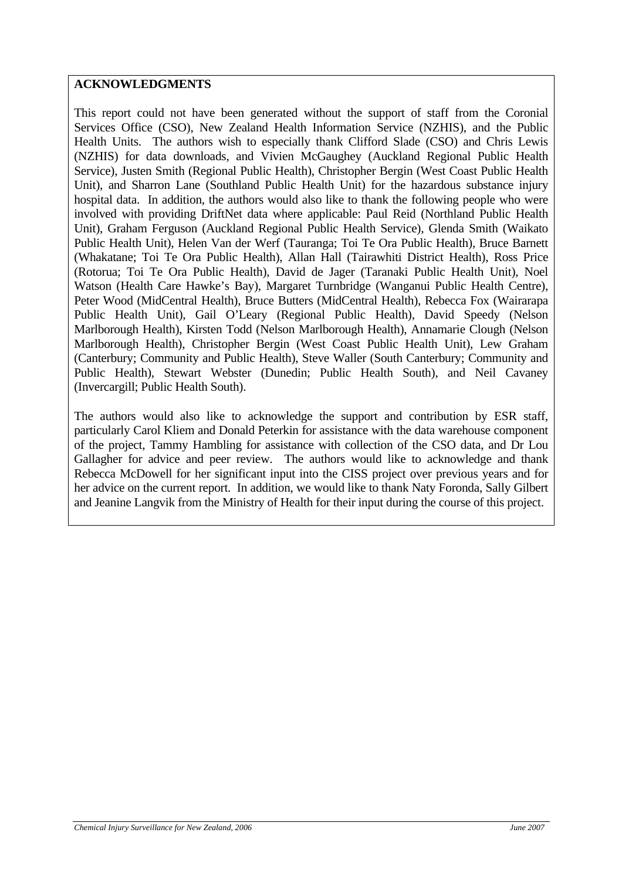#### **ACKNOWLEDGMENTS**

This report could not have been generated without the support of staff from the Coronial Services Office (CSO), New Zealand Health Information Service (NZHIS), and the Public Health Units. The authors wish to especially thank Clifford Slade (CSO) and Chris Lewis (NZHIS) for data downloads, and Vivien McGaughey (Auckland Regional Public Health Service), Justen Smith (Regional Public Health), Christopher Bergin (West Coast Public Health Unit), and Sharron Lane (Southland Public Health Unit) for the hazardous substance injury hospital data. In addition, the authors would also like to thank the following people who were involved with providing DriftNet data where applicable: Paul Reid (Northland Public Health Unit), Graham Ferguson (Auckland Regional Public Health Service), Glenda Smith (Waikato Public Health Unit), Helen Van der Werf (Tauranga; Toi Te Ora Public Health), Bruce Barnett (Whakatane; Toi Te Ora Public Health), Allan Hall (Tairawhiti District Health), Ross Price (Rotorua; Toi Te Ora Public Health), David de Jager (Taranaki Public Health Unit), Noel Watson (Health Care Hawke's Bay), Margaret Turnbridge (Wanganui Public Health Centre), Peter Wood (MidCentral Health), Bruce Butters (MidCentral Health), Rebecca Fox (Wairarapa Public Health Unit), Gail O'Leary (Regional Public Health), David Speedy (Nelson Marlborough Health), Kirsten Todd (Nelson Marlborough Health), Annamarie Clough (Nelson Marlborough Health), Christopher Bergin (West Coast Public Health Unit), Lew Graham (Canterbury; Community and Public Health), Steve Waller (South Canterbury; Community and Public Health), Stewart Webster (Dunedin; Public Health South), and Neil Cavaney (Invercargill; Public Health South).

The authors would also like to acknowledge the support and contribution by ESR staff, particularly Carol Kliem and Donald Peterkin for assistance with the data warehouse component of the project, Tammy Hambling for assistance with collection of the CSO data, and Dr Lou Gallagher for advice and peer review. The authors would like to acknowledge and thank Rebecca McDowell for her significant input into the CISS project over previous years and for her advice on the current report. In addition, we would like to thank Naty Foronda, Sally Gilbert and Jeanine Langvik from the Ministry of Health for their input during the course of this project.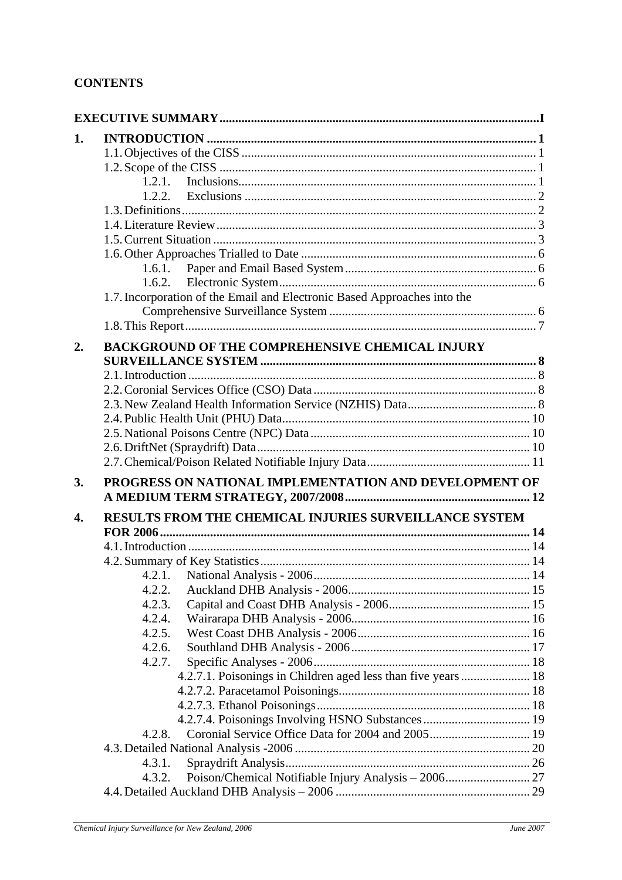#### **CONTENTS**

| 1.2.1.<br>1.6.1.<br>1.6.2.<br>1.7. Incorporation of the Email and Electronic Based Approaches into the<br>2.<br><b>BACKGROUND OF THE COMPREHENSIVE CHEMICAL INJURY</b><br>PROGRESS ON NATIONAL IMPLEMENTATION AND DEVELOPMENT OF<br>3.<br>RESULTS FROM THE CHEMICAL INJURIES SURVEILLANCE SYSTEM<br>4.2.2.<br>4.2.3.<br>4.2.4.<br>4.2.5.<br>4.2.6.<br>4.2.7.<br>4.2.7.1. Poisonings in Children aged less than five years  18<br>4.2.7.4. Poisonings Involving HSNO Substances  19<br>4.2.8.<br>4.3.1.<br>4.3.2. |    |  |
|------------------------------------------------------------------------------------------------------------------------------------------------------------------------------------------------------------------------------------------------------------------------------------------------------------------------------------------------------------------------------------------------------------------------------------------------------------------------------------------------------------------|----|--|
|                                                                                                                                                                                                                                                                                                                                                                                                                                                                                                                  | 1. |  |
|                                                                                                                                                                                                                                                                                                                                                                                                                                                                                                                  |    |  |
|                                                                                                                                                                                                                                                                                                                                                                                                                                                                                                                  |    |  |
|                                                                                                                                                                                                                                                                                                                                                                                                                                                                                                                  |    |  |
|                                                                                                                                                                                                                                                                                                                                                                                                                                                                                                                  |    |  |
|                                                                                                                                                                                                                                                                                                                                                                                                                                                                                                                  |    |  |
|                                                                                                                                                                                                                                                                                                                                                                                                                                                                                                                  |    |  |
|                                                                                                                                                                                                                                                                                                                                                                                                                                                                                                                  |    |  |
|                                                                                                                                                                                                                                                                                                                                                                                                                                                                                                                  |    |  |
|                                                                                                                                                                                                                                                                                                                                                                                                                                                                                                                  |    |  |
|                                                                                                                                                                                                                                                                                                                                                                                                                                                                                                                  |    |  |
|                                                                                                                                                                                                                                                                                                                                                                                                                                                                                                                  |    |  |
|                                                                                                                                                                                                                                                                                                                                                                                                                                                                                                                  |    |  |
|                                                                                                                                                                                                                                                                                                                                                                                                                                                                                                                  |    |  |
|                                                                                                                                                                                                                                                                                                                                                                                                                                                                                                                  |    |  |
|                                                                                                                                                                                                                                                                                                                                                                                                                                                                                                                  |    |  |
|                                                                                                                                                                                                                                                                                                                                                                                                                                                                                                                  |    |  |
|                                                                                                                                                                                                                                                                                                                                                                                                                                                                                                                  |    |  |
|                                                                                                                                                                                                                                                                                                                                                                                                                                                                                                                  |    |  |
|                                                                                                                                                                                                                                                                                                                                                                                                                                                                                                                  |    |  |
|                                                                                                                                                                                                                                                                                                                                                                                                                                                                                                                  |    |  |
|                                                                                                                                                                                                                                                                                                                                                                                                                                                                                                                  |    |  |
|                                                                                                                                                                                                                                                                                                                                                                                                                                                                                                                  |    |  |
|                                                                                                                                                                                                                                                                                                                                                                                                                                                                                                                  |    |  |
|                                                                                                                                                                                                                                                                                                                                                                                                                                                                                                                  |    |  |
|                                                                                                                                                                                                                                                                                                                                                                                                                                                                                                                  | 4. |  |
|                                                                                                                                                                                                                                                                                                                                                                                                                                                                                                                  |    |  |
|                                                                                                                                                                                                                                                                                                                                                                                                                                                                                                                  |    |  |
|                                                                                                                                                                                                                                                                                                                                                                                                                                                                                                                  |    |  |
|                                                                                                                                                                                                                                                                                                                                                                                                                                                                                                                  |    |  |
|                                                                                                                                                                                                                                                                                                                                                                                                                                                                                                                  |    |  |
|                                                                                                                                                                                                                                                                                                                                                                                                                                                                                                                  |    |  |
|                                                                                                                                                                                                                                                                                                                                                                                                                                                                                                                  |    |  |
|                                                                                                                                                                                                                                                                                                                                                                                                                                                                                                                  |    |  |
|                                                                                                                                                                                                                                                                                                                                                                                                                                                                                                                  |    |  |
|                                                                                                                                                                                                                                                                                                                                                                                                                                                                                                                  |    |  |
|                                                                                                                                                                                                                                                                                                                                                                                                                                                                                                                  |    |  |
|                                                                                                                                                                                                                                                                                                                                                                                                                                                                                                                  |    |  |
|                                                                                                                                                                                                                                                                                                                                                                                                                                                                                                                  |    |  |
|                                                                                                                                                                                                                                                                                                                                                                                                                                                                                                                  |    |  |
|                                                                                                                                                                                                                                                                                                                                                                                                                                                                                                                  |    |  |
|                                                                                                                                                                                                                                                                                                                                                                                                                                                                                                                  |    |  |
|                                                                                                                                                                                                                                                                                                                                                                                                                                                                                                                  |    |  |
|                                                                                                                                                                                                                                                                                                                                                                                                                                                                                                                  |    |  |
|                                                                                                                                                                                                                                                                                                                                                                                                                                                                                                                  |    |  |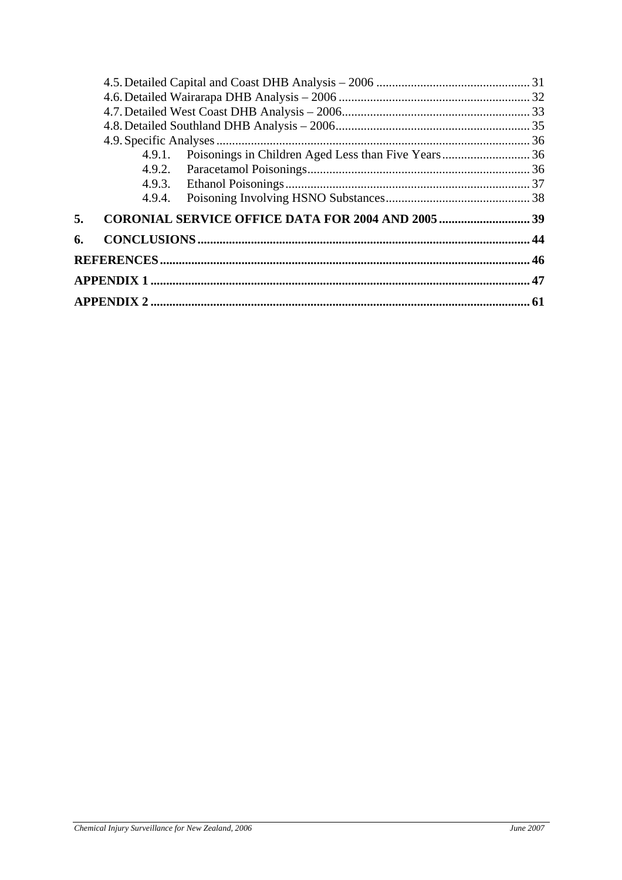| 5. |  |  |
|----|--|--|
| 6. |  |  |
|    |  |  |
|    |  |  |
|    |  |  |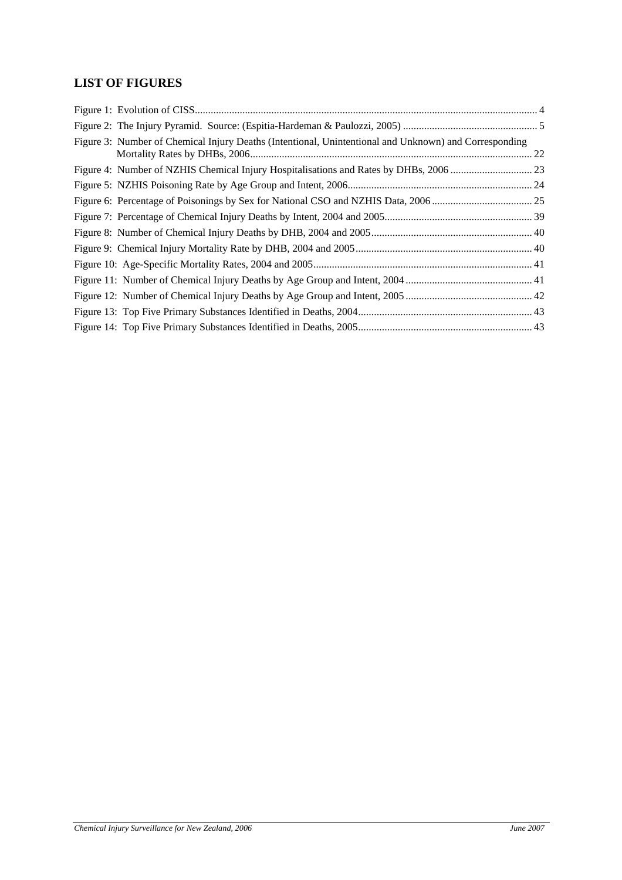# **LIST OF FIGURES**

| Figure 3: Number of Chemical Injury Deaths (Intentional, Unintentional and Unknown) and Corresponding |  |
|-------------------------------------------------------------------------------------------------------|--|
|                                                                                                       |  |
|                                                                                                       |  |
|                                                                                                       |  |
|                                                                                                       |  |
|                                                                                                       |  |
|                                                                                                       |  |
|                                                                                                       |  |
|                                                                                                       |  |
|                                                                                                       |  |
|                                                                                                       |  |
|                                                                                                       |  |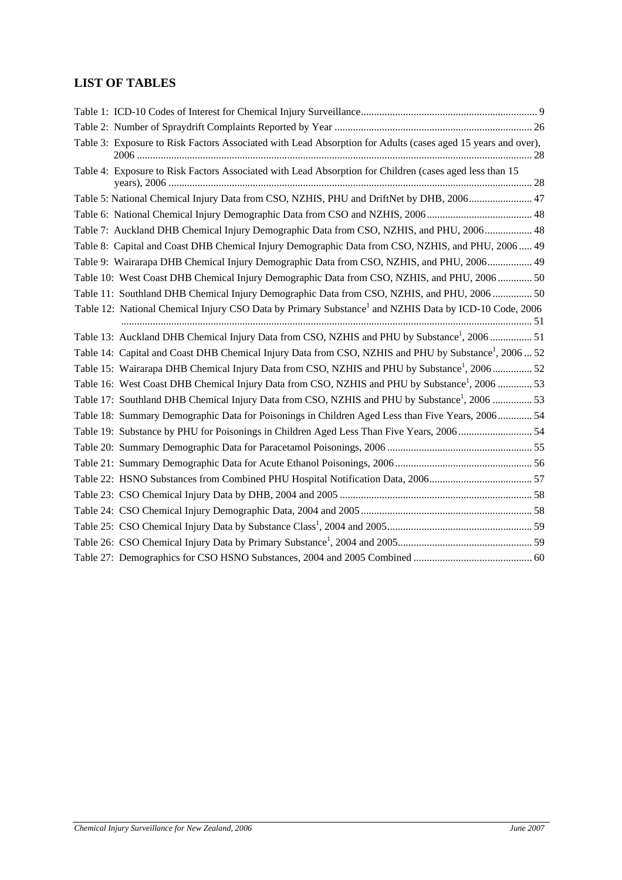# **LIST OF TABLES**

| Table 3: Exposure to Risk Factors Associated with Lead Absorption for Adults (cases aged 15 years and over),      |  |
|-------------------------------------------------------------------------------------------------------------------|--|
| Table 4: Exposure to Risk Factors Associated with Lead Absorption for Children (cases aged less than 15           |  |
| Table 5: National Chemical Injury Data from CSO, NZHIS, PHU and DriftNet by DHB, 2006 47                          |  |
|                                                                                                                   |  |
| Table 7: Auckland DHB Chemical Injury Demographic Data from CSO, NZHIS, and PHU, 2006 48                          |  |
| Table 8: Capital and Coast DHB Chemical Injury Demographic Data from CSO, NZHIS, and PHU, 2006 49                 |  |
| Table 9: Wairarapa DHB Chemical Injury Demographic Data from CSO, NZHIS, and PHU, 2006 49                         |  |
| Table 10: West Coast DHB Chemical Injury Demographic Data from CSO, NZHIS, and PHU, 2006 50                       |  |
| Table 11: Southland DHB Chemical Injury Demographic Data from CSO, NZHIS, and PHU, 2006  50                       |  |
| Table 12: National Chemical Injury CSO Data by Primary Substance <sup>1</sup> and NZHIS Data by ICD-10 Code, 2006 |  |
| Table 13: Auckland DHB Chemical Injury Data from CSO, NZHIS and PHU by Substance <sup>1</sup> , 2006 51           |  |
| Table 14: Capital and Coast DHB Chemical Injury Data from CSO, NZHIS and PHU by Substance <sup>1</sup> , 2006  52 |  |
| Table 15: Wairarapa DHB Chemical Injury Data from CSO, NZHIS and PHU by Substance <sup>1</sup> , 200652           |  |
| Table 16: West Coast DHB Chemical Injury Data from CSO, NZHIS and PHU by Substance <sup>1</sup> , 2006 53         |  |
| Table 17: Southland DHB Chemical Injury Data from CSO, NZHIS and PHU by Substance <sup>1</sup> , 2006  53         |  |
| Table 18: Summary Demographic Data for Poisonings in Children Aged Less than Five Years, 2006 54                  |  |
| Table 19: Substance by PHU for Poisonings in Children Aged Less Than Five Years, 200654                           |  |
|                                                                                                                   |  |
|                                                                                                                   |  |
|                                                                                                                   |  |
|                                                                                                                   |  |
|                                                                                                                   |  |
|                                                                                                                   |  |
|                                                                                                                   |  |
|                                                                                                                   |  |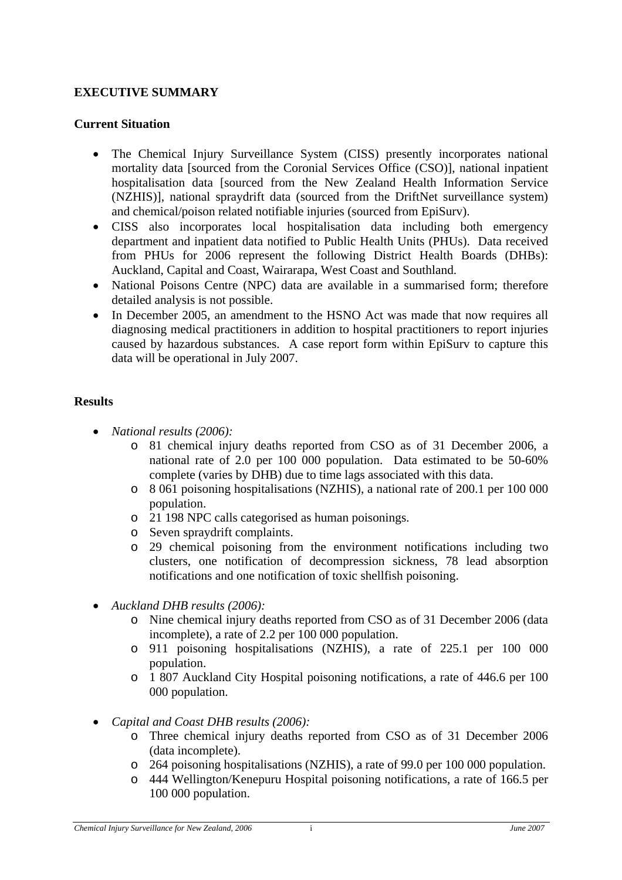#### <span id="page-8-0"></span>**EXECUTIVE SUMMARY**

#### **Current Situation**

- The Chemical Injury Surveillance System (CISS) presently incorporates national mortality data [sourced from the Coronial Services Office (CSO)], national inpatient hospitalisation data [sourced from the New Zealand Health Information Service (NZHIS)], national spraydrift data (sourced from the DriftNet surveillance system) and chemical/poison related notifiable injuries (sourced from EpiSurv).
- CISS also incorporates local hospitalisation data including both emergency department and inpatient data notified to Public Health Units (PHUs). Data received from PHUs for 2006 represent the following District Health Boards (DHBs): Auckland, Capital and Coast, Wairarapa, West Coast and Southland.
- National Poisons Centre (NPC) data are available in a summarised form; therefore detailed analysis is not possible.
- In December 2005, an amendment to the HSNO Act was made that now requires all diagnosing medical practitioners in addition to hospital practitioners to report injuries caused by hazardous substances. A case report form within EpiSurv to capture this data will be operational in July 2007.

#### **Results**

- *National results (2006):*
	- o 81 chemical injury deaths reported from CSO as of 31 December 2006, a national rate of 2.0 per 100 000 population. Data estimated to be 50-60% complete (varies by DHB) due to time lags associated with this data.
	- o 8 061 poisoning hospitalisations (NZHIS), a national rate of 200.1 per 100 000 population.
	- o 21 198 NPC calls categorised as human poisonings.
	- o Seven spraydrift complaints.
	- o 29 chemical poisoning from the environment notifications including two clusters, one notification of decompression sickness, 78 lead absorption notifications and one notification of toxic shellfish poisoning.
- *Auckland DHB results (2006):*
	- o Nine chemical injury deaths reported from CSO as of 31 December 2006 (data incomplete), a rate of 2.2 per 100 000 population.
	- o 911 poisoning hospitalisations (NZHIS), a rate of 225.1 per 100 000 population.
	- o 1 807 Auckland City Hospital poisoning notifications, a rate of 446.6 per 100 000 population.
- *Capital and Coast DHB results (2006):* 
	- o Three chemical injury deaths reported from CSO as of 31 December 2006 (data incomplete).
	- o 264 poisoning hospitalisations (NZHIS), a rate of 99.0 per 100 000 population.
	- o 444 Wellington/Kenepuru Hospital poisoning notifications, a rate of 166.5 per 100 000 population.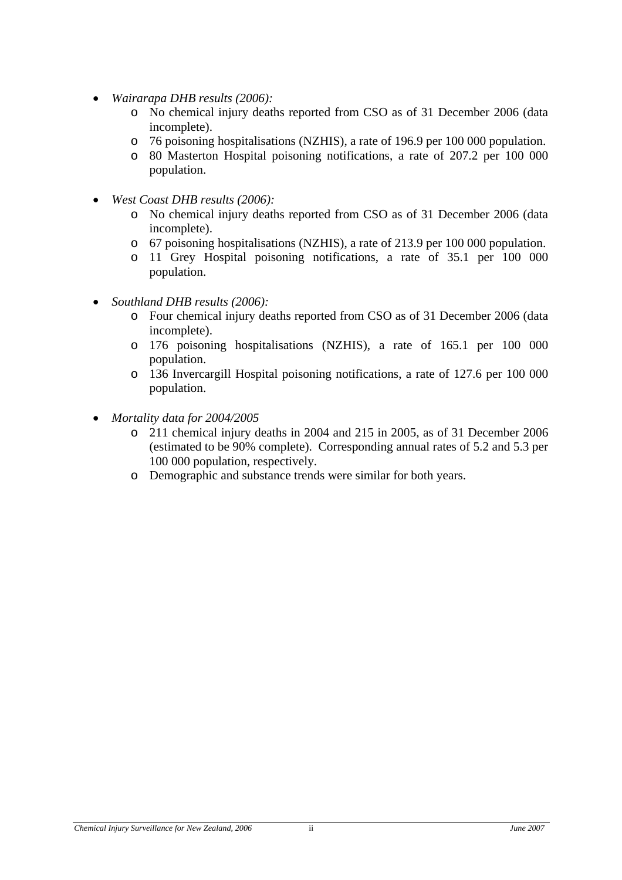- *Wairarapa DHB results (2006):*
	- o No chemical injury deaths reported from CSO as of 31 December 2006 (data incomplete).
	- o 76 poisoning hospitalisations (NZHIS), a rate of 196.9 per 100 000 population.
	- o 80 Masterton Hospital poisoning notifications, a rate of 207.2 per 100 000 population.
- *West Coast DHB results (2006):*
	- o No chemical injury deaths reported from CSO as of 31 December 2006 (data incomplete).
	- o 67 poisoning hospitalisations (NZHIS), a rate of 213.9 per 100 000 population.
	- o 11 Grey Hospital poisoning notifications, a rate of 35.1 per 100 000 population.
- *Southland DHB results (2006):*
	- o Four chemical injury deaths reported from CSO as of 31 December 2006 (data incomplete).
	- o 176 poisoning hospitalisations (NZHIS), a rate of 165.1 per 100 000 population.
	- o 136 Invercargill Hospital poisoning notifications, a rate of 127.6 per 100 000 population.
- *Mortality data for 2004/2005*
	- o 211 chemical injury deaths in 2004 and 215 in 2005, as of 31 December 2006 (estimated to be 90% complete). Corresponding annual rates of 5.2 and 5.3 per 100 000 population, respectively.
	- o Demographic and substance trends were similar for both years.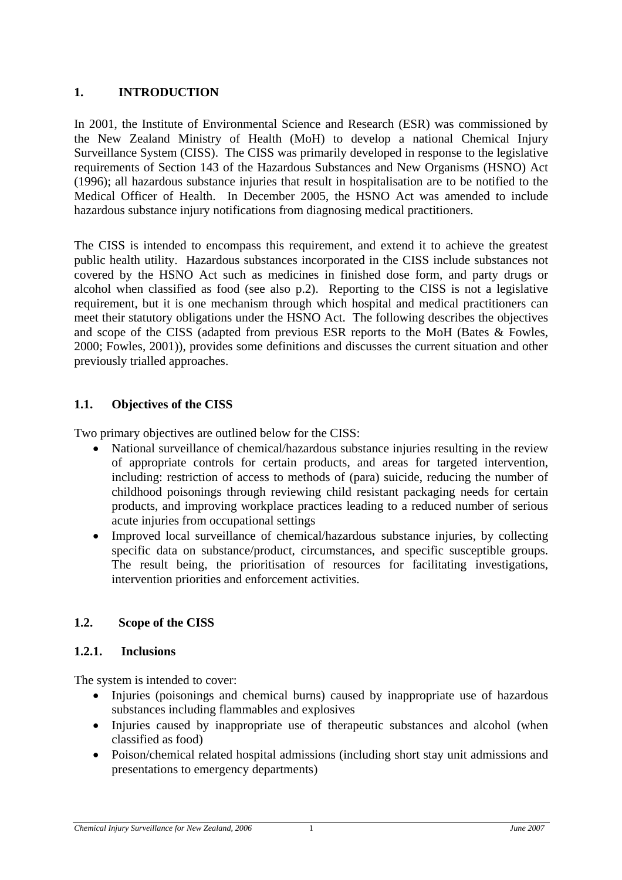### <span id="page-10-0"></span>**1. INTRODUCTION**

In 2001, the Institute of Environmental Science and Research (ESR) was commissioned by the New Zealand Ministry of Health (MoH) to develop a national Chemical Injury Surveillance System (CISS). The CISS was primarily developed in response to the legislative requirements of Section 143 of the Hazardous Substances and New Organisms (HSNO) Act (1996); all hazardous substance injuries that result in hospitalisation are to be notified to the Medical Officer of Health. In December 2005, the HSNO Act was amended to include hazardous substance injury notifications from diagnosing medical practitioners.

The CISS is intended to encompass this requirement, and extend it to achieve the greatest public health utility. Hazardous substances incorporated in the CISS include substances not covered by the HSNO Act such as medicines in finished dose form, and party drugs or alcohol when classified as food (see also p.[2\)](#page-11-1). Reporting to the CISS is not a legislative requirement, but it is one mechanism through which hospital and medical practitioners can meet their statutory obligations under the HSNO Act. The following describes the objectives and scope of the CISS (adapted from previous ESR reports to the MoH (Bates & Fowles, 2000; Fowles, 2001)), provides some definitions and discusses the current situation and other previously trialled approaches.

# **1.1. Objectives of the CISS**

Two primary objectives are outlined below for the CISS:

- National surveillance of chemical/hazardous substance injuries resulting in the review of appropriate controls for certain products, and areas for targeted intervention, including: restriction of access to methods of (para) suicide, reducing the number of childhood poisonings through reviewing child resistant packaging needs for certain products, and improving workplace practices leading to a reduced number of serious acute injuries from occupational settings
- Improved local surveillance of chemical/hazardous substance injuries, by collecting specific data on substance/product, circumstances, and specific susceptible groups. The result being, the prioritisation of resources for facilitating investigations, intervention priorities and enforcement activities.

# **1.2. Scope of the CISS**

### **1.2.1. Inclusions**

The system is intended to cover:

- Injuries (poisonings and chemical burns) caused by inappropriate use of hazardous substances including flammables and explosives
- Injuries caused by inappropriate use of therapeutic substances and alcohol (when classified as food)
- Poison/chemical related hospital admissions (including short stay unit admissions and presentations to emergency departments)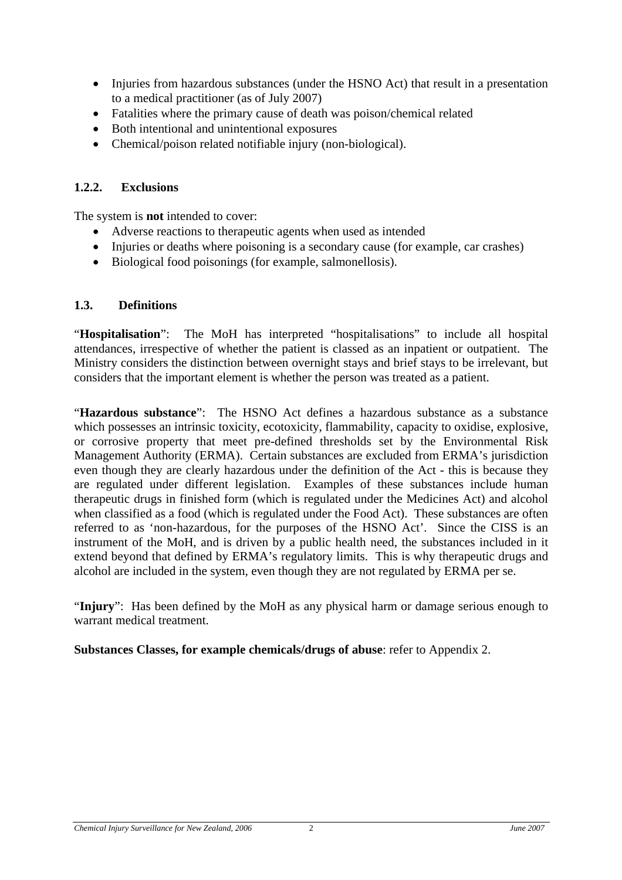- <span id="page-11-0"></span>• Injuries from hazardous substances (under the HSNO Act) that result in a presentation to a medical practitioner (as of July 2007)
- Fatalities where the primary cause of death was poison/chemical related
- Both intentional and unintentional exposures
- Chemical/poison related notifiable injury (non-biological).

### **1.2.2. Exclusions**

The system is **not** intended to cover:

- Adverse reactions to therapeutic agents when used as intended
- Injuries or deaths where poisoning is a secondary cause (for example, car crashes)
- Biological food poisonings (for example, salmonellosis).

### <span id="page-11-1"></span>**1.3. Definitions**

"**Hospitalisation**": The MoH has interpreted "hospitalisations" to include all hospital attendances, irrespective of whether the patient is classed as an inpatient or outpatient. The Ministry considers the distinction between overnight stays and brief stays to be irrelevant, but considers that the important element is whether the person was treated as a patient.

"**Hazardous substance**": The HSNO Act defines a hazardous substance as a substance which possesses an intrinsic toxicity, ecotoxicity, flammability, capacity to oxidise, explosive, or corrosive property that meet pre-defined thresholds set by the Environmental Risk Management Authority (ERMA). Certain substances are excluded from ERMA's jurisdiction even though they are clearly hazardous under the definition of the Act - this is because they are regulated under different legislation. Examples of these substances include human therapeutic drugs in finished form (which is regulated under the Medicines Act) and alcohol when classified as a food (which is regulated under the Food Act). These substances are often referred to as 'non-hazardous, for the purposes of the HSNO Act'. Since the CISS is an instrument of the MoH, and is driven by a public health need, the substances included in it extend beyond that defined by ERMA's regulatory limits. This is why therapeutic drugs and alcohol are included in the system, even though they are not regulated by ERMA per se.

"**Injury**": Has been defined by the MoH as any physical harm or damage serious enough to warrant medical treatment.

**Substances Classes, for example chemicals/drugs of abuse**: refer to [Appendix 2.](#page-70-1)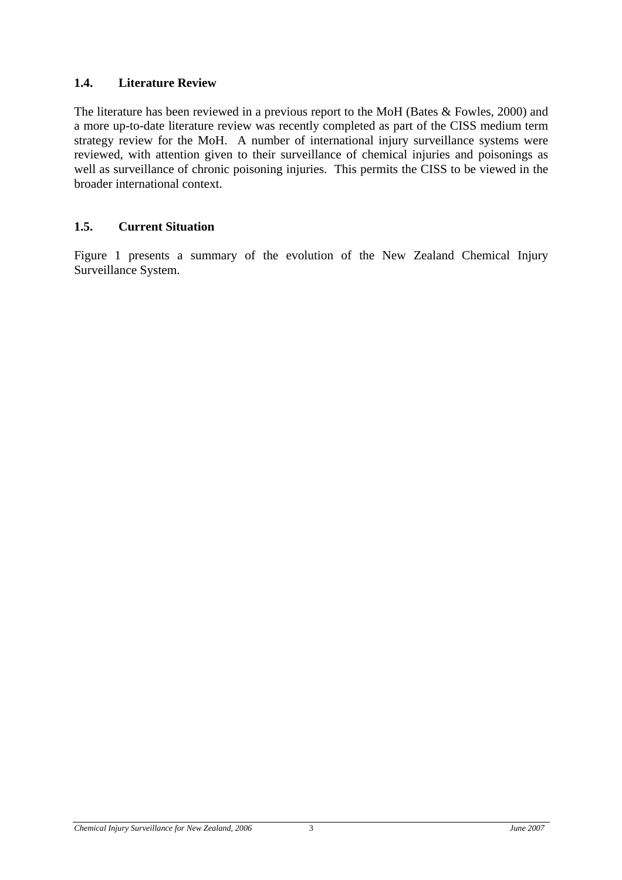### <span id="page-12-0"></span>**1.4. Literature Review**

The literature has been reviewed in a previous report to the MoH (Bates & Fowles, 2000) and a more up-to-date literature review was recently completed as part of the CISS medium term strategy review for the MoH. A number of international injury surveillance systems were reviewed, with attention given to their surveillance of chemical injuries and poisonings as well as surveillance of chronic poisoning injuries. This permits the CISS to be viewed in the broader international context.

#### **1.5. Current Situation**

[Figure 1](#page-13-1) presents a summary of the evolution of the New Zealand Chemical Injury Surveillance System.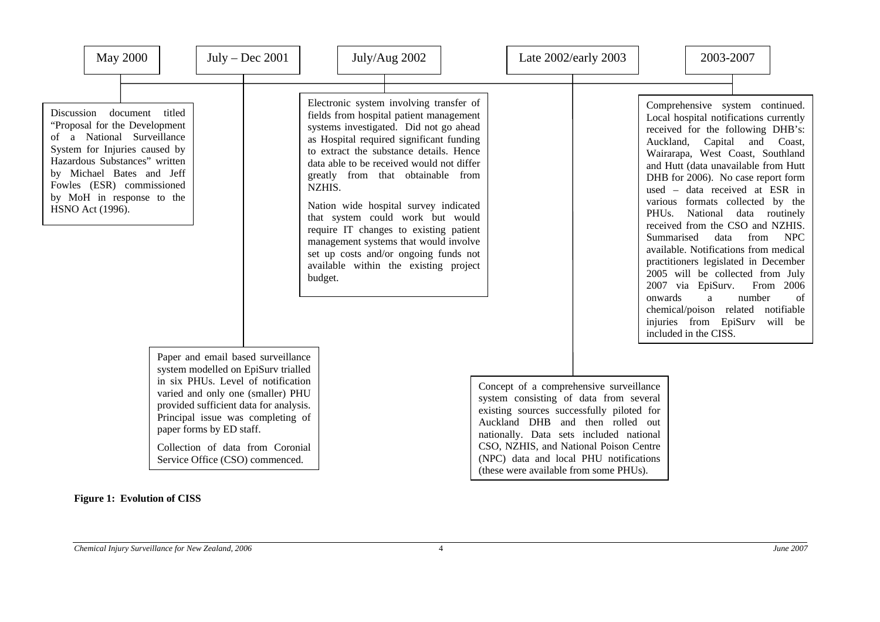| May 2000                                                                                                                                                                                                                                                                  |  | $July - Dec 2001$                                                                                                                                                                                                                                                                                                                      | July/Aug 2002                                                                                                                                                                                                                                                                                                                                                                                                                                                                                                                                                                | Late 2002/early 2003                                                                                                                                                                                                                                                                                                                        |                               | 2003-2007                                                                                                                                                                                                                                                                                                                                                                                                                                                                                                                                                                                                                                                                                                                           |
|---------------------------------------------------------------------------------------------------------------------------------------------------------------------------------------------------------------------------------------------------------------------------|--|----------------------------------------------------------------------------------------------------------------------------------------------------------------------------------------------------------------------------------------------------------------------------------------------------------------------------------------|------------------------------------------------------------------------------------------------------------------------------------------------------------------------------------------------------------------------------------------------------------------------------------------------------------------------------------------------------------------------------------------------------------------------------------------------------------------------------------------------------------------------------------------------------------------------------|---------------------------------------------------------------------------------------------------------------------------------------------------------------------------------------------------------------------------------------------------------------------------------------------------------------------------------------------|-------------------------------|-------------------------------------------------------------------------------------------------------------------------------------------------------------------------------------------------------------------------------------------------------------------------------------------------------------------------------------------------------------------------------------------------------------------------------------------------------------------------------------------------------------------------------------------------------------------------------------------------------------------------------------------------------------------------------------------------------------------------------------|
| Discussion<br>document titled<br>"Proposal for the Development<br>of a National Surveillance<br>System for Injuries caused by<br>Hazardous Substances" written<br>by Michael Bates and Jeff<br>Fowles (ESR) commissioned<br>by MoH in response to the<br>HSNO Act (1996). |  |                                                                                                                                                                                                                                                                                                                                        | Electronic system involving transfer of<br>fields from hospital patient management<br>systems investigated. Did not go ahead<br>as Hospital required significant funding<br>to extract the substance details. Hence<br>data able to be received would not differ<br>greatly from that obtainable from<br>NZHIS.<br>Nation wide hospital survey indicated<br>that system could work but would<br>require IT changes to existing patient<br>management systems that would involve<br>set up costs and/or ongoing funds not<br>available within the existing project<br>budget. |                                                                                                                                                                                                                                                                                                                                             | PHU <sub>s</sub> .<br>onwards | Comprehensive system continued.<br>Local hospital notifications currently<br>received for the following DHB's:<br>Auckland,<br>Capital and Coast,<br>Wairarapa, West Coast, Southland<br>and Hutt (data unavailable from Hutt<br>DHB for 2006). No case report form<br>used - data received at ESR in<br>various formats collected by the<br>National data routinely<br>received from the CSO and NZHIS.<br>Summarised<br>data<br>from<br><b>NPC</b><br>available. Notifications from medical<br>practitioners legislated in December<br>2005 will be collected from July<br>2007 via EpiSurv.<br>From 2006<br>number<br>a<br>of<br>chemical/poison related notifiable<br>injuries from EpiSurv<br>will be<br>included in the CISS. |
|                                                                                                                                                                                                                                                                           |  | Paper and email based surveillance<br>system modelled on EpiSurv trialled<br>in six PHUs. Level of notification<br>varied and only one (smaller) PHU<br>provided sufficient data for analysis.<br>Principal issue was completing of<br>paper forms by ED staff.<br>Collection of data from Coronial<br>Service Office (CSO) commenced. |                                                                                                                                                                                                                                                                                                                                                                                                                                                                                                                                                                              | Concept of a comprehensive surveillance<br>system consisting of data from several<br>existing sources successfully piloted for<br>Auckland DHB and then rolled out<br>nationally. Data sets included national<br>CSO, NZHIS, and National Poison Centre<br>(NPC) data and local PHU notifications<br>(these were available from some PHUs). |                               |                                                                                                                                                                                                                                                                                                                                                                                                                                                                                                                                                                                                                                                                                                                                     |

#### <span id="page-13-1"></span><span id="page-13-0"></span>**Figure 1: Evolution of CISS**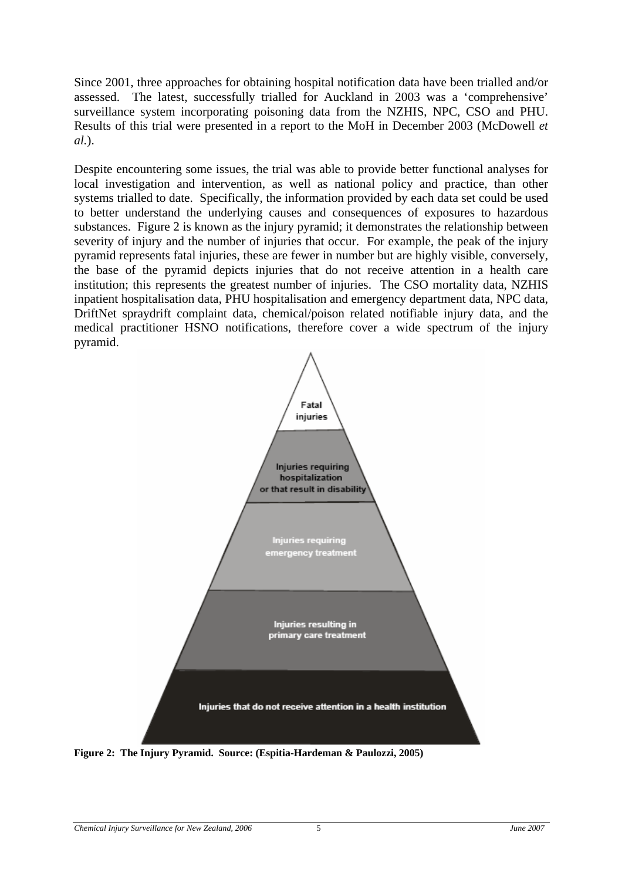<span id="page-14-0"></span>Since 2001, three approaches for obtaining hospital notification data have been trialled and/or assessed. The latest, successfully trialled for Auckland in 2003 was a 'comprehensive' surveillance system incorporating poisoning data from the NZHIS, NPC, CSO and PHU. Results of this trial were presented in a report to the MoH in December 2003 (McDowell *et al.*).

Despite encountering some issues, the trial was able to provide better functional analyses for local investigation and intervention, as well as national policy and practice, than other systems trialled to date. Specifically, the information provided by each data set could be used to better understand the underlying causes and consequences of exposures to hazardous substances. [Figure 2](#page-14-1) is known as the injury pyramid; it demonstrates the relationship between severity of injury and the number of injuries that occur. For example, the peak of the injury pyramid represents fatal injuries, these are fewer in number but are highly visible, conversely, the base of the pyramid depicts injuries that do not receive attention in a health care institution; this represents the greatest number of injuries. The CSO mortality data, NZHIS inpatient hospitalisation data, PHU hospitalisation and emergency department data, NPC data, DriftNet spraydrift complaint data, chemical/poison related notifiable injury data, and the medical practitioner HSNO notifications, therefore cover a wide spectrum of the injury pyramid.



<span id="page-14-1"></span>**Figure 2: The Injury Pyramid. Source: (Espitia-Hardeman & Paulozzi, 2005)**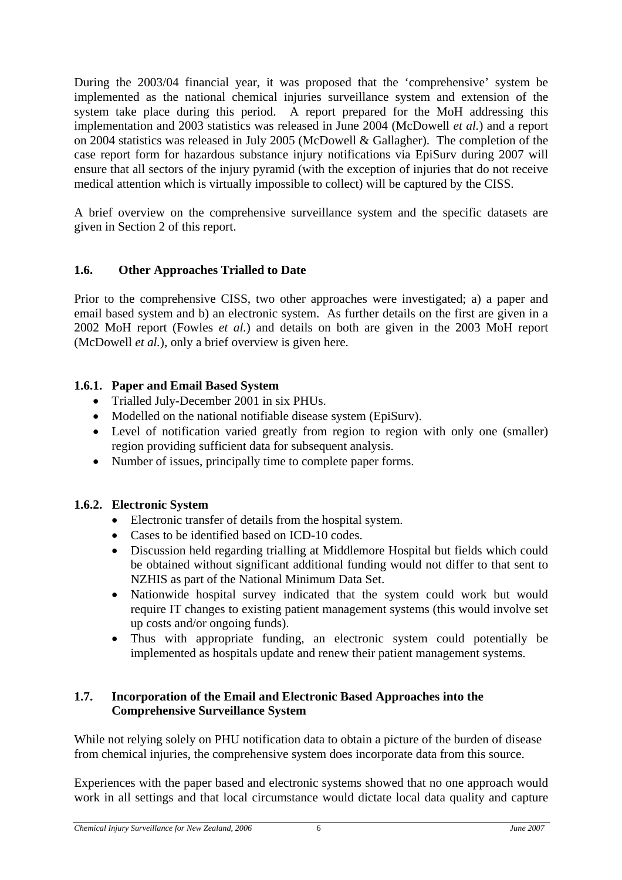<span id="page-15-0"></span>During the 2003/04 financial year, it was proposed that the 'comprehensive' system be implemented as the national chemical injuries surveillance system and extension of the system take place during this period. A report prepared for the MoH addressing this implementation and 2003 statistics was released in June 2004 (McDowell *et al.*) and a report on 2004 statistics was released in July 2005 (McDowell & Gallagher). The completion of the case report form for hazardous substance injury notifications via EpiSurv during 2007 will ensure that all sectors of the injury pyramid (with the exception of injuries that do not receive medical attention which is virtually impossible to collect) will be captured by the CISS.

A brief overview on the comprehensive surveillance system and the specific datasets are given in Section 2 of this report.

# **1.6. Other Approaches Trialled to Date**

Prior to the comprehensive CISS, two other approaches were investigated; a) a paper and email based system and b) an electronic system. As further details on the first are given in a 2002 MoH report (Fowles *et al.*) and details on both are given in the 2003 MoH report (McDowell *et al.*), only a brief overview is given here.

# **1.6.1. Paper and Email Based System**

- Trialled July-December 2001 in six PHUs.
- Modelled on the national notifiable disease system (EpiSurv).
- Level of notification varied greatly from region to region with only one (smaller) region providing sufficient data for subsequent analysis.
- Number of issues, principally time to complete paper forms.

### **1.6.2. Electronic System**

- Electronic transfer of details from the hospital system.
- Cases to be identified based on ICD-10 codes.
- Discussion held regarding trialling at Middlemore Hospital but fields which could be obtained without significant additional funding would not differ to that sent to NZHIS as part of the National Minimum Data Set.
- Nationwide hospital survey indicated that the system could work but would require IT changes to existing patient management systems (this would involve set up costs and/or ongoing funds).
- Thus with appropriate funding, an electronic system could potentially be implemented as hospitals update and renew their patient management systems.

#### **1.7. Incorporation of the Email and Electronic Based Approaches into the Comprehensive Surveillance System**

While not relying solely on PHU notification data to obtain a picture of the burden of disease from chemical injuries, the comprehensive system does incorporate data from this source.

Experiences with the paper based and electronic systems showed that no one approach would work in all settings and that local circumstance would dictate local data quality and capture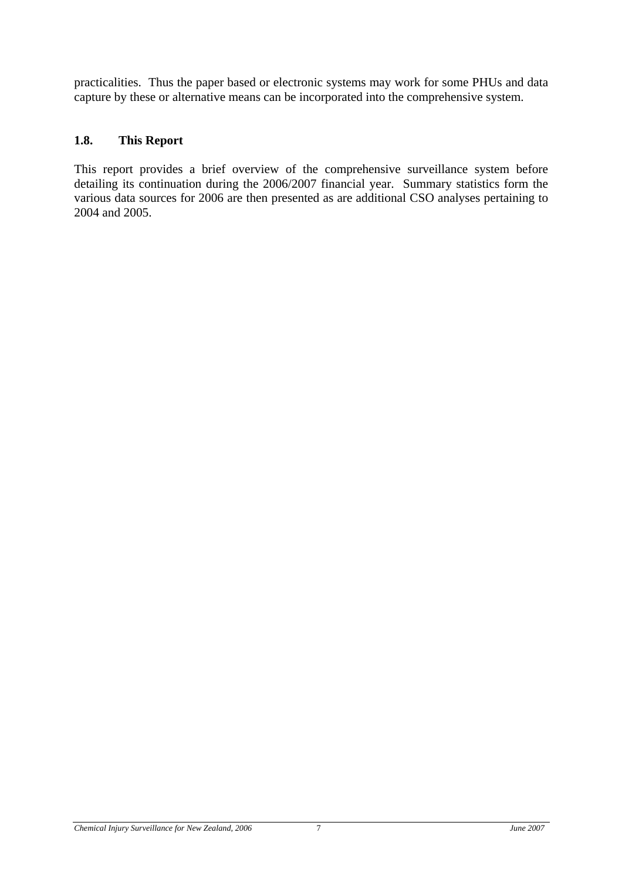<span id="page-16-0"></span>practicalities. Thus the paper based or electronic systems may work for some PHUs and data capture by these or alternative means can be incorporated into the comprehensive system.

#### **1.8. This Report**

This report provides a brief overview of the comprehensive surveillance system before detailing its continuation during the 2006/2007 financial year. Summary statistics form the various data sources for 2006 are then presented as are additional CSO analyses pertaining to 2004 and 2005.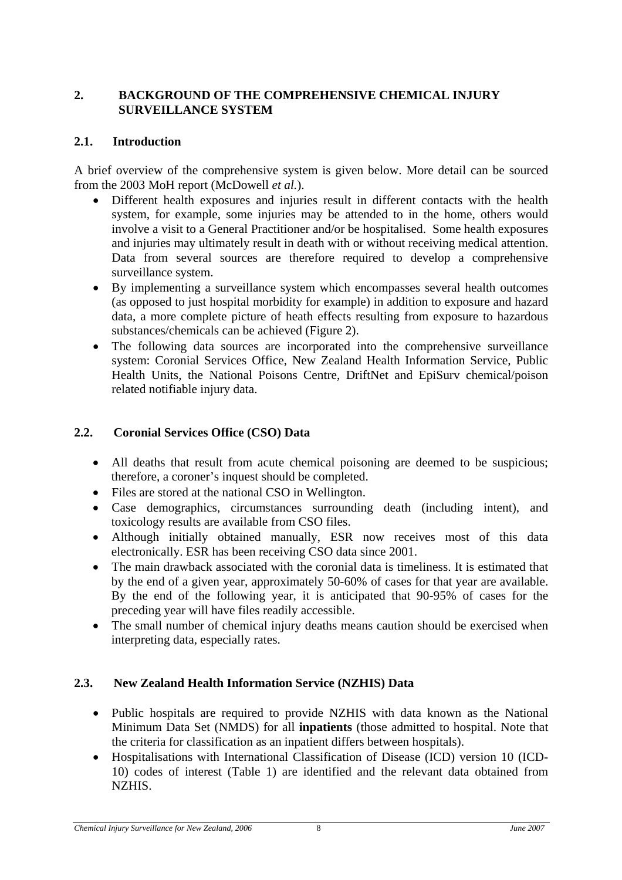#### <span id="page-17-0"></span>**2. BACKGROUND OF THE COMPREHENSIVE CHEMICAL INJURY SURVEILLANCE SYSTEM**

#### **2.1. Introduction**

A brief overview of the comprehensive system is given below. More detail can be sourced from the 2003 MoH report (McDowell *et al.*).

- Different health exposures and injuries result in different contacts with the health system, for example, some injuries may be attended to in the home, others would involve a visit to a General Practitioner and/or be hospitalised. Some health exposures and injuries may ultimately result in death with or without receiving medical attention. Data from several sources are therefore required to develop a comprehensive surveillance system.
- By implementing a surveillance system which encompasses several health outcomes (as opposed to just hospital morbidity for example) in addition to exposure and hazard data, a more complete picture of heath effects resulting from exposure to hazardous substances/chemicals can be achieved [\(Figure 2\)](#page-14-1).
- The following data sources are incorporated into the comprehensive surveillance system: Coronial Services Office, New Zealand Health Information Service, Public Health Units, the National Poisons Centre, DriftNet and EpiSurv chemical/poison related notifiable injury data.

#### **2.2. Coronial Services Office (CSO) Data**

- All deaths that result from acute chemical poisoning are deemed to be suspicious; therefore, a coroner's inquest should be completed.
- Files are stored at the national CSO in Wellington.
- Case demographics, circumstances surrounding death (including intent), and toxicology results are available from CSO files.
- Although initially obtained manually, ESR now receives most of this data electronically. ESR has been receiving CSO data since 2001.
- The main drawback associated with the coronial data is timeliness. It is estimated that by the end of a given year, approximately 50-60% of cases for that year are available. By the end of the following year, it is anticipated that 90-95% of cases for the preceding year will have files readily accessible.
- The small number of chemical injury deaths means caution should be exercised when interpreting data, especially rates.

### **2.3. New Zealand Health Information Service (NZHIS) Data**

- Public hospitals are required to provide NZHIS with data known as the National Minimum Data Set (NMDS) for all **inpatients** (those admitted to hospital. Note that the criteria for classification as an inpatient differs between hospitals).
- Hospitalisations with International Classification of Disease (ICD) version 10 (ICD-10) codes of interest ([Table 1\)](#page-18-1) are identified and the relevant data obtained from NZHIS.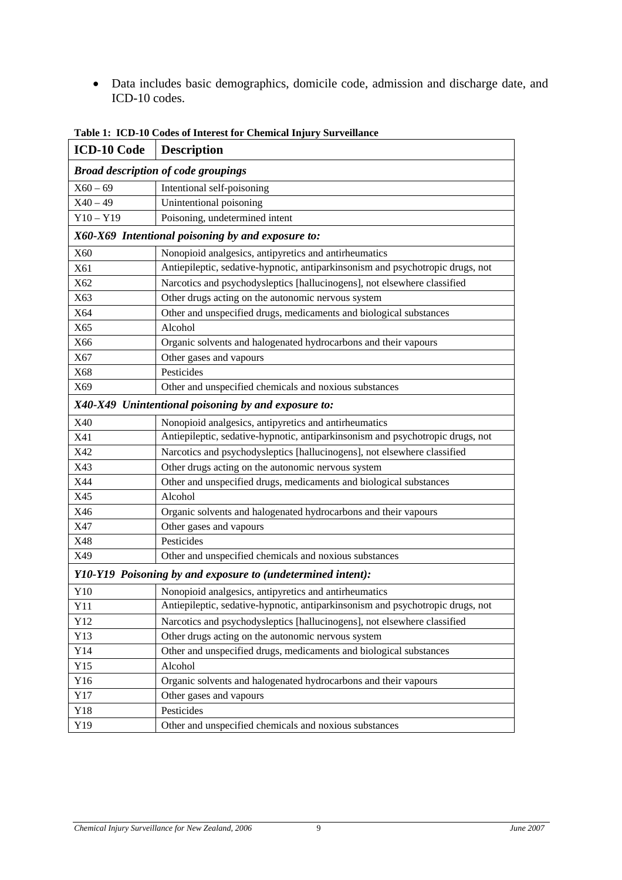<span id="page-18-0"></span>• Data includes basic demographics, domicile code, admission and discharge date, and ICD-10 codes.

<span id="page-18-1"></span>

| ICD-10 Code | <b>Description</b>                                                             |  |  |  |  |  |  |
|-------------|--------------------------------------------------------------------------------|--|--|--|--|--|--|
|             | <b>Broad description of code groupings</b>                                     |  |  |  |  |  |  |
| $X60 - 69$  | Intentional self-poisoning                                                     |  |  |  |  |  |  |
| $X40 - 49$  | Unintentional poisoning                                                        |  |  |  |  |  |  |
| $Y10 - Y19$ | Poisoning, undetermined intent                                                 |  |  |  |  |  |  |
|             | X60-X69 Intentional poisoning by and exposure to:                              |  |  |  |  |  |  |
| X60         | Nonopioid analgesics, antipyretics and antirheumatics                          |  |  |  |  |  |  |
| X61         | Antiepileptic, sedative-hypnotic, antiparkinsonism and psychotropic drugs, not |  |  |  |  |  |  |
| X62         | Narcotics and psychodysleptics [hallucinogens], not elsewhere classified       |  |  |  |  |  |  |
| X63         | Other drugs acting on the autonomic nervous system                             |  |  |  |  |  |  |
| X64         | Other and unspecified drugs, medicaments and biological substances             |  |  |  |  |  |  |
| X65         | Alcohol                                                                        |  |  |  |  |  |  |
| X66         | Organic solvents and halogenated hydrocarbons and their vapours                |  |  |  |  |  |  |
| X67         | Other gases and vapours                                                        |  |  |  |  |  |  |
| X68         | Pesticides                                                                     |  |  |  |  |  |  |
| X69         | Other and unspecified chemicals and noxious substances                         |  |  |  |  |  |  |
|             | X40-X49 Unintentional poisoning by and exposure to:                            |  |  |  |  |  |  |
| X40         | Nonopioid analgesics, antipyretics and antirheumatics                          |  |  |  |  |  |  |
| X41         | Antiepileptic, sedative-hypnotic, antiparkinsonism and psychotropic drugs, not |  |  |  |  |  |  |
| X42         | Narcotics and psychodysleptics [hallucinogens], not elsewhere classified       |  |  |  |  |  |  |
| X43         | Other drugs acting on the autonomic nervous system                             |  |  |  |  |  |  |
| X44         | Other and unspecified drugs, medicaments and biological substances             |  |  |  |  |  |  |
| X45         | Alcohol                                                                        |  |  |  |  |  |  |
| X46         | Organic solvents and halogenated hydrocarbons and their vapours                |  |  |  |  |  |  |
| X47         | Other gases and vapours                                                        |  |  |  |  |  |  |
| X48         | Pesticides                                                                     |  |  |  |  |  |  |
| X49         | Other and unspecified chemicals and noxious substances                         |  |  |  |  |  |  |
|             | Y10-Y19 Poisoning by and exposure to (undetermined intent):                    |  |  |  |  |  |  |
| Y10         | Nonopioid analgesics, antipyretics and antirheumatics                          |  |  |  |  |  |  |
| Y11         | Antiepileptic, sedative-hypnotic, antiparkinsonism and psychotropic drugs, not |  |  |  |  |  |  |
| Y12         | Narcotics and psychodysleptics [hallucinogens], not elsewhere classified       |  |  |  |  |  |  |
| Y13         | Other drugs acting on the autonomic nervous system                             |  |  |  |  |  |  |
| Y14         | Other and unspecified drugs, medicaments and biological substances             |  |  |  |  |  |  |
| Y15         | Alcohol                                                                        |  |  |  |  |  |  |
| Y16         | Organic solvents and halogenated hydrocarbons and their vapours                |  |  |  |  |  |  |
| Y17         | Other gases and vapours                                                        |  |  |  |  |  |  |
| Y18         | Pesticides                                                                     |  |  |  |  |  |  |
| Y19         | Other and unspecified chemicals and noxious substances                         |  |  |  |  |  |  |

**Table 1: ICD-10 Codes of Interest for Chemical Injury Surveillance**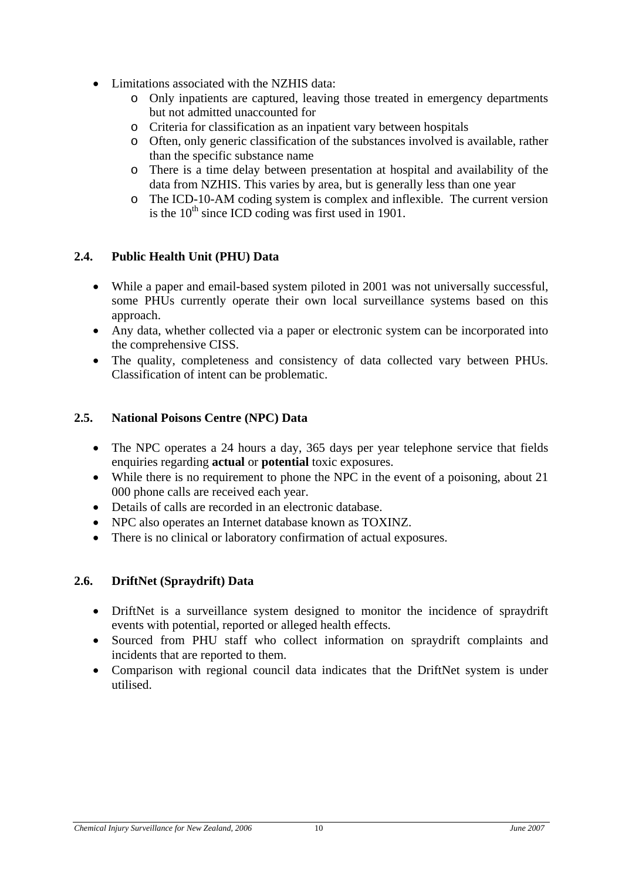- <span id="page-19-0"></span>• Limitations associated with the NZHIS data:
	- o Only inpatients are captured, leaving those treated in emergency departments but not admitted unaccounted for
	- o Criteria for classification as an inpatient vary between hospitals
	- o Often, only generic classification of the substances involved is available, rather than the specific substance name
	- o There is a time delay between presentation at hospital and availability of the data from NZHIS. This varies by area, but is generally less than one year
	- o The ICD-10-AM coding system is complex and inflexible. The current version is the  $10<sup>th</sup>$  since ICD coding was first used in 1901.

### **2.4. Public Health Unit (PHU) Data**

- While a paper and email-based system piloted in 2001 was not universally successful, some PHUs currently operate their own local surveillance systems based on this approach.
- Any data, whether collected via a paper or electronic system can be incorporated into the comprehensive CISS.
- The quality, completeness and consistency of data collected vary between PHUs. Classification of intent can be problematic.

### **2.5. National Poisons Centre (NPC) Data**

- The NPC operates a 24 hours a day, 365 days per year telephone service that fields enquiries regarding **actual** or **potential** toxic exposures.
- While there is no requirement to phone the NPC in the event of a poisoning, about 21 000 phone calls are received each year.
- Details of calls are recorded in an electronic database.
- NPC also operates an Internet database known as TOXINZ.
- There is no clinical or laboratory confirmation of actual exposures.

#### **2.6. DriftNet (Spraydrift) Data**

- DriftNet is a surveillance system designed to monitor the incidence of spraydrift events with potential, reported or alleged health effects.
- Sourced from PHU staff who collect information on spraydrift complaints and incidents that are reported to them.
- Comparison with regional council data indicates that the DriftNet system is under utilised.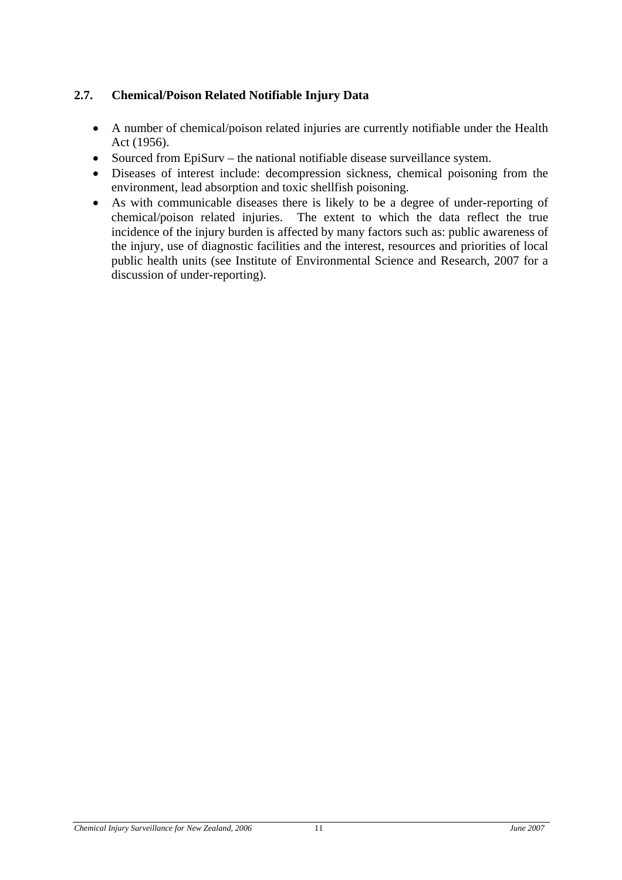# <span id="page-20-0"></span>**2.7. Chemical/Poison Related Notifiable Injury Data**

- A number of chemical/poison related injuries are currently notifiable under the Health Act (1956).
- Sourced from EpiSurv the national notifiable disease surveillance system.
- Diseases of interest include: decompression sickness, chemical poisoning from the environment, lead absorption and toxic shellfish poisoning.
- As with communicable diseases there is likely to be a degree of under-reporting of chemical/poison related injuries. The extent to which the data reflect the true incidence of the injury burden is affected by many factors such as: public awareness of the injury, use of diagnostic facilities and the interest, resources and priorities of local public health units (see Institute of Environmental Science and Research, 2007 for a discussion of under-reporting).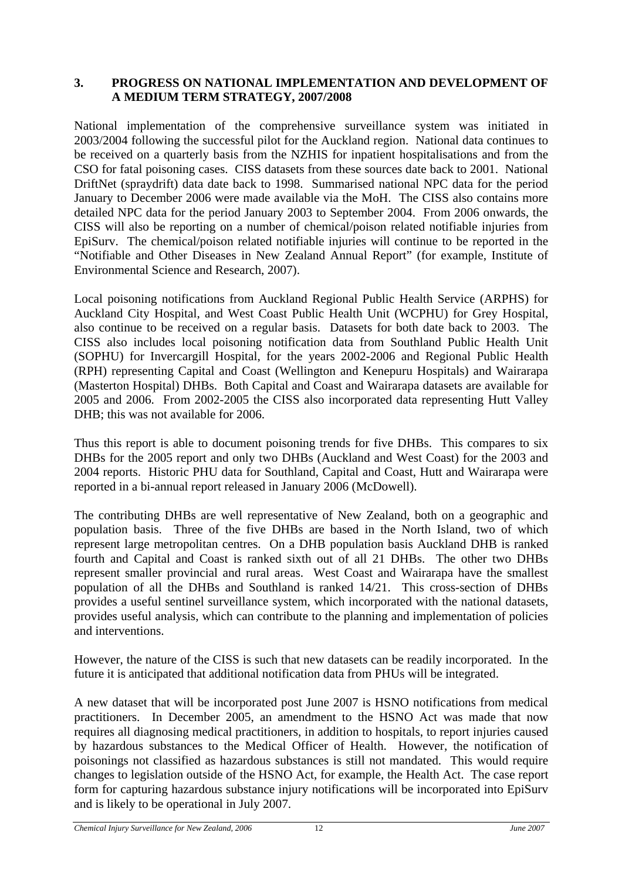#### <span id="page-21-0"></span>**3. PROGRESS ON NATIONAL IMPLEMENTATION AND DEVELOPMENT OF A MEDIUM TERM STRATEGY, 2007/2008**

National implementation of the comprehensive surveillance system was initiated in 2003/2004 following the successful pilot for the Auckland region. National data continues to be received on a quarterly basis from the NZHIS for inpatient hospitalisations and from the CSO for fatal poisoning cases. CISS datasets from these sources date back to 2001. National DriftNet (spraydrift) data date back to 1998. Summarised national NPC data for the period January to December 2006 were made available via the MoH. The CISS also contains more detailed NPC data for the period January 2003 to September 2004. From 2006 onwards, the CISS will also be reporting on a number of chemical/poison related notifiable injuries from EpiSurv. The chemical/poison related notifiable injuries will continue to be reported in the "Notifiable and Other Diseases in New Zealand Annual Report" (for example, Institute of Environmental Science and Research, 2007).

Local poisoning notifications from Auckland Regional Public Health Service (ARPHS) for Auckland City Hospital, and West Coast Public Health Unit (WCPHU) for Grey Hospital, also continue to be received on a regular basis. Datasets for both date back to 2003. The CISS also includes local poisoning notification data from Southland Public Health Unit (SOPHU) for Invercargill Hospital, for the years 2002-2006 and Regional Public Health (RPH) representing Capital and Coast (Wellington and Kenepuru Hospitals) and Wairarapa (Masterton Hospital) DHBs. Both Capital and Coast and Wairarapa datasets are available for 2005 and 2006. From 2002-2005 the CISS also incorporated data representing Hutt Valley DHB; this was not available for 2006.

Thus this report is able to document poisoning trends for five DHBs. This compares to six DHBs for the 2005 report and only two DHBs (Auckland and West Coast) for the 2003 and 2004 reports. Historic PHU data for Southland, Capital and Coast, Hutt and Wairarapa were reported in a bi-annual report released in January 2006 (McDowell).

The contributing DHBs are well representative of New Zealand, both on a geographic and population basis. Three of the five DHBs are based in the North Island, two of which represent large metropolitan centres. On a DHB population basis Auckland DHB is ranked fourth and Capital and Coast is ranked sixth out of all 21 DHBs. The other two DHBs represent smaller provincial and rural areas. West Coast and Wairarapa have the smallest population of all the DHBs and Southland is ranked 14/21. This cross-section of DHBs provides a useful sentinel surveillance system, which incorporated with the national datasets, provides useful analysis, which can contribute to the planning and implementation of policies and interventions.

However, the nature of the CISS is such that new datasets can be readily incorporated. In the future it is anticipated that additional notification data from PHUs will be integrated.

A new dataset that will be incorporated post June 2007 is HSNO notifications from medical practitioners. In December 2005, an amendment to the HSNO Act was made that now requires all diagnosing medical practitioners, in addition to hospitals, to report injuries caused by hazardous substances to the Medical Officer of Health. However, the notification of poisonings not classified as hazardous substances is still not mandated. This would require changes to legislation outside of the HSNO Act, for example, the Health Act. The case report form for capturing hazardous substance injury notifications will be incorporated into EpiSurv and is likely to be operational in July 2007.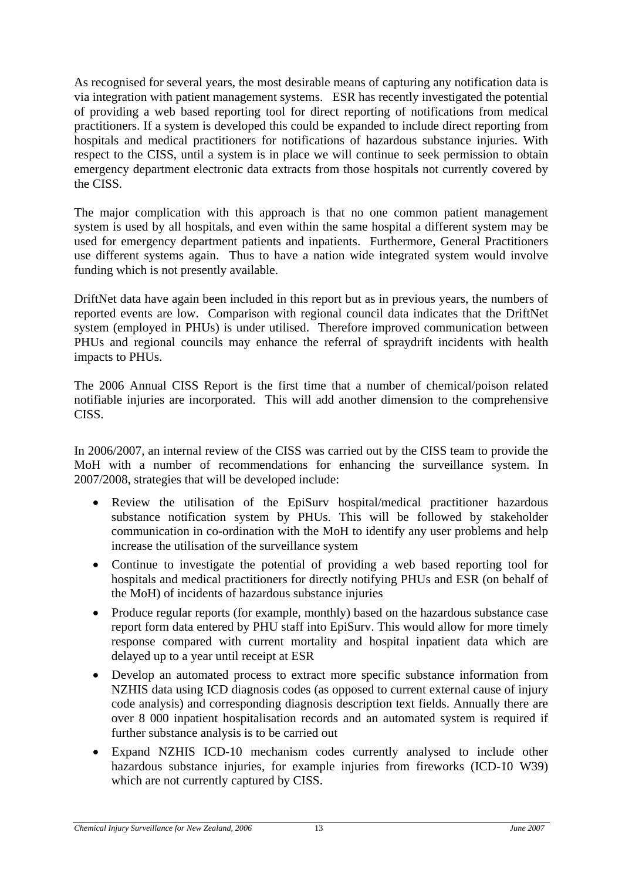As recognised for several years, the most desirable means of capturing any notification data is via integration with patient management systems. ESR has recently investigated the potential of providing a web based reporting tool for direct reporting of notifications from medical practitioners. If a system is developed this could be expanded to include direct reporting from hospitals and medical practitioners for notifications of hazardous substance injuries. With respect to the CISS, until a system is in place we will continue to seek permission to obtain emergency department electronic data extracts from those hospitals not currently covered by the CISS.

The major complication with this approach is that no one common patient management system is used by all hospitals, and even within the same hospital a different system may be used for emergency department patients and inpatients. Furthermore, General Practitioners use different systems again. Thus to have a nation wide integrated system would involve funding which is not presently available.

DriftNet data have again been included in this report but as in previous years, the numbers of reported events are low. Comparison with regional council data indicates that the DriftNet system (employed in PHUs) is under utilised. Therefore improved communication between PHUs and regional councils may enhance the referral of spraydrift incidents with health impacts to PHUs.

The 2006 Annual CISS Report is the first time that a number of chemical/poison related notifiable injuries are incorporated. This will add another dimension to the comprehensive CISS.

In 2006/2007, an internal review of the CISS was carried out by the CISS team to provide the MoH with a number of recommendations for enhancing the surveillance system. In 2007/2008, strategies that will be developed include:

- Review the utilisation of the EpiSurv hospital/medical practitioner hazardous substance notification system by PHUs. This will be followed by stakeholder communication in co-ordination with the MoH to identify any user problems and help increase the utilisation of the surveillance system
- Continue to investigate the potential of providing a web based reporting tool for hospitals and medical practitioners for directly notifying PHUs and ESR (on behalf of the MoH) of incidents of hazardous substance injuries
- Produce regular reports (for example, monthly) based on the hazardous substance case report form data entered by PHU staff into EpiSurv. This would allow for more timely response compared with current mortality and hospital inpatient data which are delayed up to a year until receipt at ESR
- Develop an automated process to extract more specific substance information from NZHIS data using ICD diagnosis codes (as opposed to current external cause of injury code analysis) and corresponding diagnosis description text fields. Annually there are over 8 000 inpatient hospitalisation records and an automated system is required if further substance analysis is to be carried out
- Expand NZHIS ICD-10 mechanism codes currently analysed to include other hazardous substance injuries, for example injuries from fireworks (ICD-10 W39) which are not currently captured by CISS.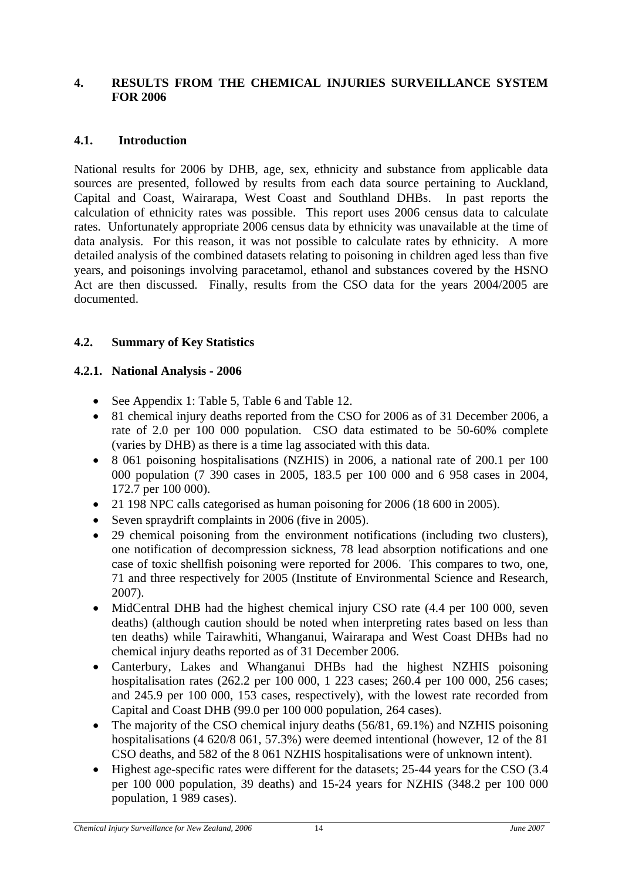#### <span id="page-23-0"></span>**4. RESULTS FROM THE CHEMICAL INJURIES SURVEILLANCE SYSTEM FOR 2006**

#### **4.1. Introduction**

National results for 2006 by DHB, age, sex, ethnicity and substance from applicable data sources are presented, followed by results from each data source pertaining to Auckland, Capital and Coast, Wairarapa, West Coast and Southland DHBs. In past reports the calculation of ethnicity rates was possible. This report uses 2006 census data to calculate rates. Unfortunately appropriate 2006 census data by ethnicity was unavailable at the time of data analysis. For this reason, it was not possible to calculate rates by ethnicity. A more detailed analysis of the combined datasets relating to poisoning in children aged less than five years, and poisonings involving paracetamol, ethanol and substances covered by the HSNO Act are then discussed. Finally, results from the CSO data for the years 2004/2005 are documented.

#### **4.2. Summary of Key Statistics**

#### **4.2.1. National Analysis - 2006**

- See [Appendix 1:](#page-56-1) [Table 5](#page-56-2), [Table 6](#page-57-1) and [Table 12](#page-60-1).
- 81 chemical injury deaths reported from the CSO for 2006 as of 31 December 2006, a rate of 2.0 per 100 000 population. CSO data estimated to be 50-60% complete (varies by DHB) as there is a time lag associated with this data.
- 8 061 poisoning hospitalisations (NZHIS) in 2006, a national rate of 200.1 per 100 000 population (7 390 cases in 2005, 183.5 per 100 000 and 6 958 cases in 2004, 172.7 per 100 000).
- 21 198 NPC calls categorised as human poisoning for 2006 (18 600 in 2005).
- Seven spraydrift complaints in 2006 (five in 2005).
- 29 chemical poisoning from the environment notifications (including two clusters), one notification of decompression sickness, 78 lead absorption notifications and one case of toxic shellfish poisoning were reported for 2006. This compares to two, one, 71 and three respectively for 2005 (Institute of Environmental Science and Research, 2007).
- MidCentral DHB had the highest chemical injury CSO rate (4.4 per 100 000, seven deaths) (although caution should be noted when interpreting rates based on less than ten deaths) while Tairawhiti, Whanganui, Wairarapa and West Coast DHBs had no chemical injury deaths reported as of 31 December 2006.
- Canterbury, Lakes and Whanganui DHBs had the highest NZHIS poisoning hospitalisation rates (262.2 per 100 000, 1 223 cases; 260.4 per 100 000, 256 cases; and 245.9 per 100 000, 153 cases, respectively), with the lowest rate recorded from Capital and Coast DHB (99.0 per 100 000 population, 264 cases).
- The majority of the CSO chemical injury deaths (56/81, 69.1%) and NZHIS poisoning hospitalisations (4 620/8 061, 57.3%) were deemed intentional (however, 12 of the 81 CSO deaths, and 582 of the 8 061 NZHIS hospitalisations were of unknown intent).
- Highest age-specific rates were different for the datasets; 25-44 years for the CSO (3.4) per 100 000 population, 39 deaths) and 15-24 years for NZHIS (348.2 per 100 000 population, 1 989 cases).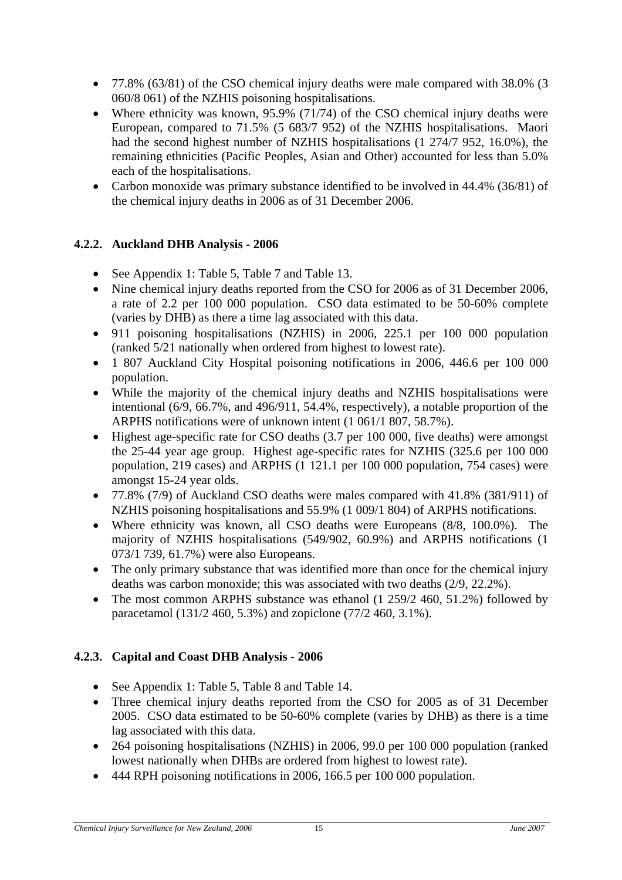- <span id="page-24-0"></span>• 77.8% (63/81) of the CSO chemical injury deaths were male compared with 38.0% (3 060/8 061) of the NZHIS poisoning hospitalisations.
- Where ethnicity was known, 95.9% (71/74) of the CSO chemical injury deaths were European, compared to 71.5% (5 683/7 952) of the NZHIS hospitalisations. Maori had the second highest number of NZHIS hospitalisations (1 274/7 952, 16.0%), the remaining ethnicities (Pacific Peoples, Asian and Other) accounted for less than 5.0% each of the hospitalisations.
- Carbon monoxide was primary substance identified to be involved in 44.4% (36/81) of the chemical injury deaths in 2006 as of 31 December 2006.

# **4.2.2. Auckland DHB Analysis - 2006**

- See [Appendix 1:](#page-56-1) [Table 5](#page-56-2), [Table 7](#page-57-2) and [Table 13](#page-60-2).
- Nine chemical injury deaths reported from the CSO for 2006 as of 31 December 2006, a rate of 2.2 per 100 000 population. CSO data estimated to be 50-60% complete (varies by DHB) as there a time lag associated with this data.
- 911 poisoning hospitalisations (NZHIS) in 2006, 225.1 per 100 000 population (ranked 5/21 nationally when ordered from highest to lowest rate).
- 1 807 Auckland City Hospital poisoning notifications in 2006, 446.6 per 100 000 population.
- While the majority of the chemical injury deaths and NZHIS hospitalisations were intentional (6/9, 66.7%, and 496/911, 54.4%, respectively), a notable proportion of the ARPHS notifications were of unknown intent (1 061/1 807, 58.7%).
- Highest age-specific rate for CSO deaths (3.7 per 100 000, five deaths) were amongst the 25-44 year age group. Highest age-specific rates for NZHIS (325.6 per 100 000 population, 219 cases) and ARPHS (1 121.1 per 100 000 population, 754 cases) were amongst 15-24 year olds.
- 77.8% (7/9) of Auckland CSO deaths were males compared with 41.8% (381/911) of NZHIS poisoning hospitalisations and 55.9% (1 009/1 804) of ARPHS notifications.
- Where ethnicity was known, all CSO deaths were Europeans (8/8, 100.0%). The majority of NZHIS hospitalisations (549/902, 60.9%) and ARPHS notifications (1 073/1 739, 61.7%) were also Europeans.
- The only primary substance that was identified more than once for the chemical injury deaths was carbon monoxide; this was associated with two deaths (2/9, 22.2%).
- The most common ARPHS substance was ethanol (1 259/2 460, 51.2%) followed by paracetamol (131/2 460, 5.3%) and zopiclone (77/2 460, 3.1%).

### **4.2.3. Capital and Coast DHB Analysis - 2006**

- See [Appendix 1:](#page-56-1) [Table 5](#page-56-2), [Table 8](#page-58-1) and [Table 14](#page-61-1).
- Three chemical injury deaths reported from the CSO for 2005 as of 31 December 2005. CSO data estimated to be 50-60% complete (varies by DHB) as there is a time lag associated with this data.
- 264 poisoning hospitalisations (NZHIS) in 2006, 99.0 per 100 000 population (ranked lowest nationally when DHBs are ordered from highest to lowest rate).
- 444 RPH poisoning notifications in 2006, 166.5 per 100 000 population.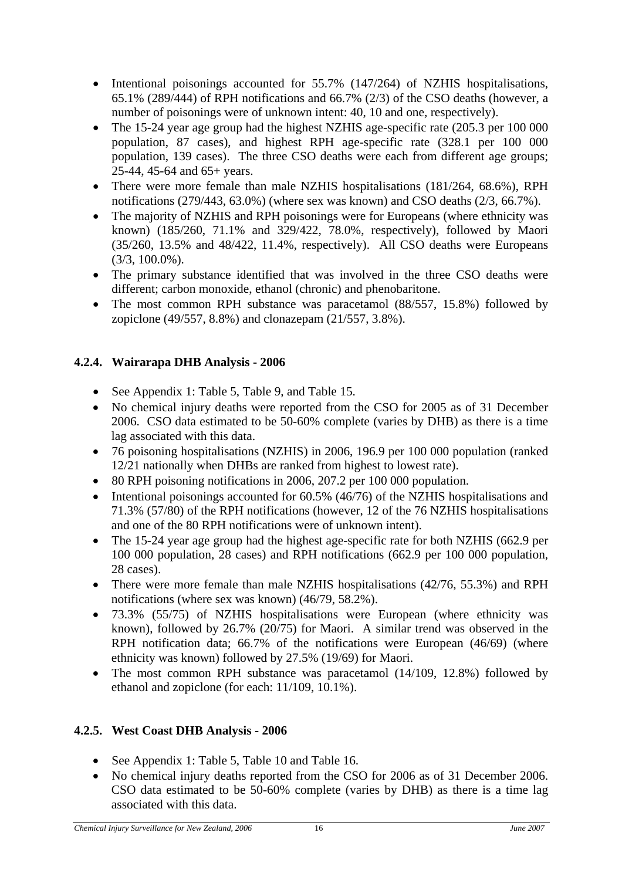- <span id="page-25-0"></span>• Intentional poisonings accounted for 55.7% (147/264) of NZHIS hospitalisations, 65.1% (289/444) of RPH notifications and 66.7% (2/3) of the CSO deaths (however, a number of poisonings were of unknown intent: 40, 10 and one, respectively).
- The 15-24 year age group had the highest NZHIS age-specific rate (205.3 per 100 000 population, 87 cases), and highest RPH age-specific rate (328.1 per 100 000 population, 139 cases). The three CSO deaths were each from different age groups; 25-44, 45-64 and 65+ years.
- There were more female than male NZHIS hospitalisations (181/264, 68.6%), RPH notifications (279/443, 63.0%) (where sex was known) and CSO deaths (2/3, 66.7%).
- The majority of NZHIS and RPH poisonings were for Europeans (where ethnicity was known) (185/260, 71.1% and 329/422, 78.0%, respectively), followed by Maori (35/260, 13.5% and 48/422, 11.4%, respectively). All CSO deaths were Europeans (3/3, 100.0%).
- The primary substance identified that was involved in the three CSO deaths were different; carbon monoxide, ethanol (chronic) and phenobaritone.
- The most common RPH substance was paracetamol (88/557, 15.8%) followed by zopiclone (49/557, 8.8%) and clonazepam (21/557, 3.8%).

# **4.2.4. Wairarapa DHB Analysis - 2006**

- See [Appendix 1:](#page-56-1) [Table 5](#page-56-2), [Table 9,](#page-58-2) and [Table 15](#page-61-2).
- No chemical injury deaths were reported from the CSO for 2005 as of 31 December 2006. CSO data estimated to be 50-60% complete (varies by DHB) as there is a time lag associated with this data.
- 76 poisoning hospitalisations (NZHIS) in 2006, 196.9 per 100 000 population (ranked 12/21 nationally when DHBs are ranked from highest to lowest rate).
- 80 RPH poisoning notifications in 2006, 207.2 per 100 000 population.
- Intentional poisonings accounted for 60.5% (46/76) of the NZHIS hospitalisations and 71.3% (57/80) of the RPH notifications (however, 12 of the 76 NZHIS hospitalisations and one of the 80 RPH notifications were of unknown intent).
- The 15-24 year age group had the highest age-specific rate for both NZHIS (662.9 per 100 000 population, 28 cases) and RPH notifications (662.9 per 100 000 population, 28 cases).
- There were more female than male NZHIS hospitalisations (42/76, 55.3%) and RPH notifications (where sex was known) (46/79, 58.2%).
- 73.3% (55/75) of NZHIS hospitalisations were European (where ethnicity was known), followed by 26.7% (20/75) for Maori. A similar trend was observed in the RPH notification data; 66.7% of the notifications were European (46/69) (where ethnicity was known) followed by 27.5% (19/69) for Maori.
- The most common RPH substance was paracetamol (14/109, 12.8%) followed by ethanol and zopiclone (for each: 11/109, 10.1%).

# **4.2.5. West Coast DHB Analysis - 2006**

- See [Appendix 1:](#page-56-1) [Table 5](#page-56-2), [Table 10](#page-59-1) and [Table 16](#page-62-1).
- No chemical injury deaths reported from the CSO for 2006 as of 31 December 2006. CSO data estimated to be 50-60% complete (varies by DHB) as there is a time lag associated with this data.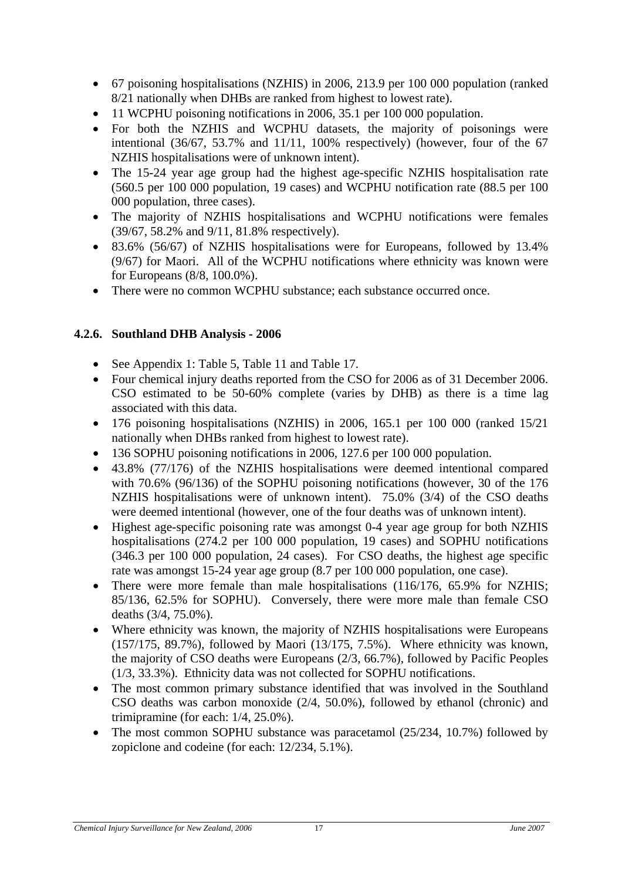- <span id="page-26-0"></span>• 67 poisoning hospitalisations (NZHIS) in 2006, 213.9 per 100 000 population (ranked 8/21 nationally when DHBs are ranked from highest to lowest rate).
- 11 WCPHU poisoning notifications in 2006, 35.1 per 100 000 population.
- For both the NZHIS and WCPHU datasets, the majority of poisonings were intentional  $(36/67, 53.7\%$  and  $11/11, 100\%$  respectively) (however, four of the 67 NZHIS hospitalisations were of unknown intent).
- The 15-24 year age group had the highest age-specific NZHIS hospitalisation rate (560.5 per 100 000 population, 19 cases) and WCPHU notification rate (88.5 per 100 000 population, three cases).
- The majority of NZHIS hospitalisations and WCPHU notifications were females (39/67, 58.2% and 9/11, 81.8% respectively).
- 83.6% (56/67) of NZHIS hospitalisations were for Europeans, followed by 13.4% (9/67) for Maori. All of the WCPHU notifications where ethnicity was known were for Europeans (8/8, 100.0%).
- There were no common WCPHU substance; each substance occurred once.

### **4.2.6. Southland DHB Analysis - 2006**

- See [Appendix 1:](#page-56-1) [Table 5](#page-56-2), [Table 11](#page-59-2) and [Table 17](#page-62-2).
- Four chemical injury deaths reported from the CSO for 2006 as of 31 December 2006. CSO estimated to be 50-60% complete (varies by DHB) as there is a time lag associated with this data.
- 176 poisoning hospitalisations (NZHIS) in 2006, 165.1 per 100 000 (ranked 15/21 nationally when DHBs ranked from highest to lowest rate).
- 136 SOPHU poisoning notifications in 2006, 127.6 per 100 000 population.
- 43.8% (77/176) of the NZHIS hospitalisations were deemed intentional compared with 70.6% (96/136) of the SOPHU poisoning notifications (however, 30 of the 176 NZHIS hospitalisations were of unknown intent). 75.0% (3/4) of the CSO deaths were deemed intentional (however, one of the four deaths was of unknown intent).
- Highest age-specific poisoning rate was amongst 0-4 year age group for both NZHIS hospitalisations (274.2 per 100 000 population, 19 cases) and SOPHU notifications (346.3 per 100 000 population, 24 cases). For CSO deaths, the highest age specific rate was amongst 15-24 year age group (8.7 per 100 000 population, one case).
- There were more female than male hospitalisations (116/176, 65.9% for NZHIS; 85/136, 62.5% for SOPHU). Conversely, there were more male than female CSO deaths (3/4, 75.0%).
- Where ethnicity was known, the majority of NZHIS hospitalisations were Europeans (157/175, 89.7%), followed by Maori (13/175, 7.5%). Where ethnicity was known, the majority of CSO deaths were Europeans (2/3, 66.7%), followed by Pacific Peoples (1/3, 33.3%). Ethnicity data was not collected for SOPHU notifications.
- The most common primary substance identified that was involved in the Southland CSO deaths was carbon monoxide (2/4, 50.0%), followed by ethanol (chronic) and trimipramine (for each: 1/4, 25.0%).
- The most common SOPHU substance was paracetamol (25/234, 10.7%) followed by zopiclone and codeine (for each: 12/234, 5.1%).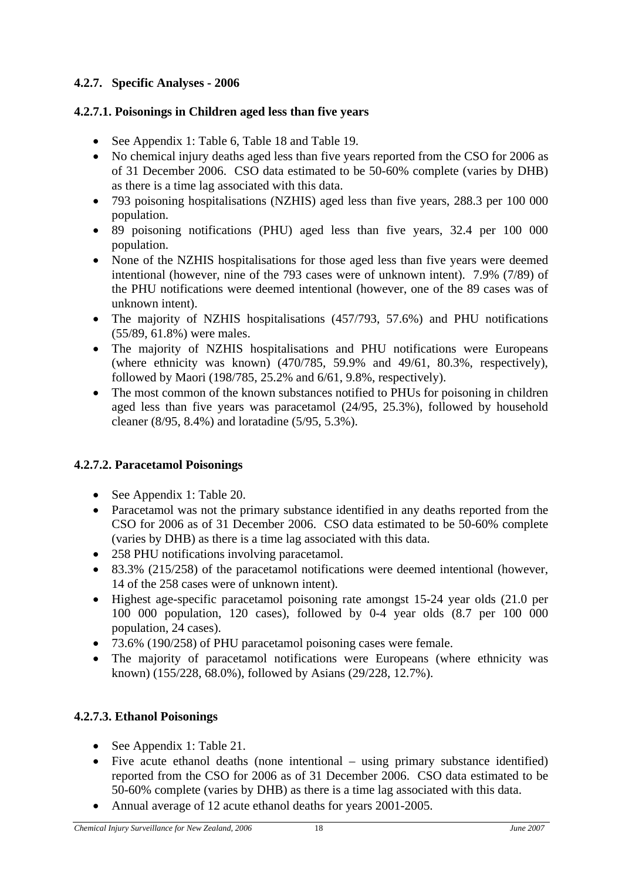# <span id="page-27-0"></span>**4.2.7. Specific Analyses - 2006**

### **4.2.7.1. Poisonings in Children aged less than five years**

- See [Appendix 1:](#page-56-1) [Table 6](#page-57-1), [Table 18](#page-63-1) and [Table 19](#page-63-2).
- No chemical injury deaths aged less than five years reported from the CSO for 2006 as of 31 December 2006. CSO data estimated to be 50-60% complete (varies by DHB) as there is a time lag associated with this data.
- 793 poisoning hospitalisations (NZHIS) aged less than five years, 288.3 per 100 000 population.
- 89 poisoning notifications (PHU) aged less than five years, 32.4 per 100 000 population.
- None of the NZHIS hospitalisations for those aged less than five years were deemed intentional (however, nine of the 793 cases were of unknown intent). 7.9% (7/89) of the PHU notifications were deemed intentional (however, one of the 89 cases was of unknown intent).
- The majority of NZHIS hospitalisations (457/793, 57.6%) and PHU notifications (55/89, 61.8%) were males.
- The majority of NZHIS hospitalisations and PHU notifications were Europeans (where ethnicity was known) (470/785, 59.9% and 49/61, 80.3%, respectively), followed by Maori (198/785, 25.2% and 6/61, 9.8%, respectively).
- The most common of the known substances notified to PHUs for poisoning in children aged less than five years was paracetamol (24/95, 25.3%), followed by household cleaner (8/95, 8.4%) and loratadine (5/95, 5.3%).

# **4.2.7.2. Paracetamol Poisonings**

- See [Appendix 1:](#page-56-1) [Table 20](#page-64-1).
- Paracetamol was not the primary substance identified in any deaths reported from the CSO for 2006 as of 31 December 2006. CSO data estimated to be 50-60% complete (varies by DHB) as there is a time lag associated with this data.
- 258 PHU notifications involving paracetamol.
- 83.3% (215/258) of the paracetamol notifications were deemed intentional (however, 14 of the 258 cases were of unknown intent).
- Highest age-specific paracetamol poisoning rate amongst 15-24 year olds (21.0 per 100 000 population, 120 cases), followed by 0-4 year olds (8.7 per 100 000 population, 24 cases).
- 73.6% (190/258) of PHU paracetamol poisoning cases were female.
- The majority of paracetamol notifications were Europeans (where ethnicity was known) (155/228, 68.0%), followed by Asians (29/228, 12.7%).

# **4.2.7.3. Ethanol Poisonings**

- See [Appendix 1:](#page-56-1) [Table 21](#page-65-1).
- Five acute ethanol deaths (none intentional using primary substance identified) reported from the CSO for 2006 as of 31 December 2006. CSO data estimated to be 50-60% complete (varies by DHB) as there is a time lag associated with this data.
- Annual average of 12 acute ethanol deaths for years 2001-2005.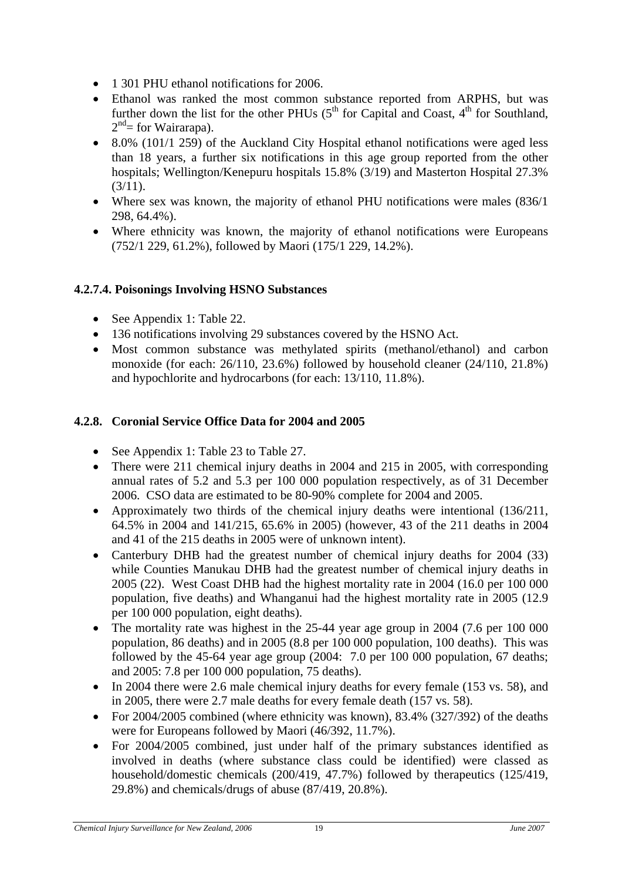- <span id="page-28-0"></span>• 1 301 PHU ethanol notifications for 2006.
- Ethanol was ranked the most common substance reported from ARPHS, but was further down the list for the other PHUs  $(5<sup>th</sup>$  for Capital and Coast,  $4<sup>th</sup>$  for Southland,  $2<sup>nd</sup>$  = for Wairarapa).
- 8.0% (101/1 259) of the Auckland City Hospital ethanol notifications were aged less than 18 years, a further six notifications in this age group reported from the other hospitals; Wellington/Kenepuru hospitals 15.8% (3/19) and Masterton Hospital 27.3%  $(3/11).$
- Where sex was known, the majority of ethanol PHU notifications were males (836/1 298, 64.4%).
- Where ethnicity was known, the majority of ethanol notifications were Europeans (752/1 229, 61.2%), followed by Maori (175/1 229, 14.2%).

# **4.2.7.4. Poisonings Involving HSNO Substances**

- See [Appendix 1:](#page-56-1) [Table 22](#page-66-1).
- 136 notifications involving 29 substances covered by the HSNO Act.
- Most common substance was methylated spirits (methanol/ethanol) and carbon monoxide (for each: 26/110, 23.6%) followed by household cleaner (24/110, 21.8%) and hypochlorite and hydrocarbons (for each: 13/110, 11.8%).

# **4.2.8. Coronial Service Office Data for 2004 and 2005**

- See [Appendix 1:](#page-56-1) [Table 23](#page-67-1) to [Table 27.](#page-69-1)
- There were 211 chemical injury deaths in 2004 and 215 in 2005, with corresponding annual rates of 5.2 and 5.3 per 100 000 population respectively, as of 31 December 2006. CSO data are estimated to be 80-90% complete for 2004 and 2005.
- Approximately two thirds of the chemical injury deaths were intentional (136/211, 64.5% in 2004 and 141/215, 65.6% in 2005) (however, 43 of the 211 deaths in 2004 and 41 of the 215 deaths in 2005 were of unknown intent).
- Canterbury DHB had the greatest number of chemical injury deaths for 2004 (33) while Counties Manukau DHB had the greatest number of chemical injury deaths in 2005 (22). West Coast DHB had the highest mortality rate in 2004 (16.0 per 100 000 population, five deaths) and Whanganui had the highest mortality rate in 2005 (12.9 per 100 000 population, eight deaths).
- The mortality rate was highest in the 25-44 year age group in 2004 (7.6 per 100 000 population, 86 deaths) and in 2005 (8.8 per 100 000 population, 100 deaths). This was followed by the 45-64 year age group (2004: 7.0 per 100 000 population, 67 deaths; and 2005: 7.8 per 100 000 population, 75 deaths).
- In 2004 there were 2.6 male chemical injury deaths for every female (153 vs. 58), and in 2005, there were 2.7 male deaths for every female death (157 vs. 58).
- For 2004/2005 combined (where ethnicity was known), 83.4% (327/392) of the deaths were for Europeans followed by Maori (46/392, 11.7%).
- For 2004/2005 combined, just under half of the primary substances identified as involved in deaths (where substance class could be identified) were classed as household/domestic chemicals (200/419, 47.7%) followed by therapeutics (125/419, 29.8%) and chemicals/drugs of abuse (87/419, 20.8%).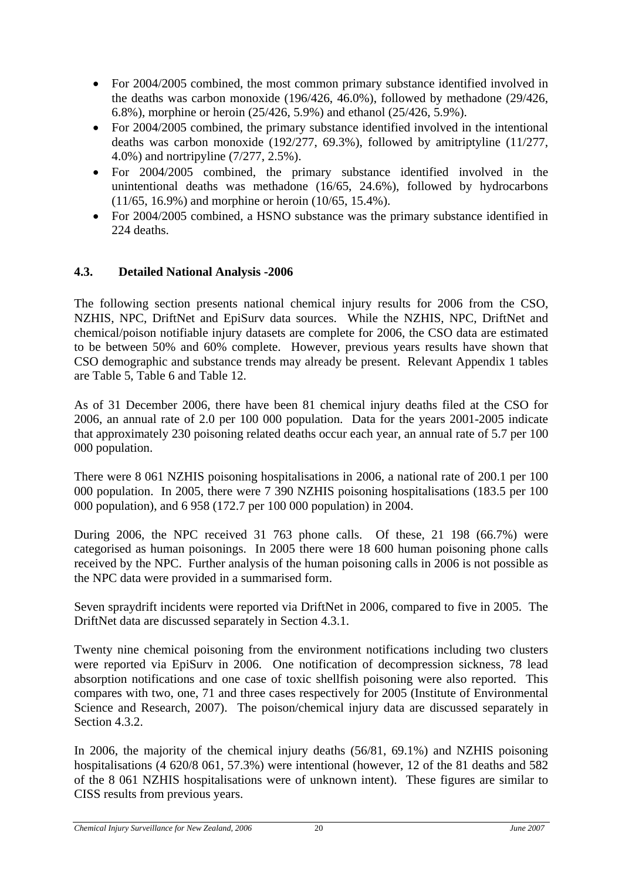- <span id="page-29-0"></span>• For 2004/2005 combined, the most common primary substance identified involved in the deaths was carbon monoxide (196/426, 46.0%), followed by methadone (29/426, 6.8%), morphine or heroin (25/426, 5.9%) and ethanol (25/426, 5.9%).
- For 2004/2005 combined, the primary substance identified involved in the intentional deaths was carbon monoxide (192/277, 69.3%), followed by amitriptyline (11/277, 4.0%) and nortripyline (7/277, 2.5%).
- For 2004/2005 combined, the primary substance identified involved in the unintentional deaths was methadone (16/65, 24.6%), followed by hydrocarbons (11/65, 16.9%) and morphine or heroin (10/65, 15.4%).
- For 2004/2005 combined, a HSNO substance was the primary substance identified in 224 deaths.

# **4.3. Detailed National Analysis -2006**

The following section presents national chemical injury results for 2006 from the CSO, NZHIS, NPC, DriftNet and EpiSurv data sources. While the NZHIS, NPC, DriftNet and chemical/poison notifiable injury datasets are complete for 2006, the CSO data are estimated to be between 50% and 60% complete. However, previous years results have shown that CSO demographic and substance trends may already be present. Relevant [Appendix 1](#page-56-1) tables are [Table 5,](#page-56-2) [Table 6](#page-57-1) and [Table 12.](#page-60-1)

As of 31 December 2006, there have been 81 chemical injury deaths filed at the CSO for 2006, an annual rate of 2.0 per 100 000 population. Data for the years 2001-2005 indicate that approximately 230 poisoning related deaths occur each year, an annual rate of 5.7 per 100 000 population.

There were 8 061 NZHIS poisoning hospitalisations in 2006, a national rate of 200.1 per 100 000 population. In 2005, there were 7 390 NZHIS poisoning hospitalisations (183.5 per 100 000 population), and 6 958 (172.7 per 100 000 population) in 2004.

During 2006, the NPC received 31 763 phone calls. Of these, 21 198 (66.7%) were categorised as human poisonings. In 2005 there were 18 600 human poisoning phone calls received by the NPC. Further analysis of the human poisoning calls in 2006 is not possible as the NPC data were provided in a summarised form.

Seven spraydrift incidents were reported via DriftNet in 2006, compared to five in 2005. The DriftNet data are discussed separately in Section 4.3.1.

Twenty nine chemical poisoning from the environment notifications including two clusters were reported via EpiSurv in 2006. One notification of decompression sickness, 78 lead absorption notifications and one case of toxic shellfish poisoning were also reported. This compares with two, one, 71 and three cases respectively for 2005 (Institute of Environmental Science and Research, 2007). The poison/chemical injury data are discussed separately in Section 4.3.2.

In 2006, the majority of the chemical injury deaths (56/81, 69.1%) and NZHIS poisoning hospitalisations (4 620/8 061, 57.3%) were intentional (however, 12 of the 81 deaths and 582 of the 8 061 NZHIS hospitalisations were of unknown intent). These figures are similar to CISS results from previous years.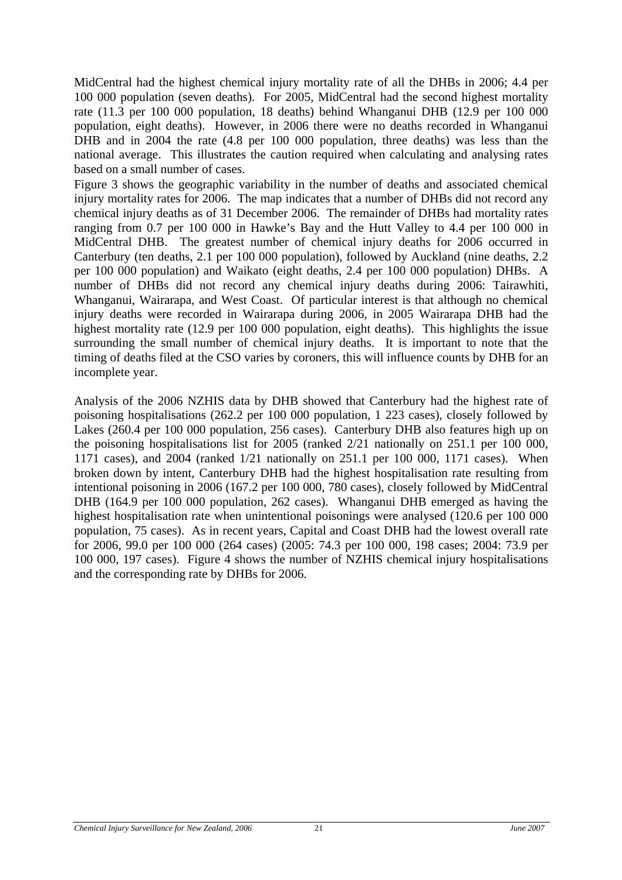MidCentral had the highest chemical injury mortality rate of all the DHBs in 2006; 4.4 per 100 000 population (seven deaths). For 2005, MidCentral had the second highest mortality rate (11.3 per 100 000 population, 18 deaths) behind Whanganui DHB (12.9 per 100 000 population, eight deaths). However, in 2006 there were no deaths recorded in Whanganui DHB and in 2004 the rate  $(4.8 \text{ per } 100 \text{ } 000 \text{ population},$  three deaths) was less than the national average. This illustrates the caution required when calculating and analysing rates [b](#page-31-1)ased on a small number of cases.

Figure 3 shows the geographic variability in the number of deaths and associated chemical injury mortality rates for 2006. The map indicates that a number of DHBs did not record any chemical injury deaths as of 31 December 2006. The remainder of DHBs had mortality rates ranging from 0.7 per 100 000 in Hawke's Bay and the Hutt Valley to 4.4 per 100 000 in MidCentral DHB. The greatest number of chemical injury deaths for 2006 occurred in Canterbury (ten deaths, 2.1 per 100 000 population), followed by Auckland (nine deaths, 2.2 per 100 000 population) and Waikato (eight deaths, 2.4 per 100 000 population) DHBs. A number of DHBs did not record any chemical injury deaths during 2006: Tairawhiti, Whanganui, Wairarapa, and West Coast. Of particular interest is that although no chemical injury deaths were recorded in Wairarapa during 2006, in 2005 Wairarapa DHB had the highest mortality rate (12.9 per 100 000 population, eight deaths). This highlights the issue surrounding the small number of chemical injury deaths. It is important to note that the timing of deaths filed at the CSO varies by coroners, this will influence counts by DHB for an incomplete year.

Analysis of the 2006 NZHIS data by DHB showed that Canterbury had the highest rate of poisoning hospitalisations (262.2 per 100 000 population, 1 223 cases), closely followed by Lakes (260.4 per 100 000 population, 256 cases). Canterbury DHB also features high up on the poisoning hospitalisations list for 2005 (ranked 2/21 nationally on 251.1 per 100 000, 1171 cases), and 2004 (ranked 1/21 nationally on 251.1 per 100 000, 1171 cases). When broken down by intent, Canterbury DHB had the highest hospitalisation rate resulting from intentional poisoning in 2006 (167.2 per 100 000, 780 cases), closely followed by MidCentral DHB (164.9 per 100 000 population, 262 cases). Whanganui DHB emerged as having the highest hospitalisation rate when unintentional poisonings were analysed (120.6 per 100 000 population, 75 cases). As in recent years, Capital and Coast DHB had the lowest overall rate for 2006, 99.0 per 100 000 (264 cases) (2005: 74.3 per 100 000, 198 cases; 2004: 73.9 per 100 000, 197 cases). Figure 4 shows the number of NZHIS chemical injury hospitalisations and the corresponding rate by DHBs for 2006.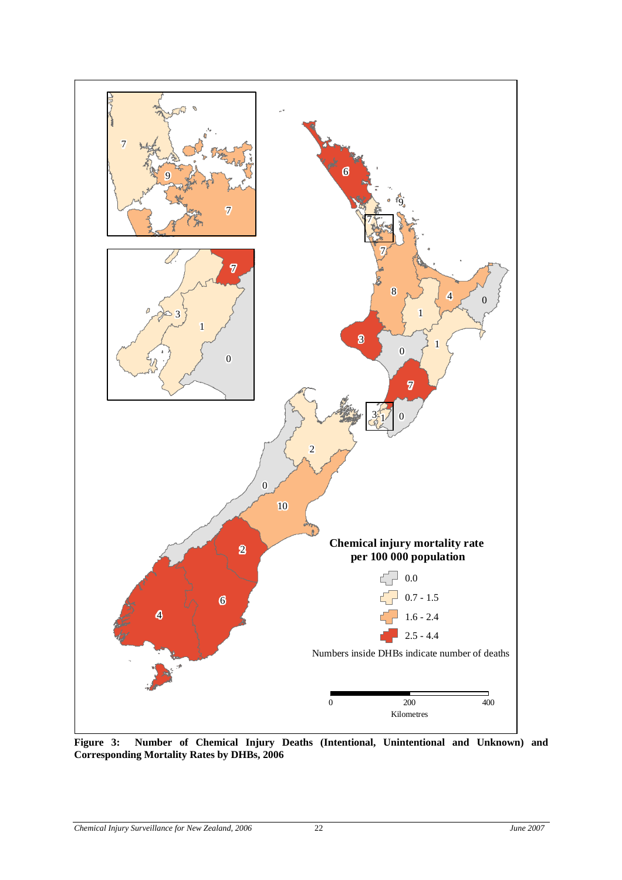<span id="page-31-0"></span>

<span id="page-31-1"></span>**Figure 3: Number of Chemical Injury Deaths (Intentional, Unintentional and Unknown) and Corresponding Mortality Rates by DHBs, 2006**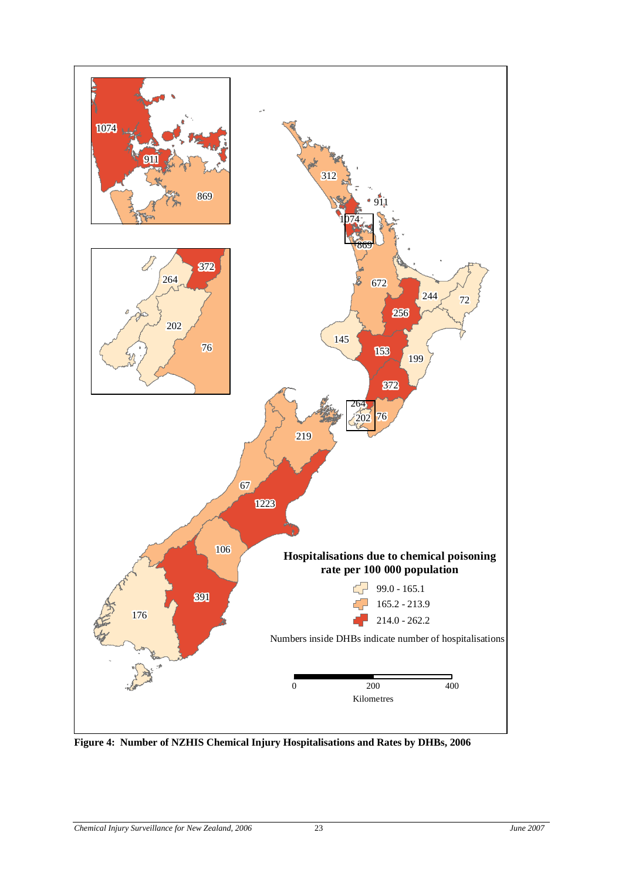<span id="page-32-0"></span>

**Figure 4: Number of NZHIS Chemical Injury Hospitalisations and Rates by DHBs, 2006**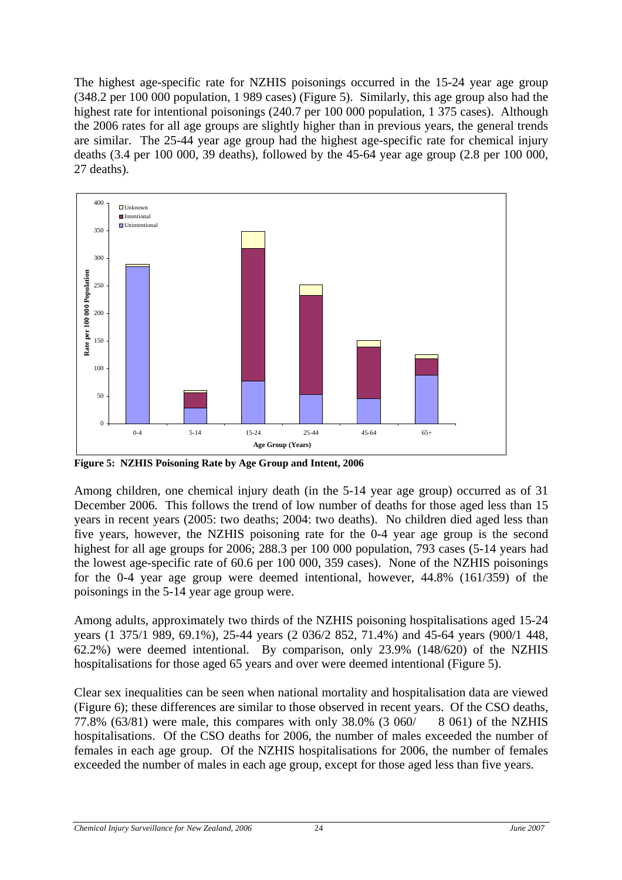<span id="page-33-0"></span>The highest age-specific rate for NZHIS poisonings occurred in the 15-24 year age group (348.2 per 100 000 population, 1 989 cases) (Figure 5). Similarly, this age group also had the highest rate for intentional poisonings (240.7 per 100 000 population, 1 375 cases). Although the 2006 rates for all age groups are slightly higher than in previous years, the general trends are similar. The 25-44 year age group had the highest age-specific rate for chemical injury deaths (3.4 per 100 000, 39 deaths), followed by the 45-64 year age group (2.8 per 100 000, 27 deaths).



**Figure 5: NZHIS Poisoning Rate by Age Group and Intent, 2006** 

Among children, one chemical injury death (in the 5-14 year age group) occurred as of 31 December 2006. This follows the trend of low number of deaths for those aged less than 15 years in recent years (2005: two deaths; 2004: two deaths). No children died aged less than five years, however, the NZHIS poisoning rate for the 0-4 year age group is the second highest for all age groups for 2006; 288.3 per 100 000 population, 793 cases (5-14 years had the lowest age-specific rate of 60.6 per 100 000, 359 cases). None of the NZHIS poisonings for the 0-4 year age group were deemed intentional, however, 44.8% (161/359) of the poisonings in the 5-14 year age group were.

Among adults, approximately two thirds of the NZHIS poisoning hospitalisations aged 15-24 years (1 375/1 989, 69.1%), 25-44 years (2 036/2 852, 71.4%) and 45-64 years (900/1 448, 62.2%) were deemed intentional. By comparison, only 23.9% (148/620) of the NZHIS hospitalisations for those aged 65 years and over were deemed intentional (Figure 5).

Clear sex inequalities can be seen when national mortality and hospitalisation data are viewed (Figure 6); these differences are similar to those observed in recent years. Of the CSO deaths, 77.8% (63/81) were male, this compares with only 38.0% (3 060/ 8 061) of the NZHIS hospitalisations. Of the CSO deaths for 2006, the number of males exceeded the number of females in each age group. Of the NZHIS hospitalisations for 2006, the number of females exceeded the number of males in each age group, except for those aged less than five years.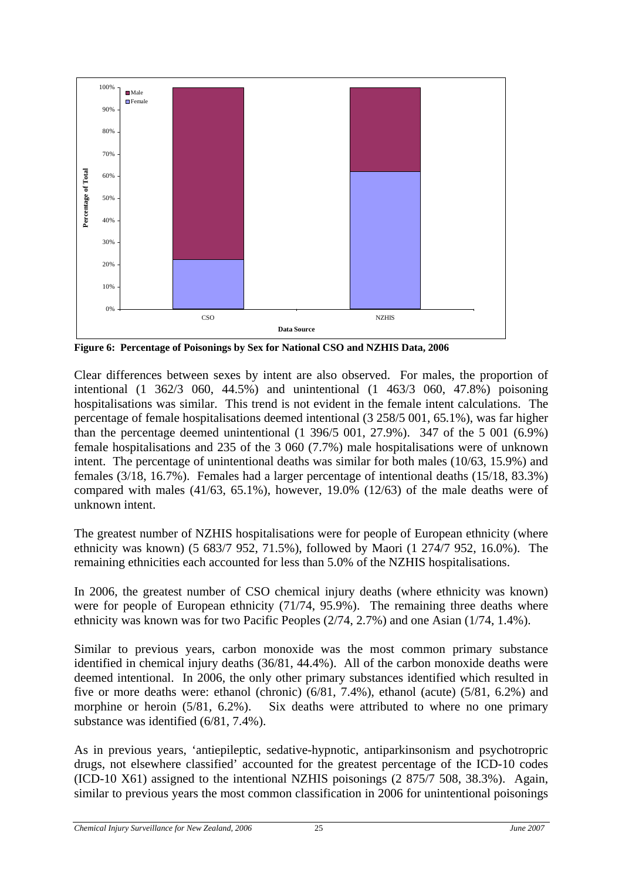<span id="page-34-0"></span>

**Figure 6: Percentage of Poisonings by Sex for National CSO and NZHIS Data, 2006** 

Clear differences between sexes by intent are also observed. For males, the proportion of intentional (1 362/3 060, 44.5%) and unintentional (1 463/3 060, 47.8%) poisoning hospitalisations was similar. This trend is not evident in the female intent calculations. The percentage of female hospitalisations deemed intentional (3 258/5 001, 65.1%), was far higher than the percentage deemed unintentional (1 396/5 001, 27.9%). 347 of the 5 001 (6.9%) female hospitalisations and 235 of the 3 060 (7.7%) male hospitalisations were of unknown intent. The percentage of unintentional deaths was similar for both males (10/63, 15.9%) and females (3/18, 16.7%). Females had a larger percentage of intentional deaths (15/18, 83.3%) compared with males (41/63, 65.1%), however, 19.0% (12/63) of the male deaths were of unknown intent.

The greatest number of NZHIS hospitalisations were for people of European ethnicity (where ethnicity was known) (5 683/7 952, 71.5%), followed by Maori (1 274/7 952, 16.0%). The remaining ethnicities each accounted for less than 5.0% of the NZHIS hospitalisations.

In 2006, the greatest number of CSO chemical injury deaths (where ethnicity was known) were for people of European ethnicity (71/74, 95.9%). The remaining three deaths where ethnicity was known was for two Pacific Peoples (2/74, 2.7%) and one Asian (1/74, 1.4%).

Similar to previous years, carbon monoxide was the most common primary substance identified in chemical injury deaths (36/81, 44.4%). All of the carbon monoxide deaths were deemed intentional. In 2006, the only other primary substances identified which resulted in five or more deaths were: ethanol (chronic) (6/81, 7.4%), ethanol (acute) (5/81, 6.2%) and morphine or heroin (5/81, 6.2%). Six deaths were attributed to where no one primary substance was identified (6/81, 7.4%).

As in previous years, 'antiepileptic, sedative-hypnotic, antiparkinsonism and psychotropric drugs, not elsewhere classified' accounted for the greatest percentage of the ICD-10 codes (ICD-10 X61) assigned to the intentional NZHIS poisonings (2 875/7 508, 38.3%). Again, similar to previous years the most common classification in 2006 for unintentional poisonings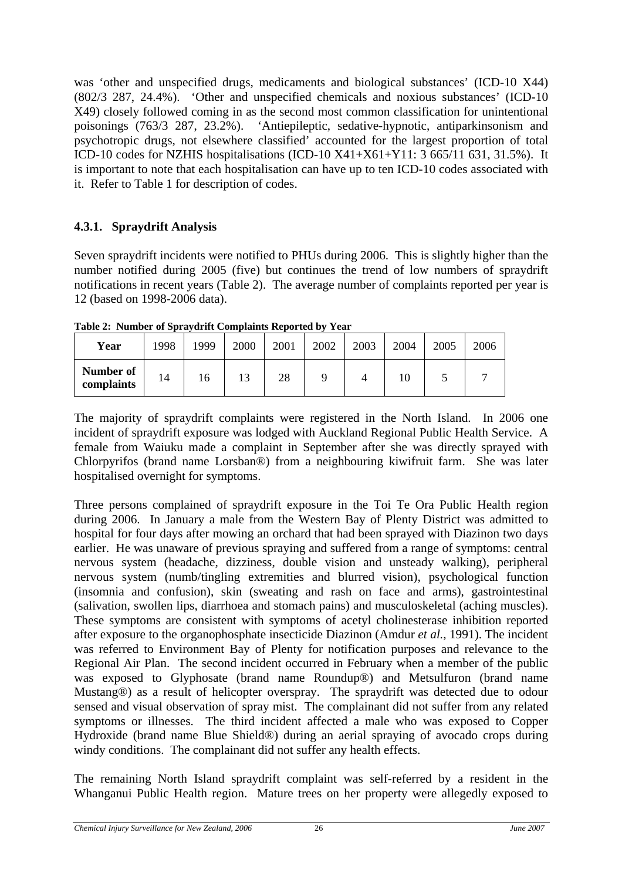<span id="page-35-0"></span>was 'other and unspecified drugs, medicaments and biological substances' (ICD-10 X44) (802/3 287, 24.4%). 'Other and unspecified chemicals and noxious substances' (ICD-10 X49) closely followed coming in as the second most common classification for unintentional poisonings (763/3 287, 23.2%). 'Antiepileptic, sedative-hypnotic, antiparkinsonism and psychotropic drugs, not elsewhere classified' accounted for the largest proportion of total ICD-10 codes for NZHIS hospitalisations (ICD-10 X41+X61+Y11: 3 665/11 631, 31.5%). It is important to note that each hospitalisation can have up to ten ICD-10 codes associated with it. Refer to Table 1 for description of codes.

# **4.3.1. Spraydrift Analysis**

Seven spraydrift incidents were notified to PHUs during 2006. This is slightly higher than the number notified during 2005 (five) but continues the trend of low numbers of spraydrift notifications in recent years (Table 2). The average number of complaints reported per year is 12 (based on 1998-2006 data).

**Table 2: Number of Spraydrift Complaints Reported by Year** 

| Year                    | 1998 | 1999 | 2000 | 2001 | 2002 | 2003 | 2004 | 2005 | 2006 |
|-------------------------|------|------|------|------|------|------|------|------|------|
| Number of<br>complaints | 14   | 16   | 13   | 28   |      |      | 10   |      |      |

The majority of spraydrift complaints were registered in the North Island. In 2006 one incident of spraydrift exposure was lodged with Auckland Regional Public Health Service. A female from Waiuku made a complaint in September after she was directly sprayed with Chlorpyrifos (brand name Lorsban®) from a neighbouring kiwifruit farm. She was later hospitalised overnight for symptoms.

Three persons complained of spraydrift exposure in the Toi Te Ora Public Health region during 2006. In January a male from the Western Bay of Plenty District was admitted to hospital for four days after mowing an orchard that had been sprayed with Diazinon two days earlier. He was unaware of previous spraying and suffered from a range of symptoms: central nervous system (headache, dizziness, double vision and unsteady walking), peripheral nervous system (numb/tingling extremities and blurred vision), psychological function (insomnia and confusion), skin (sweating and rash on face and arms), gastrointestinal (salivation, swollen lips, diarrhoea and stomach pains) and musculoskeletal (aching muscles). These symptoms are consistent with symptoms of acetyl cholinesterase inhibition reported after exposure to the organophosphate insecticide Diazinon (Amdur *et al.*, 1991). The incident was referred to Environment Bay of Plenty for notification purposes and relevance to the Regional Air Plan. The second incident occurred in February when a member of the public was exposed to Glyphosate (brand name Roundup®) and Metsulfuron (brand name Mustang®) as a result of helicopter overspray. The spraydrift was detected due to odour sensed and visual observation of spray mist. The complainant did not suffer from any related symptoms or illnesses. The third incident affected a male who was exposed to Copper Hydroxide (brand name Blue Shield®) during an aerial spraying of avocado crops during windy conditions. The complainant did not suffer any health effects.

The remaining North Island spraydrift complaint was self-referred by a resident in the Whanganui Public Health region. Mature trees on her property were allegedly exposed to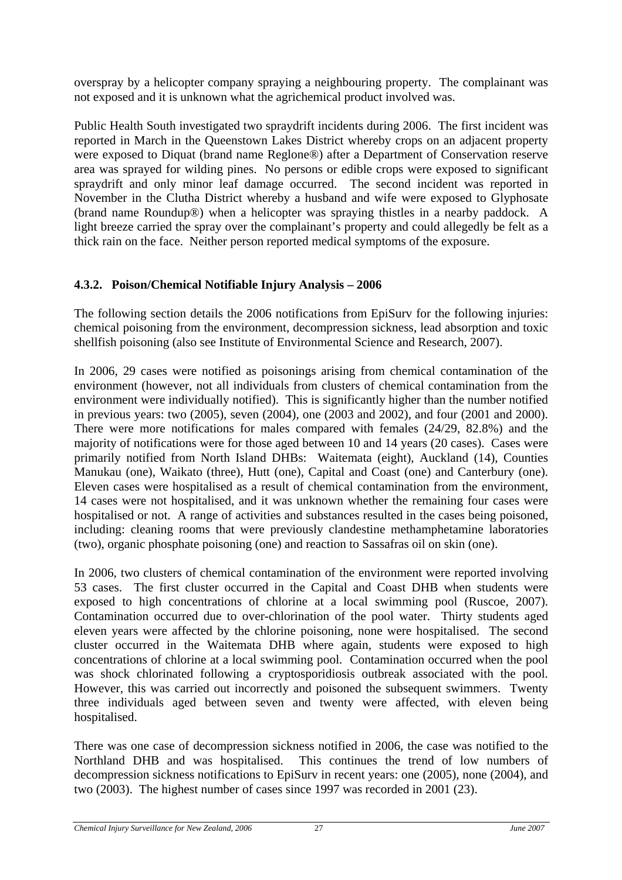<span id="page-36-0"></span>overspray by a helicopter company spraying a neighbouring property. The complainant was not exposed and it is unknown what the agrichemical product involved was.

Public Health South investigated two spraydrift incidents during 2006. The first incident was reported in March in the Queenstown Lakes District whereby crops on an adjacent property were exposed to Diquat (brand name Reglone®) after a Department of Conservation reserve area was sprayed for wilding pines. No persons or edible crops were exposed to significant spraydrift and only minor leaf damage occurred. The second incident was reported in November in the Clutha District whereby a husband and wife were exposed to Glyphosate (brand name Roundup®) when a helicopter was spraying thistles in a nearby paddock. A light breeze carried the spray over the complainant's property and could allegedly be felt as a thick rain on the face. Neither person reported medical symptoms of the exposure.

# **4.3.2. Poison/Chemical Notifiable Injury Analysis – 2006**

The following section details the 2006 notifications from EpiSurv for the following injuries: chemical poisoning from the environment, decompression sickness, lead absorption and toxic shellfish poisoning (also see Institute of Environmental Science and Research, 2007).

In 2006, 29 cases were notified as poisonings arising from chemical contamination of the environment (however, not all individuals from clusters of chemical contamination from the environment were individually notified). This is significantly higher than the number notified in previous years: two (2005), seven (2004), one (2003 and 2002), and four (2001 and 2000). There were more notifications for males compared with females (24/29, 82.8%) and the majority of notifications were for those aged between 10 and 14 years (20 cases). Cases were primarily notified from North Island DHBs: Waitemata (eight), Auckland (14), Counties Manukau (one), Waikato (three), Hutt (one), Capital and Coast (one) and Canterbury (one). Eleven cases were hospitalised as a result of chemical contamination from the environment, 14 cases were not hospitalised, and it was unknown whether the remaining four cases were hospitalised or not. A range of activities and substances resulted in the cases being poisoned, including: cleaning rooms that were previously clandestine methamphetamine laboratories (two), organic phosphate poisoning (one) and reaction to Sassafras oil on skin (one).

In 2006, two clusters of chemical contamination of the environment were reported involving 53 cases. The first cluster occurred in the Capital and Coast DHB when students were exposed to high concentrations of chlorine at a local swimming pool (Ruscoe, 2007). Contamination occurred due to over-chlorination of the pool water. Thirty students aged eleven years were affected by the chlorine poisoning, none were hospitalised. The second cluster occurred in the Waitemata DHB where again, students were exposed to high concentrations of chlorine at a local swimming pool. Contamination occurred when the pool was shock chlorinated following a cryptosporidiosis outbreak associated with the pool. However, this was carried out incorrectly and poisoned the subsequent swimmers. Twenty three individuals aged between seven and twenty were affected, with eleven being hospitalised.

There was one case of decompression sickness notified in 2006, the case was notified to the Northland DHB and was hospitalised. This continues the trend of low numbers of decompression sickness notifications to EpiSurv in recent years: one (2005), none (2004), and two (2003). The highest number of cases since 1997 was recorded in 2001 (23).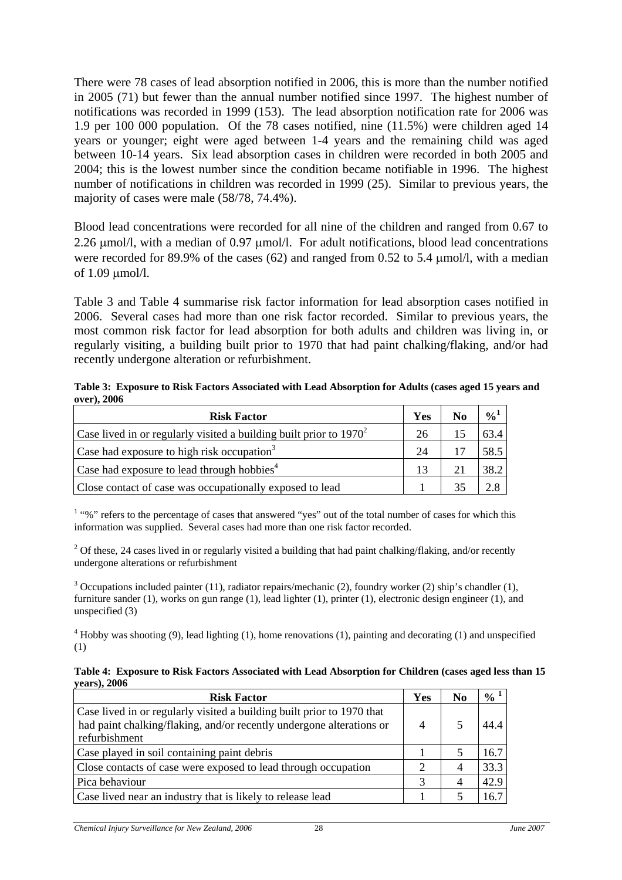<span id="page-37-0"></span>There were 78 cases of lead absorption notified in 2006, this is more than the number notified in 2005 (71) but fewer than the annual number notified since 1997. The highest number of notifications was recorded in 1999 (153). The lead absorption notification rate for 2006 was 1.9 per 100 000 population. Of the 78 cases notified, nine (11.5%) were children aged 14 years or younger; eight were aged between 1-4 years and the remaining child was aged between 10-14 years. Six lead absorption cases in children were recorded in both 2005 and 2004; this is the lowest number since the condition became notifiable in 1996. The highest number of notifications in children was recorded in 1999 (25). Similar to previous years, the majority of cases were male (58/78, 74.4%).

Blood lead concentrations were recorded for all nine of the children and ranged from 0.67 to 2.26 μmol/l, with a median of 0.97 μmol/l. For adult notifications, blood lead concentrations were recorded for 89.9% of the cases (62) and ranged from 0.52 to 5.4 μmol/l, with a median of 1.09 μmol/l.

Table 3 and Table 4 summarise risk factor information for lead absorption cases notified in 2006. Several cases had more than one risk factor recorded. Similar to previous years, the most common risk factor for lead absorption for both adults and children was living in, or regularly visiting, a building built prior to 1970 that had paint chalking/flaking, and/or had recently undergone alteration or refurbishment.

| Table 3: Exposure to Risk Factors Associated with Lead Absorption for Adults (cases aged 15 years and |  |
|-------------------------------------------------------------------------------------------------------|--|
| over), 2006                                                                                           |  |

| <b>Risk Factor</b>                                                    | Yes | N <sub>0</sub> | $\frac{0}{0}$ |
|-----------------------------------------------------------------------|-----|----------------|---------------|
| Case lived in or regularly visited a building built prior to $1970^2$ | 26  | 15             | 63.4          |
| Case had exposure to high risk occupation <sup>3</sup>                | 24  |                | 58.5          |
| Case had exposure to lead through hobbies <sup>4</sup>                | 13  | 21             | 38.2          |
| Close contact of case was occupationally exposed to lead              |     | 35             |               |

<sup>1</sup> "%" refers to the percentage of cases that answered "yes" out of the total number of cases for which this information was supplied. Several cases had more than one risk factor recorded.

<sup>2</sup> Of these, 24 cases lived in or regularly visited a building that had paint chalking/flaking, and/or recently undergone alterations or refurbishment

<sup>3</sup> Occupations included painter (11), radiator repairs/mechanic (2), foundry worker (2) ship's chandler (1), furniture sander (1), works on gun range (1), lead lighter (1), printer (1), electronic design engineer (1), and unspecified (3)

 $4$  Hobby was shooting (9), lead lighting (1), home renovations (1), painting and decorating (1) and unspecified (1)

**Table 4: Exposure to Risk Factors Associated with Lead Absorption for Children (cases aged less than 15 years), 2006** 

| <b>Risk Factor</b>                                                                                                                                              | Yes                         | $\bf No$ | $\frac{0}{0}$ <sup>1</sup> |
|-----------------------------------------------------------------------------------------------------------------------------------------------------------------|-----------------------------|----------|----------------------------|
| Case lived in or regularly visited a building built prior to 1970 that<br>had paint chalking/flaking, and/or recently undergone alterations or<br>refurbishment | 4                           |          | 44.4                       |
| Case played in soil containing paint debris                                                                                                                     |                             |          | 16.7                       |
| Close contacts of case were exposed to lead through occupation                                                                                                  | $\mathcal{D}_{\mathcal{A}}$ |          | 33.3                       |
| Pica behaviour                                                                                                                                                  | 3                           |          | 42.9                       |
| Case lived near an industry that is likely to release lead                                                                                                      |                             |          | 16.7                       |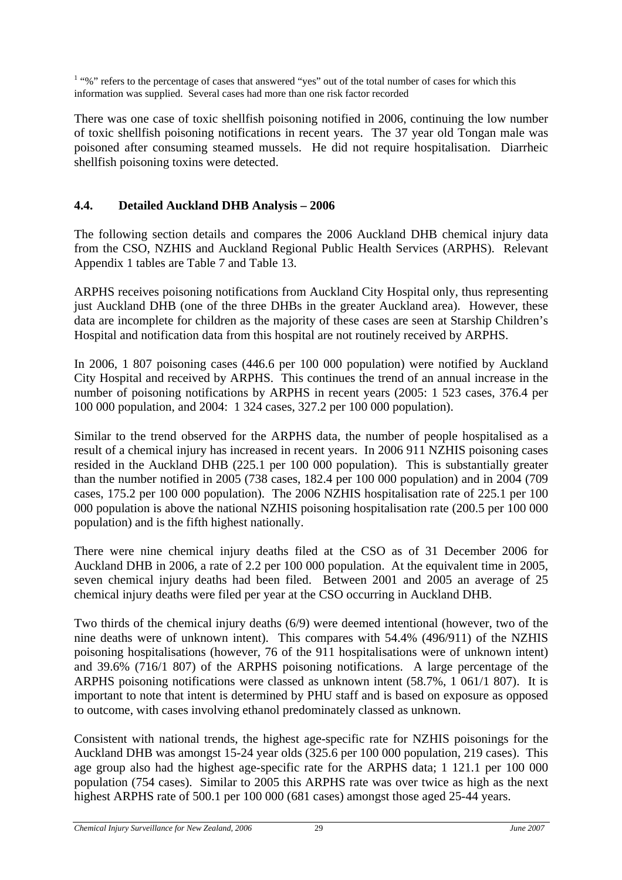<span id="page-38-0"></span><sup>1</sup> "%" refers to the percentage of cases that answered "yes" out of the total number of cases for which this information was supplied. Several cases had more than one risk factor recorded

There was one case of toxic shellfish poisoning notified in 2006, continuing the low number of toxic shellfish poisoning notifications in recent years. The 37 year old Tongan male was poisoned after consuming steamed mussels. He did not require hospitalisation. Diarrheic shellfish poisoning toxins were detected.

# **4.4. Detailed Auckland DHB Analysis – 2006**

The following section details and compares the 2006 Auckland DHB chemical injury data from the CSO, NZHIS and Auckland Regional Public Health Services (ARPHS). Relevant Appendix 1 tables are Table 7 and Table 13.

ARPHS receives poisoning notifications from Auckland City Hospital only, thus representing just Auckland DHB (one of the three DHBs in the greater Auckland area). However, these data are incomplete for children as the majority of these cases are seen at Starship Children's Hospital and notification data from this hospital are not routinely received by ARPHS.

In 2006, 1 807 poisoning cases (446.6 per 100 000 population) were notified by Auckland City Hospital and received by ARPHS. This continues the trend of an annual increase in the number of poisoning notifications by ARPHS in recent years (2005: 1 523 cases, 376.4 per 100 000 population, and 2004: 1 324 cases, 327.2 per 100 000 population).

Similar to the trend observed for the ARPHS data, the number of people hospitalised as a result of a chemical injury has increased in recent years. In 2006 911 NZHIS poisoning cases resided in the Auckland DHB (225.1 per 100 000 population). This is substantially greater than the number notified in 2005 (738 cases, 182.4 per 100 000 population) and in 2004 (709 cases, 175.2 per 100 000 population). The 2006 NZHIS hospitalisation rate of 225.1 per 100 000 population is above the national NZHIS poisoning hospitalisation rate (200.5 per 100 000 population) and is the fifth highest nationally.

There were nine chemical injury deaths filed at the CSO as of 31 December 2006 for Auckland DHB in 2006, a rate of 2.2 per 100 000 population. At the equivalent time in 2005, seven chemical injury deaths had been filed. Between 2001 and 2005 an average of 25 chemical injury deaths were filed per year at the CSO occurring in Auckland DHB.

Two thirds of the chemical injury deaths (6/9) were deemed intentional (however, two of the nine deaths were of unknown intent). This compares with 54.4% (496/911) of the NZHIS poisoning hospitalisations (however, 76 of the 911 hospitalisations were of unknown intent) and 39.6% (716/1 807) of the ARPHS poisoning notifications. A large percentage of the ARPHS poisoning notifications were classed as unknown intent (58.7%, 1 061/1 807). It is important to note that intent is determined by PHU staff and is based on exposure as opposed to outcome, with cases involving ethanol predominately classed as unknown.

Consistent with national trends, the highest age-specific rate for NZHIS poisonings for the Auckland DHB was amongst 15-24 year olds (325.6 per 100 000 population, 219 cases). This age group also had the highest age-specific rate for the ARPHS data; 1 121.1 per 100 000 population (754 cases). Similar to 2005 this ARPHS rate was over twice as high as the next highest ARPHS rate of 500.1 per 100 000 (681 cases) amongst those aged 25-44 years.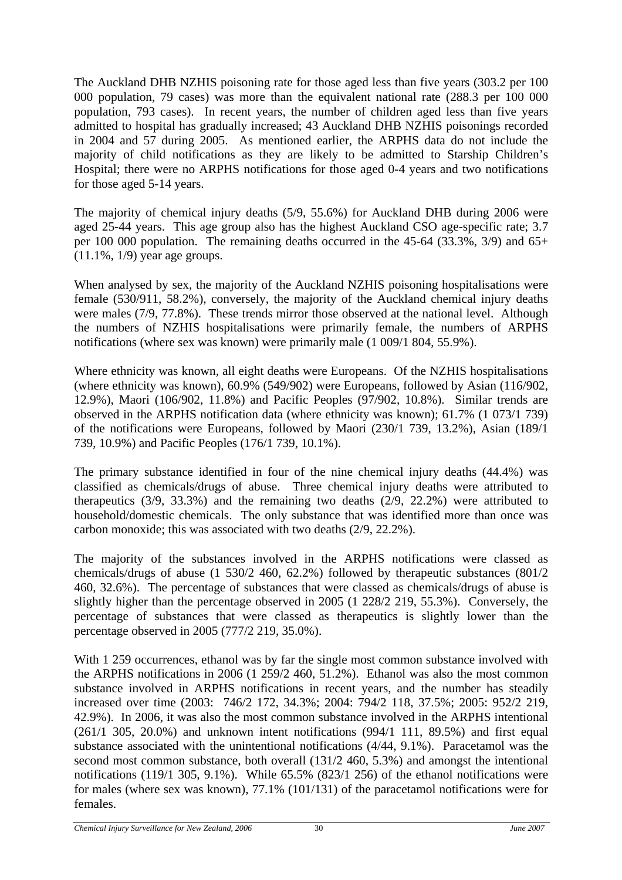The Auckland DHB NZHIS poisoning rate for those aged less than five years (303.2 per 100 000 population, 79 cases) was more than the equivalent national rate (288.3 per 100 000 population, 793 cases). In recent years, the number of children aged less than five years admitted to hospital has gradually increased; 43 Auckland DHB NZHIS poisonings recorded in 2004 and 57 during 2005. As mentioned earlier, the ARPHS data do not include the majority of child notifications as they are likely to be admitted to Starship Children's Hospital; there were no ARPHS notifications for those aged 0-4 years and two notifications for those aged 5-14 years.

The majority of chemical injury deaths (5/9, 55.6%) for Auckland DHB during 2006 were aged 25-44 years. This age group also has the highest Auckland CSO age-specific rate; 3.7 per 100 000 population. The remaining deaths occurred in the 45-64 (33.3%, 3/9) and 65+ (11.1%, 1/9) year age groups.

When analysed by sex, the majority of the Auckland NZHIS poisoning hospitalisations were female (530/911, 58.2%), conversely, the majority of the Auckland chemical injury deaths were males (7/9, 77.8%). These trends mirror those observed at the national level. Although the numbers of NZHIS hospitalisations were primarily female, the numbers of ARPHS notifications (where sex was known) were primarily male (1 009/1 804, 55.9%).

Where ethnicity was known, all eight deaths were Europeans. Of the NZHIS hospitalisations (where ethnicity was known), 60.9% (549/902) were Europeans, followed by Asian (116/902, 12.9%), Maori (106/902, 11.8%) and Pacific Peoples (97/902, 10.8%). Similar trends are observed in the ARPHS notification data (where ethnicity was known); 61.7% (1 073/1 739) of the notifications were Europeans, followed by Maori (230/1 739, 13.2%), Asian (189/1 739, 10.9%) and Pacific Peoples (176/1 739, 10.1%).

The primary substance identified in four of the nine chemical injury deaths (44.4%) was classified as chemicals/drugs of abuse. Three chemical injury deaths were attributed to therapeutics (3/9, 33.3%) and the remaining two deaths (2/9, 22.2%) were attributed to household/domestic chemicals. The only substance that was identified more than once was carbon monoxide; this was associated with two deaths (2/9, 22.2%).

The majority of the substances involved in the ARPHS notifications were classed as chemicals/drugs of abuse (1 530/2 460, 62.2%) followed by therapeutic substances (801/2 460, 32.6%). The percentage of substances that were classed as chemicals/drugs of abuse is slightly higher than the percentage observed in 2005 (1 228/2 219, 55.3%). Conversely, the percentage of substances that were classed as therapeutics is slightly lower than the percentage observed in 2005 (777/2 219, 35.0%).

With 1 259 occurrences, ethanol was by far the single most common substance involved with the ARPHS notifications in 2006 (1 259/2 460, 51.2%). Ethanol was also the most common substance involved in ARPHS notifications in recent years, and the number has steadily increased over time (2003: 746/2 172, 34.3%; 2004: 794/2 118, 37.5%; 2005: 952/2 219, 42.9%). In 2006, it was also the most common substance involved in the ARPHS intentional (261/1 305, 20.0%) and unknown intent notifications (994/1 111, 89.5%) and first equal substance associated with the unintentional notifications (4/44, 9.1%). Paracetamol was the second most common substance, both overall (131/2 460, 5.3%) and amongst the intentional notifications (119/1 305, 9.1%). While 65.5% (823/1 256) of the ethanol notifications were for males (where sex was known), 77.1% (101/131) of the paracetamol notifications were for females.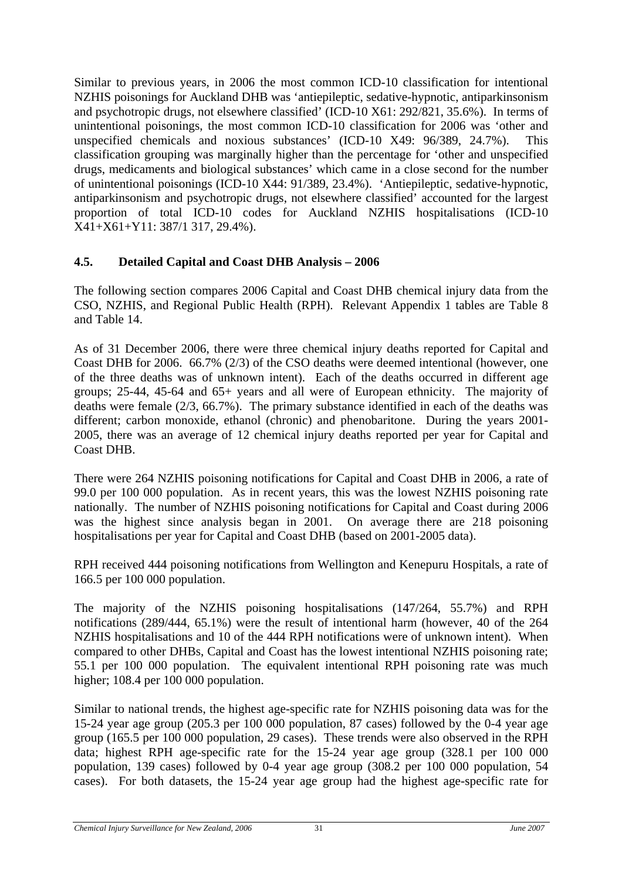<span id="page-40-0"></span>Similar to previous years, in 2006 the most common ICD-10 classification for intentional NZHIS poisonings for Auckland DHB was 'antiepileptic, sedative-hypnotic, antiparkinsonism and psychotropic drugs, not elsewhere classified' (ICD-10 X61: 292/821, 35.6%). In terms of unintentional poisonings, the most common ICD-10 classification for 2006 was 'other and unspecified chemicals and noxious substances' (ICD-10 X49: 96/389, 24.7%). This classification grouping was marginally higher than the percentage for 'other and unspecified drugs, medicaments and biological substances' which came in a close second for the number of unintentional poisonings (ICD-10 X44: 91/389, 23.4%). 'Antiepileptic, sedative-hypnotic, antiparkinsonism and psychotropic drugs, not elsewhere classified' accounted for the largest proportion of total ICD-10 codes for Auckland NZHIS hospitalisations (ICD-10 X41+X61+Y11: 387/1 317, 29.4%).

# **4.5. Detailed Capital and Coast DHB Analysis – 2006**

The following section compares 2006 Capital and Coast DHB chemical injury data from the CSO, NZHIS, and Regional Public Health (RPH). Relevant Appendix 1 tables are Table 8 and Table 14.

As of 31 December 2006, there were three chemical injury deaths reported for Capital and Coast DHB for 2006. 66.7% (2/3) of the CSO deaths were deemed intentional (however, one of the three deaths was of unknown intent). Each of the deaths occurred in different age groups; 25-44, 45-64 and 65+ years and all were of European ethnicity. The majority of deaths were female (2/3, 66.7%). The primary substance identified in each of the deaths was different; carbon monoxide, ethanol (chronic) and phenobaritone. During the years 2001- 2005, there was an average of 12 chemical injury deaths reported per year for Capital and Coast DHB.

There were 264 NZHIS poisoning notifications for Capital and Coast DHB in 2006, a rate of 99.0 per 100 000 population. As in recent years, this was the lowest NZHIS poisoning rate nationally. The number of NZHIS poisoning notifications for Capital and Coast during 2006 was the highest since analysis began in 2001. On average there are 218 poisoning hospitalisations per year for Capital and Coast DHB (based on 2001-2005 data).

RPH received 444 poisoning notifications from Wellington and Kenepuru Hospitals, a rate of 166.5 per 100 000 population.

The majority of the NZHIS poisoning hospitalisations (147/264, 55.7%) and RPH notifications (289/444, 65.1%) were the result of intentional harm (however, 40 of the 264 NZHIS hospitalisations and 10 of the 444 RPH notifications were of unknown intent). When compared to other DHBs, Capital and Coast has the lowest intentional NZHIS poisoning rate; 55.1 per 100 000 population. The equivalent intentional RPH poisoning rate was much higher; 108.4 per 100 000 population.

Similar to national trends, the highest age-specific rate for NZHIS poisoning data was for the 15-24 year age group (205.3 per 100 000 population, 87 cases) followed by the 0-4 year age group (165.5 per 100 000 population, 29 cases). These trends were also observed in the RPH data; highest RPH age-specific rate for the 15-24 year age group (328.1 per 100 000 population, 139 cases) followed by 0-4 year age group (308.2 per 100 000 population, 54 cases). For both datasets, the 15-24 year age group had the highest age-specific rate for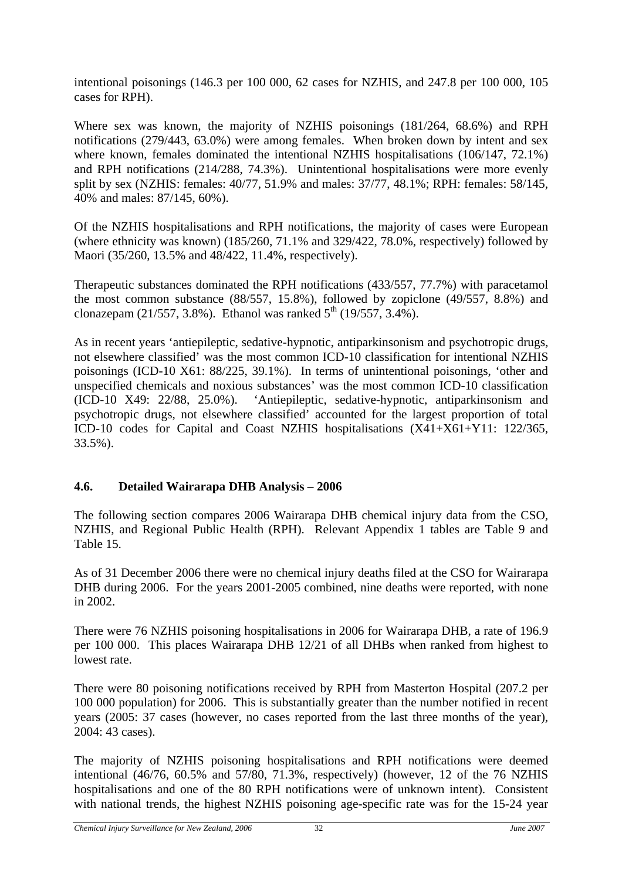<span id="page-41-0"></span>intentional poisonings (146.3 per 100 000, 62 cases for NZHIS, and 247.8 per 100 000, 105 cases for RPH).

Where sex was known, the majority of NZHIS poisonings (181/264, 68.6%) and RPH notifications (279/443, 63.0%) were among females. When broken down by intent and sex where known, females dominated the intentional NZHIS hospitalisations (106/147, 72.1%) and RPH notifications (214/288, 74.3%). Unintentional hospitalisations were more evenly split by sex (NZHIS: females: 40/77, 51.9% and males: 37/77, 48.1%; RPH: females: 58/145, 40% and males: 87/145, 60%).

Of the NZHIS hospitalisations and RPH notifications, the majority of cases were European (where ethnicity was known) (185/260, 71.1% and 329/422, 78.0%, respectively) followed by Maori (35/260, 13.5% and 48/422, 11.4%, respectively).

Therapeutic substances dominated the RPH notifications (433/557, 77.7%) with paracetamol the most common substance (88/557, 15.8%), followed by zopiclone (49/557, 8.8%) and clonazepam (21/557, 3.8%). Ethanol was ranked  $5^{th}$  (19/557, 3.4%).

As in recent years 'antiepileptic, sedative-hypnotic, antiparkinsonism and psychotropic drugs, not elsewhere classified' was the most common ICD-10 classification for intentional NZHIS poisonings (ICD-10 X61: 88/225, 39.1%). In terms of unintentional poisonings, 'other and unspecified chemicals and noxious substances' was the most common ICD-10 classification (ICD-10 X49: 22/88, 25.0%). 'Antiepileptic, sedative-hypnotic, antiparkinsonism and psychotropic drugs, not elsewhere classified' accounted for the largest proportion of total ICD-10 codes for Capital and Coast NZHIS hospitalisations (X41+X61+Y11: 122/365, 33.5%).

# **4.6. Detailed Wairarapa DHB Analysis – 2006**

The following section compares 2006 Wairarapa DHB chemical injury data from the CSO, NZHIS, and Regional Public Health (RPH). Relevant Appendix 1 tables are Table 9 and Table 15.

As of 31 December 2006 there were no chemical injury deaths filed at the CSO for Wairarapa DHB during 2006. For the years 2001-2005 combined, nine deaths were reported, with none in 2002.

There were 76 NZHIS poisoning hospitalisations in 2006 for Wairarapa DHB, a rate of 196.9 per 100 000. This places Wairarapa DHB 12/21 of all DHBs when ranked from highest to lowest rate.

There were 80 poisoning notifications received by RPH from Masterton Hospital (207.2 per 100 000 population) for 2006. This is substantially greater than the number notified in recent years (2005: 37 cases (however, no cases reported from the last three months of the year), 2004: 43 cases).

The majority of NZHIS poisoning hospitalisations and RPH notifications were deemed intentional (46/76, 60.5% and 57/80, 71.3%, respectively) (however, 12 of the 76 NZHIS hospitalisations and one of the 80 RPH notifications were of unknown intent). Consistent with national trends, the highest NZHIS poisoning age-specific rate was for the 15-24 year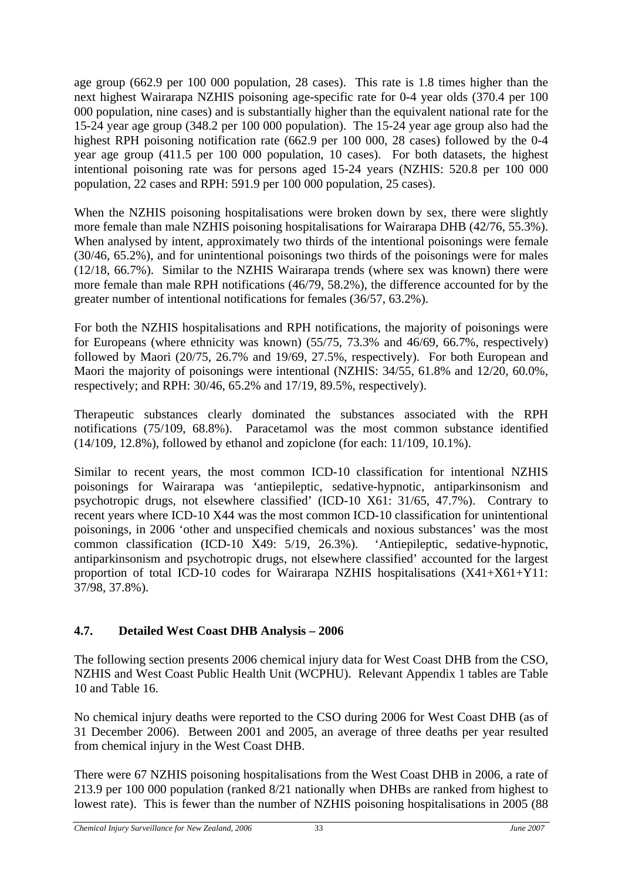<span id="page-42-0"></span>age group (662.9 per 100 000 population, 28 cases). This rate is 1.8 times higher than the next highest Wairarapa NZHIS poisoning age-specific rate for 0-4 year olds (370.4 per 100 000 population, nine cases) and is substantially higher than the equivalent national rate for the 15-24 year age group (348.2 per 100 000 population). The 15-24 year age group also had the highest RPH poisoning notification rate (662.9 per 100 000, 28 cases) followed by the 0-4 year age group (411.5 per 100 000 population, 10 cases). For both datasets, the highest intentional poisoning rate was for persons aged 15-24 years (NZHIS: 520.8 per 100 000 population, 22 cases and RPH: 591.9 per 100 000 population, 25 cases).

When the NZHIS poisoning hospitalisations were broken down by sex, there were slightly more female than male NZHIS poisoning hospitalisations for Wairarapa DHB (42/76, 55.3%). When analysed by intent, approximately two thirds of the intentional poisonings were female (30/46, 65.2%), and for unintentional poisonings two thirds of the poisonings were for males (12/18, 66.7%). Similar to the NZHIS Wairarapa trends (where sex was known) there were more female than male RPH notifications (46/79, 58.2%), the difference accounted for by the greater number of intentional notifications for females (36/57, 63.2%).

For both the NZHIS hospitalisations and RPH notifications, the majority of poisonings were for Europeans (where ethnicity was known) (55/75, 73.3% and 46/69, 66.7%, respectively) followed by Maori (20/75, 26.7% and 19/69, 27.5%, respectively). For both European and Maori the majority of poisonings were intentional (NZHIS: 34/55, 61.8% and 12/20, 60.0%, respectively; and RPH: 30/46, 65.2% and 17/19, 89.5%, respectively).

Therapeutic substances clearly dominated the substances associated with the RPH notifications (75/109, 68.8%). Paracetamol was the most common substance identified (14/109, 12.8%), followed by ethanol and zopiclone (for each: 11/109, 10.1%).

Similar to recent years, the most common ICD-10 classification for intentional NZHIS poisonings for Wairarapa was 'antiepileptic, sedative-hypnotic, antiparkinsonism and psychotropic drugs, not elsewhere classified' (ICD-10 X61: 31/65, 47.7%). Contrary to recent years where ICD-10 X44 was the most common ICD-10 classification for unintentional poisonings, in 2006 'other and unspecified chemicals and noxious substances' was the most common classification (ICD-10 X49: 5/19, 26.3%). 'Antiepileptic, sedative-hypnotic, antiparkinsonism and psychotropic drugs, not elsewhere classified' accounted for the largest proportion of total ICD-10 codes for Wairarapa NZHIS hospitalisations (X41+X61+Y11: 37/98, 37.8%).

# **4.7. Detailed West Coast DHB Analysis – 2006**

The following section presents 2006 chemical injury data for West Coast DHB from the CSO, NZHIS and West Coast Public Health Unit (WCPHU). Relevant Appendix 1 tables are Table 10 and Table 16.

No chemical injury deaths were reported to the CSO during 2006 for West Coast DHB (as of 31 December 2006). Between 2001 and 2005, an average of three deaths per year resulted from chemical injury in the West Coast DHB.

There were 67 NZHIS poisoning hospitalisations from the West Coast DHB in 2006, a rate of 213.9 per 100 000 population (ranked 8/21 nationally when DHBs are ranked from highest to lowest rate). This is fewer than the number of NZHIS poisoning hospitalisations in 2005 (88)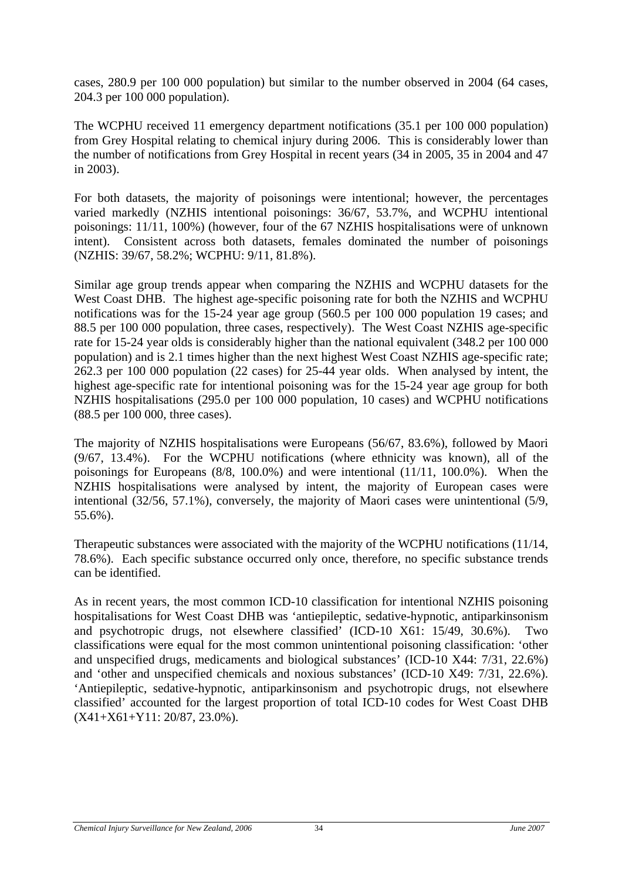cases, 280.9 per 100 000 population) but similar to the number observed in 2004 (64 cases, 204.3 per 100 000 population).

The WCPHU received 11 emergency department notifications (35.1 per 100 000 population) from Grey Hospital relating to chemical injury during 2006. This is considerably lower than the number of notifications from Grey Hospital in recent years (34 in 2005, 35 in 2004 and 47 in 2003).

For both datasets, the majority of poisonings were intentional; however, the percentages varied markedly (NZHIS intentional poisonings: 36/67, 53.7%, and WCPHU intentional poisonings: 11/11, 100%) (however, four of the 67 NZHIS hospitalisations were of unknown intent). Consistent across both datasets, females dominated the number of poisonings (NZHIS: 39/67, 58.2%; WCPHU: 9/11, 81.8%).

Similar age group trends appear when comparing the NZHIS and WCPHU datasets for the West Coast DHB. The highest age-specific poisoning rate for both the NZHIS and WCPHU notifications was for the 15-24 year age group (560.5 per 100 000 population 19 cases; and 88.5 per 100 000 population, three cases, respectively). The West Coast NZHIS age-specific rate for 15-24 year olds is considerably higher than the national equivalent (348.2 per 100 000 population) and is 2.1 times higher than the next highest West Coast NZHIS age-specific rate; 262.3 per 100 000 population (22 cases) for 25-44 year olds. When analysed by intent, the highest age-specific rate for intentional poisoning was for the 15-24 year age group for both NZHIS hospitalisations (295.0 per 100 000 population, 10 cases) and WCPHU notifications (88.5 per 100 000, three cases).

The majority of NZHIS hospitalisations were Europeans (56/67, 83.6%), followed by Maori (9/67, 13.4%). For the WCPHU notifications (where ethnicity was known), all of the poisonings for Europeans (8/8, 100.0%) and were intentional (11/11, 100.0%). When the NZHIS hospitalisations were analysed by intent, the majority of European cases were intentional (32/56, 57.1%), conversely, the majority of Maori cases were unintentional (5/9, 55.6%).

Therapeutic substances were associated with the majority of the WCPHU notifications (11/14, 78.6%). Each specific substance occurred only once, therefore, no specific substance trends can be identified.

As in recent years, the most common ICD-10 classification for intentional NZHIS poisoning hospitalisations for West Coast DHB was 'antiepileptic, sedative-hypnotic, antiparkinsonism and psychotropic drugs, not elsewhere classified' (ICD-10 X61: 15/49, 30.6%). Two classifications were equal for the most common unintentional poisoning classification: 'other and unspecified drugs, medicaments and biological substances' (ICD-10 X44: 7/31, 22.6%) and 'other and unspecified chemicals and noxious substances' (ICD-10 X49: 7/31, 22.6%). 'Antiepileptic, sedative-hypnotic, antiparkinsonism and psychotropic drugs, not elsewhere classified' accounted for the largest proportion of total ICD-10 codes for West Coast DHB (X41+X61+Y11: 20/87, 23.0%).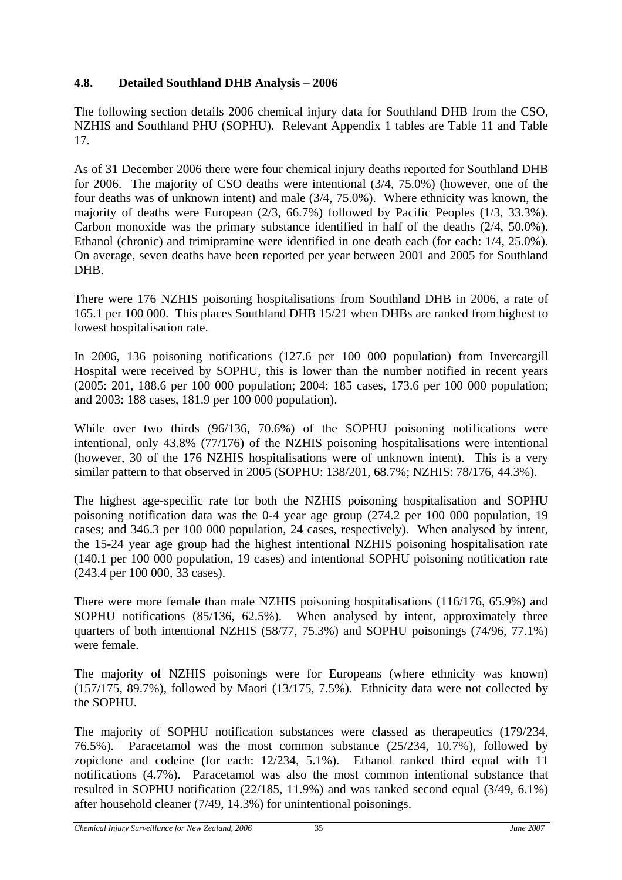# <span id="page-44-0"></span>**4.8. Detailed Southland DHB Analysis – 2006**

The following section details 2006 chemical injury data for Southland DHB from the CSO, NZHIS and Southland PHU (SOPHU). Relevant Appendix 1 tables are Table 11 and Table 17.

As of 31 December 2006 there were four chemical injury deaths reported for Southland DHB for 2006. The majority of CSO deaths were intentional (3/4, 75.0%) (however, one of the four deaths was of unknown intent) and male (3/4, 75.0%). Where ethnicity was known, the majority of deaths were European (2/3, 66.7%) followed by Pacific Peoples (1/3, 33.3%). Carbon monoxide was the primary substance identified in half of the deaths (2/4, 50.0%). Ethanol (chronic) and trimipramine were identified in one death each (for each: 1/4, 25.0%). On average, seven deaths have been reported per year between 2001 and 2005 for Southland DHB.

There were 176 NZHIS poisoning hospitalisations from Southland DHB in 2006, a rate of 165.1 per 100 000. This places Southland DHB 15/21 when DHBs are ranked from highest to lowest hospitalisation rate.

In 2006, 136 poisoning notifications (127.6 per 100 000 population) from Invercargill Hospital were received by SOPHU, this is lower than the number notified in recent years (2005: 201, 188.6 per 100 000 population; 2004: 185 cases, 173.6 per 100 000 population; and 2003: 188 cases, 181.9 per 100 000 population).

While over two thirds (96/136, 70.6%) of the SOPHU poisoning notifications were intentional, only 43.8% (77/176) of the NZHIS poisoning hospitalisations were intentional (however, 30 of the 176 NZHIS hospitalisations were of unknown intent). This is a very similar pattern to that observed in 2005 (SOPHU: 138/201, 68.7%; NZHIS: 78/176, 44.3%).

The highest age-specific rate for both the NZHIS poisoning hospitalisation and SOPHU poisoning notification data was the 0-4 year age group (274.2 per 100 000 population, 19 cases; and 346.3 per 100 000 population, 24 cases, respectively). When analysed by intent, the 15-24 year age group had the highest intentional NZHIS poisoning hospitalisation rate (140.1 per 100 000 population, 19 cases) and intentional SOPHU poisoning notification rate (243.4 per 100 000, 33 cases).

There were more female than male NZHIS poisoning hospitalisations (116/176, 65.9%) and SOPHU notifications (85/136, 62.5%). When analysed by intent, approximately three quarters of both intentional NZHIS (58/77, 75.3%) and SOPHU poisonings (74/96, 77.1%) were female.

The majority of NZHIS poisonings were for Europeans (where ethnicity was known) (157/175, 89.7%), followed by Maori (13/175, 7.5%). Ethnicity data were not collected by the SOPHU.

The majority of SOPHU notification substances were classed as therapeutics (179/234, 76.5%). Paracetamol was the most common substance (25/234, 10.7%), followed by zopiclone and codeine (for each: 12/234, 5.1%). Ethanol ranked third equal with 11 notifications (4.7%). Paracetamol was also the most common intentional substance that resulted in SOPHU notification (22/185, 11.9%) and was ranked second equal (3/49, 6.1%) after household cleaner (7/49, 14.3%) for unintentional poisonings.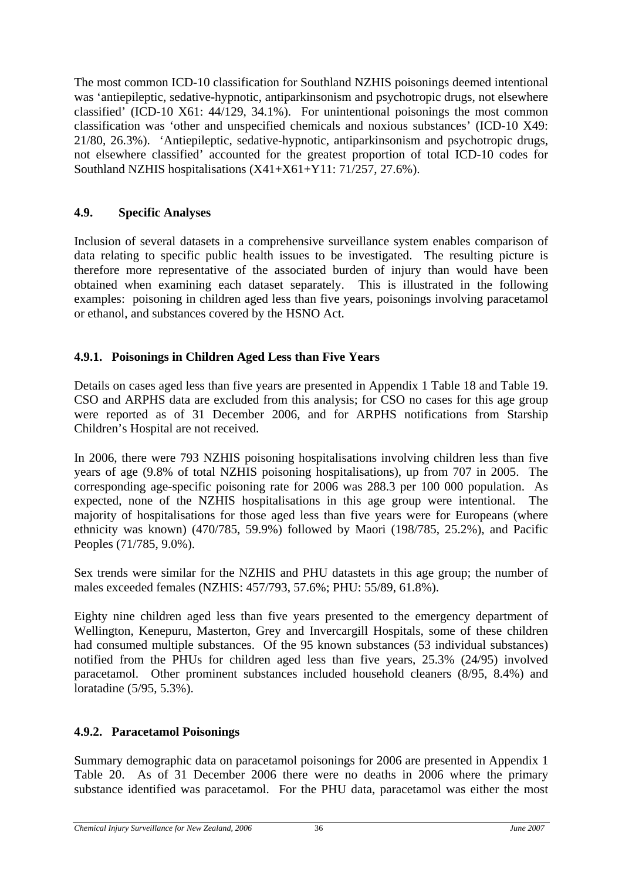<span id="page-45-0"></span>The most common ICD-10 classification for Southland NZHIS poisonings deemed intentional was 'antiepileptic, sedative-hypnotic, antiparkinsonism and psychotropic drugs, not elsewhere classified' (ICD-10 X61: 44/129, 34.1%). For unintentional poisonings the most common classification was 'other and unspecified chemicals and noxious substances' (ICD-10 X49: 21/80, 26.3%). 'Antiepileptic, sedative-hypnotic, antiparkinsonism and psychotropic drugs, not elsewhere classified' accounted for the greatest proportion of total ICD-10 codes for Southland NZHIS hospitalisations (X41+X61+Y11: 71/257, 27.6%).

# **4.9. Specific Analyses**

Inclusion of several datasets in a comprehensive surveillance system enables comparison of data relating to specific public health issues to be investigated. The resulting picture is therefore more representative of the associated burden of injury than would have been obtained when examining each dataset separately. This is illustrated in the following examples: poisoning in children aged less than five years, poisonings involving paracetamol or ethanol, and substances covered by the HSNO Act.

# **4.9.1. Poisonings in Children Aged Less than Five Years**

Details on cases aged less than five years are presented in Appendix 1 Table 18 and Table 19. CSO and ARPHS data are excluded from this analysis; for CSO no cases for this age group were reported as of 31 December 2006, and for ARPHS notifications from Starship Children's Hospital are not received.

In 2006, there were 793 NZHIS poisoning hospitalisations involving children less than five years of age (9.8% of total NZHIS poisoning hospitalisations), up from 707 in 2005. The corresponding age-specific poisoning rate for 2006 was 288.3 per 100 000 population. As expected, none of the NZHIS hospitalisations in this age group were intentional. The majority of hospitalisations for those aged less than five years were for Europeans (where ethnicity was known) (470/785, 59.9%) followed by Maori (198/785, 25.2%), and Pacific Peoples (71/785, 9.0%).

Sex trends were similar for the NZHIS and PHU datastets in this age group; the number of males exceeded females (NZHIS: 457/793, 57.6%; PHU: 55/89, 61.8%).

Eighty nine children aged less than five years presented to the emergency department of Wellington, Kenepuru, Masterton, Grey and Invercargill Hospitals, some of these children had consumed multiple substances. Of the 95 known substances (53 individual substances) notified from the PHUs for children aged less than five years, 25.3% (24/95) involved paracetamol. Other prominent substances included household cleaners (8/95, 8.4%) and loratadine (5/95, 5.3%).

# **4.9.2. Paracetamol Poisonings**

Summary demographic data on paracetamol poisonings for 2006 are presented in Appendix 1 Table 20. As of 31 December 2006 there were no deaths in 2006 where the primary substance identified was paracetamol. For the PHU data, paracetamol was either the most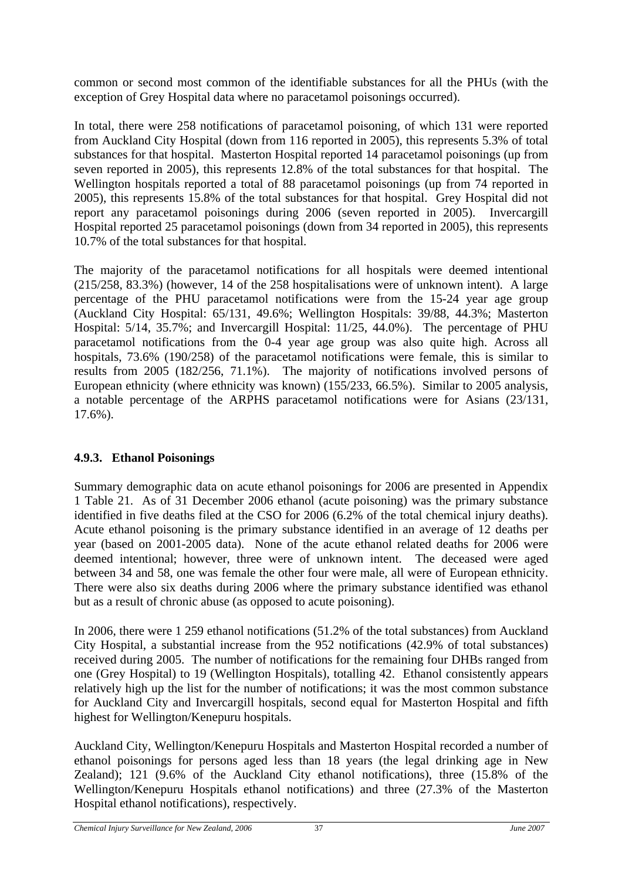<span id="page-46-0"></span>common or second most common of the identifiable substances for all the PHUs (with the exception of Grey Hospital data where no paracetamol poisonings occurred).

In total, there were 258 notifications of paracetamol poisoning, of which 131 were reported from Auckland City Hospital (down from 116 reported in 2005), this represents 5.3% of total substances for that hospital. Masterton Hospital reported 14 paracetamol poisonings (up from seven reported in 2005), this represents 12.8% of the total substances for that hospital. The Wellington hospitals reported a total of 88 paracetamol poisonings (up from 74 reported in 2005), this represents 15.8% of the total substances for that hospital. Grey Hospital did not report any paracetamol poisonings during 2006 (seven reported in 2005). Invercargill Hospital reported 25 paracetamol poisonings (down from 34 reported in 2005), this represents 10.7% of the total substances for that hospital.

The majority of the paracetamol notifications for all hospitals were deemed intentional (215/258, 83.3%) (however, 14 of the 258 hospitalisations were of unknown intent). A large percentage of the PHU paracetamol notifications were from the 15-24 year age group (Auckland City Hospital: 65/131, 49.6%; Wellington Hospitals: 39/88, 44.3%; Masterton Hospital: 5/14, 35.7%; and Invercargill Hospital: 11/25, 44.0%). The percentage of PHU paracetamol notifications from the 0-4 year age group was also quite high. Across all hospitals, 73.6% (190/258) of the paracetamol notifications were female, this is similar to results from 2005 (182/256, 71.1%). The majority of notifications involved persons of European ethnicity (where ethnicity was known) (155/233, 66.5%). Similar to 2005 analysis, a notable percentage of the ARPHS paracetamol notifications were for Asians (23/131, 17.6%).

# **4.9.3. Ethanol Poisonings**

Summary demographic data on acute ethanol poisonings for 2006 are presented in Appendix 1 Table 21. As of 31 December 2006 ethanol (acute poisoning) was the primary substance identified in five deaths filed at the CSO for 2006 (6.2% of the total chemical injury deaths). Acute ethanol poisoning is the primary substance identified in an average of 12 deaths per year (based on 2001-2005 data). None of the acute ethanol related deaths for 2006 were deemed intentional; however, three were of unknown intent. The deceased were aged between 34 and 58, one was female the other four were male, all were of European ethnicity. There were also six deaths during 2006 where the primary substance identified was ethanol but as a result of chronic abuse (as opposed to acute poisoning).

In 2006, there were 1 259 ethanol notifications (51.2% of the total substances) from Auckland City Hospital, a substantial increase from the 952 notifications (42.9% of total substances) received during 2005. The number of notifications for the remaining four DHBs ranged from one (Grey Hospital) to 19 (Wellington Hospitals), totalling 42. Ethanol consistently appears relatively high up the list for the number of notifications; it was the most common substance for Auckland City and Invercargill hospitals, second equal for Masterton Hospital and fifth highest for Wellington/Kenepuru hospitals.

Auckland City, Wellington/Kenepuru Hospitals and Masterton Hospital recorded a number of ethanol poisonings for persons aged less than 18 years (the legal drinking age in New Zealand); 121 (9.6% of the Auckland City ethanol notifications), three (15.8% of the Wellington/Kenepuru Hospitals ethanol notifications) and three (27.3% of the Masterton Hospital ethanol notifications), respectively.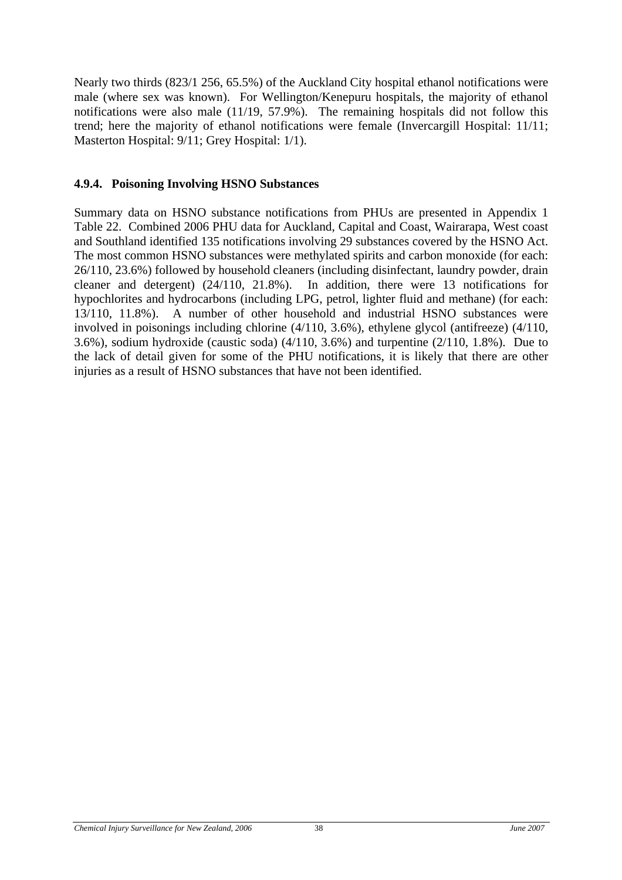<span id="page-47-0"></span>Nearly two thirds (823/1 256, 65.5%) of the Auckland City hospital ethanol notifications were male (where sex was known). For Wellington/Kenepuru hospitals, the majority of ethanol notifications were also male (11/19, 57.9%). The remaining hospitals did not follow this trend; here the majority of ethanol notifications were female (Invercargill Hospital: 11/11; Masterton Hospital: 9/11; Grey Hospital: 1/1).

#### **4.9.4. Poisoning Involving HSNO Substances**

Summary data on HSNO substance notifications from PHUs are presented in Appendix 1 Table 22. Combined 2006 PHU data for Auckland, Capital and Coast, Wairarapa, West coast and Southland identified 135 notifications involving 29 substances covered by the HSNO Act. The most common HSNO substances were methylated spirits and carbon monoxide (for each: 26/110, 23.6%) followed by household cleaners (including disinfectant, laundry powder, drain cleaner and detergent) (24/110, 21.8%). In addition, there were 13 notifications for hypochlorites and hydrocarbons (including LPG, petrol, lighter fluid and methane) (for each: 13/110, 11.8%). A number of other household and industrial HSNO substances were involved in poisonings including chlorine (4/110, 3.6%), ethylene glycol (antifreeze) (4/110, 3.6%), sodium hydroxide (caustic soda) (4/110, 3.6%) and turpentine (2/110, 1.8%). Due to the lack of detail given for some of the PHU notifications, it is likely that there are other injuries as a result of HSNO substances that have not been identified.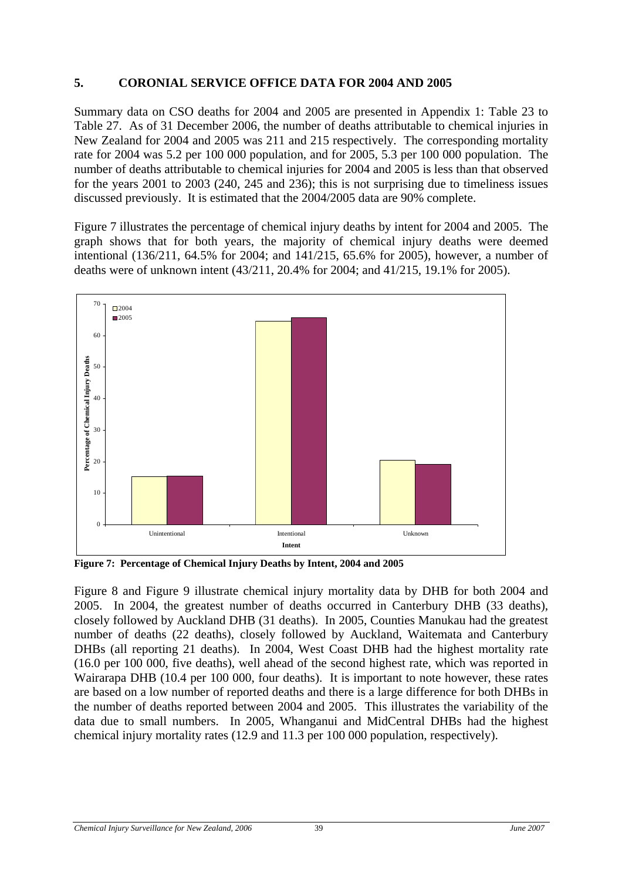### <span id="page-48-0"></span>**5. CORONIAL SERVICE OFFICE DATA FOR 2004 AND 2005**

Summary data on CSO deaths for 2004 and 2005 are presented in Appendix 1: Table 23 to Table 27. As of 31 December 2006, the number of deaths attributable to chemical injuries in New Zealand for 2004 and 2005 was 211 and 215 respectively. The corresponding mortality rate for 2004 was 5.2 per 100 000 population, and for 2005, 5.3 per 100 000 population. The number of deaths attributable to chemical injuries for 2004 and 2005 is less than that observed for the years 2001 to 2003 (240, 245 and 236); this is not surprising due to timeliness issues discussed previously. It is estimated that the 2004/2005 data are 90% complete.

Figure 7 illustrates the percentage of chemical injury deaths by intent for 2004 and 2005. The graph shows that for both years, the majority of chemical injury deaths were deemed intentional (136/211, 64.5% for 2004; and 141/215, 65.6% for 2005), however, a number of deaths were of unknown intent (43/211, 20.4% for 2004; and 41/215, 19.1% for 2005).



**Figure 7: Percentage of Chemical Injury Deaths by Intent, 2004 and 2005** 

Figure 8 and Figure 9 illustrate chemical injury mortality data by DHB for both 2004 and 2005. In 2004, the greatest number of deaths occurred in Canterbury DHB (33 deaths), closely followed by Auckland DHB (31 deaths). In 2005, Counties Manukau had the greatest number of deaths (22 deaths), closely followed by Auckland, Waitemata and Canterbury DHBs (all reporting 21 deaths). In 2004, West Coast DHB had the highest mortality rate (16.0 per 100 000, five deaths), well ahead of the second highest rate, which was reported in Wairarapa DHB (10.4 per 100 000, four deaths). It is important to note however, these rates are based on a low number of reported deaths and there is a large difference for both DHBs in the number of deaths reported between 2004 and 2005. This illustrates the variability of the data due to small numbers. In 2005, Whanganui and MidCentral DHBs had the highest chemical injury mortality rates (12.9 and 11.3 per 100 000 population, respectively).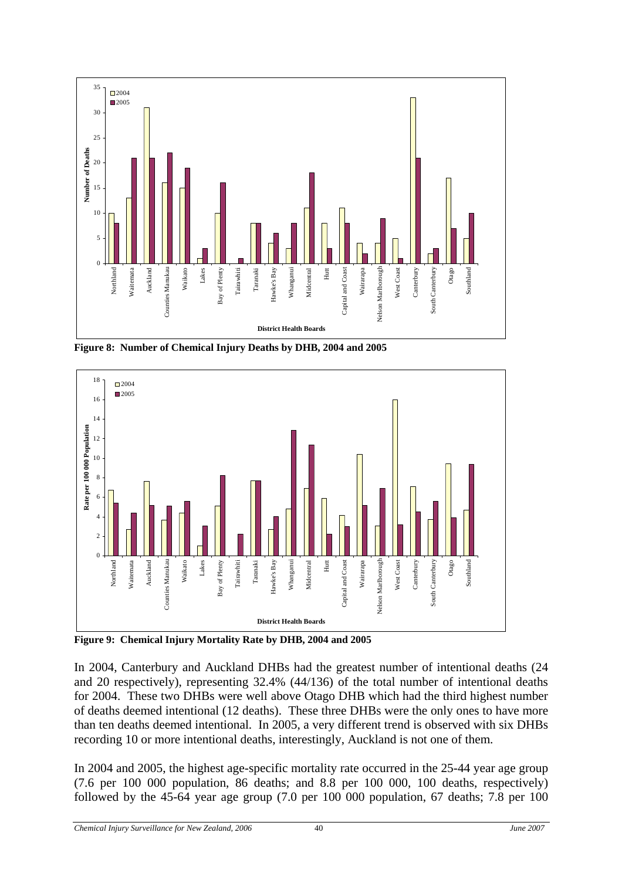<span id="page-49-0"></span>

**Figure 8: Number of Chemical Injury Deaths by DHB, 2004 and 2005** 



**Figure 9: Chemical Injury Mortality Rate by DHB, 2004 and 2005** 

In 2004, Canterbury and Auckland DHBs had the greatest number of intentional deaths (24 and 20 respectively), representing 32.4% (44/136) of the total number of intentional deaths for 2004. These two DHBs were well above Otago DHB which had the third highest number of deaths deemed intentional (12 deaths). These three DHBs were the only ones to have more than ten deaths deemed intentional. In 2005, a very different trend is observed with six DHBs recording 10 or more intentional deaths, interestingly, Auckland is not one of them.

In 2004 and 2005, the highest age-specific mortality rate occurred in the 25-44 year age group (7.6 per 100 000 population, 86 deaths; and 8.8 per 100 000, 100 deaths, respectively) followed by the 45-64 year age group (7.0 per 100 000 population, 67 deaths; 7.8 per 100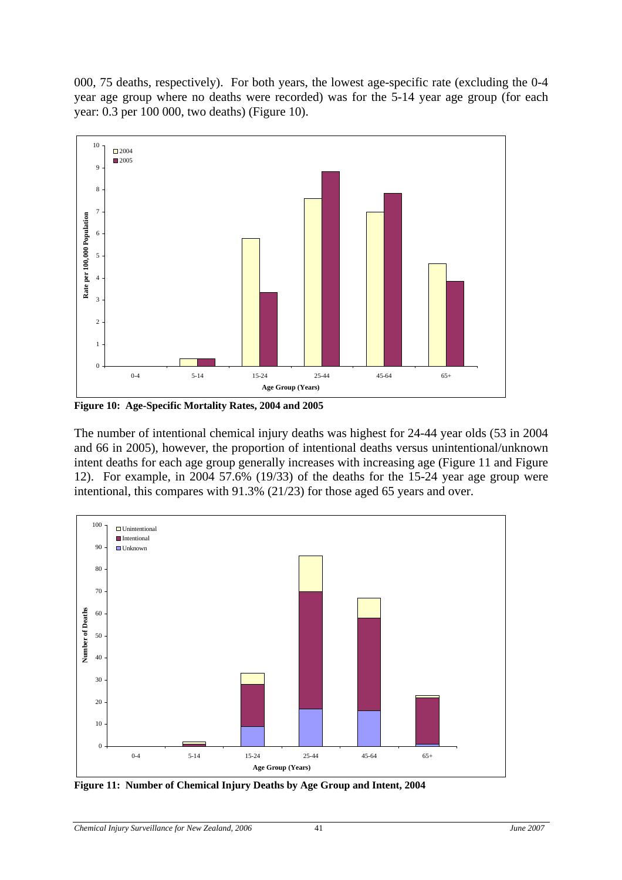<span id="page-50-0"></span>000, 75 deaths, respectively). For both years, the lowest age-specific rate (excluding the 0-4 year age group where no deaths were recorded) was for the 5-14 year age group (for each year: 0.3 per 100 000, two deaths) (Figure 10).



**Figure 10: Age-Specific Mortality Rates, 2004 and 2005** 

The number of intentional chemical injury deaths was highest for 24-44 year olds (53 in 2004 and 66 in 2005), however, the proportion of intentional deaths versus unintentional/unknown intent deaths for each age group generally increases with increasing age (Figure 11 and Figure 12). For example, in 2004 57.6% (19/33) of the deaths for the 15-24 year age group were intentional, this compares with 91.3% (21/23) for those aged 65 years and over.



**Figure 11: Number of Chemical Injury Deaths by Age Group and Intent, 2004**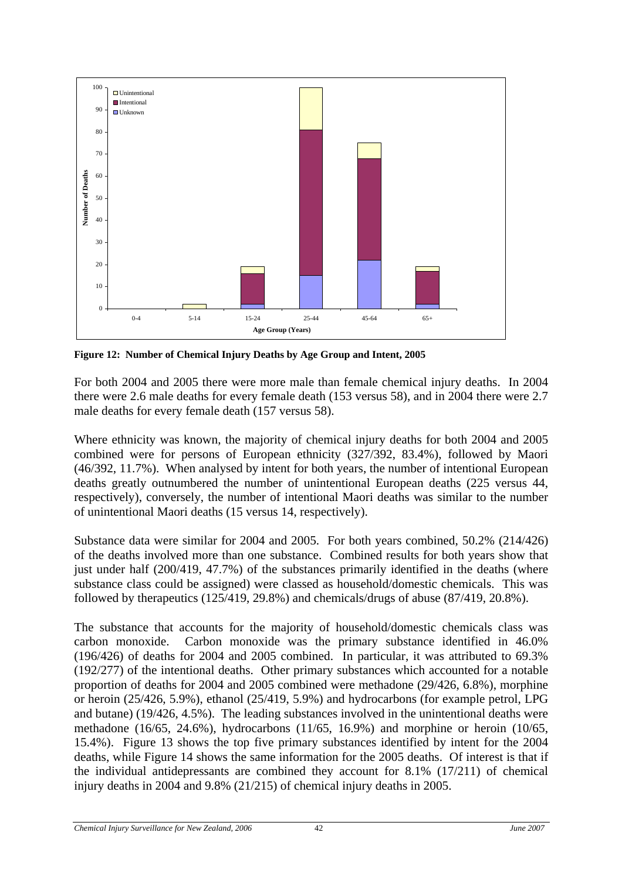<span id="page-51-0"></span>

**Figure 12: Number of Chemical Injury Deaths by Age Group and Intent, 2005** 

For both 2004 and 2005 there were more male than female chemical injury deaths. In 2004 there were 2.6 male deaths for every female death (153 versus 58), and in 2004 there were 2.7 male deaths for every female death (157 versus 58).

Where ethnicity was known, the majority of chemical injury deaths for both 2004 and 2005 combined were for persons of European ethnicity (327/392, 83.4%), followed by Maori (46/392, 11.7%). When analysed by intent for both years, the number of intentional European deaths greatly outnumbered the number of unintentional European deaths (225 versus 44, respectively), conversely, the number of intentional Maori deaths was similar to the number of unintentional Maori deaths (15 versus 14, respectively).

Substance data were similar for 2004 and 2005. For both years combined, 50.2% (214/426) of the deaths involved more than one substance. Combined results for both years show that just under half (200/419, 47.7%) of the substances primarily identified in the deaths (where substance class could be assigned) were classed as household/domestic chemicals. This was followed by therapeutics (125/419, 29.8%) and chemicals/drugs of abuse (87/419, 20.8%).

The substance that accounts for the majority of household/domestic chemicals class was carbon monoxide. Carbon monoxide was the primary substance identified in 46.0% (196/426) of deaths for 2004 and 2005 combined. In particular, it was attributed to 69.3% (192/277) of the intentional deaths. Other primary substances which accounted for a notable proportion of deaths for 2004 and 2005 combined were methadone (29/426, 6.8%), morphine or heroin (25/426, 5.9%), ethanol (25/419, 5.9%) and hydrocarbons (for example petrol, LPG and butane) (19/426, 4.5%). The leading substances involved in the unintentional deaths were methadone (16/65, 24.6%), hydrocarbons (11/65, 16.9%) and morphine or heroin (10/65, 15.4%). Figure 13 shows the top five primary substances identified by intent for the 2004 deaths, while Figure 14 shows the same information for the 2005 deaths. Of interest is that if the individual antidepressants are combined they account for 8.1% (17/211) of chemical injury deaths in 2004 and 9.8% (21/215) of chemical injury deaths in 2005.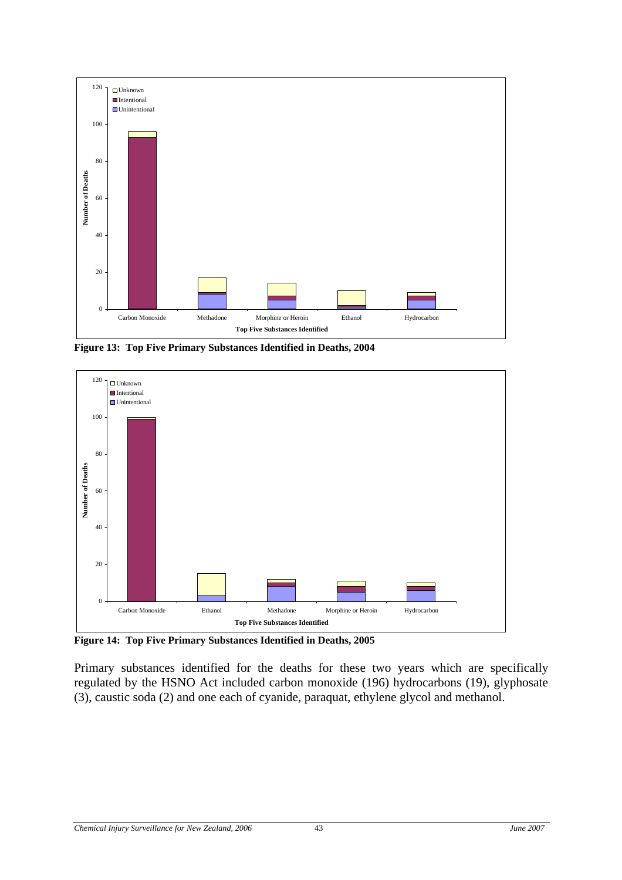<span id="page-52-0"></span>

**Figure 13: Top Five Primary Substances Identified in Deaths, 2004** 



**Figure 14: Top Five Primary Substances Identified in Deaths, 2005** 

Primary substances identified for the deaths for these two years which are specifically regulated by the HSNO Act included carbon monoxide (196) hydrocarbons (19), glyphosate (3), caustic soda (2) and one each of cyanide, paraquat, ethylene glycol and methanol.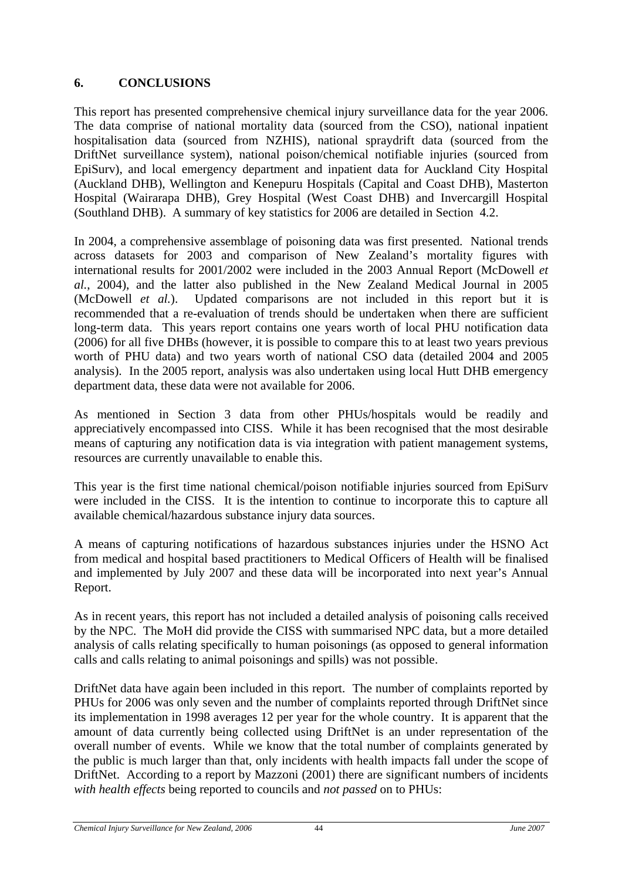# <span id="page-53-0"></span>**6. CONCLUSIONS**

This report has presented comprehensive chemical injury surveillance data for the year 2006. The data comprise of national mortality data (sourced from the CSO), national inpatient hospitalisation data (sourced from NZHIS), national spraydrift data (sourced from the DriftNet surveillance system), national poison/chemical notifiable injuries (sourced from EpiSurv), and local emergency department and inpatient data for Auckland City Hospital (Auckland DHB), Wellington and Kenepuru Hospitals (Capital and Coast DHB), Masterton Hospital (Wairarapa DHB), Grey Hospital (West Coast DHB) and Invercargill Hospital (Southland DHB). A summary of key statistics for 2006 are detailed in Section 4.2.

In 2004, a comprehensive assemblage of poisoning data was first presented. National trends across datasets for 2003 and comparison of New Zealand's mortality figures with international results for 2001/2002 were included in the 2003 Annual Report (McDowell *et al.*, 2004), and the latter also published in the New Zealand Medical Journal in 2005 (McDowell *et al.*). Updated comparisons are not included in this report but it is recommended that a re-evaluation of trends should be undertaken when there are sufficient long-term data. This years report contains one years worth of local PHU notification data (2006) for all five DHBs (however, it is possible to compare this to at least two years previous worth of PHU data) and two years worth of national CSO data (detailed 2004 and 2005 analysis). In the 2005 report, analysis was also undertaken using local Hutt DHB emergency department data, these data were not available for 2006.

As mentioned in Section 3 data from other PHUs/hospitals would be readily and appreciatively encompassed into CISS. While it has been recognised that the most desirable means of capturing any notification data is via integration with patient management systems, resources are currently unavailable to enable this.

This year is the first time national chemical/poison notifiable injuries sourced from EpiSurv were included in the CISS. It is the intention to continue to incorporate this to capture all available chemical/hazardous substance injury data sources.

A means of capturing notifications of hazardous substances injuries under the HSNO Act from medical and hospital based practitioners to Medical Officers of Health will be finalised and implemented by July 2007 and these data will be incorporated into next year's Annual Report.

As in recent years, this report has not included a detailed analysis of poisoning calls received by the NPC. The MoH did provide the CISS with summarised NPC data, but a more detailed analysis of calls relating specifically to human poisonings (as opposed to general information calls and calls relating to animal poisonings and spills) was not possible.

DriftNet data have again been included in this report. The number of complaints reported by PHUs for 2006 was only seven and the number of complaints reported through DriftNet since its implementation in 1998 averages 12 per year for the whole country. It is apparent that the amount of data currently being collected using DriftNet is an under representation of the overall number of events. While we know that the total number of complaints generated by the public is much larger than that, only incidents with health impacts fall under the scope of DriftNet. According to a report by Mazzoni (2001) there are significant numbers of incidents *with health effects* being reported to councils and *not passed* on to PHUs: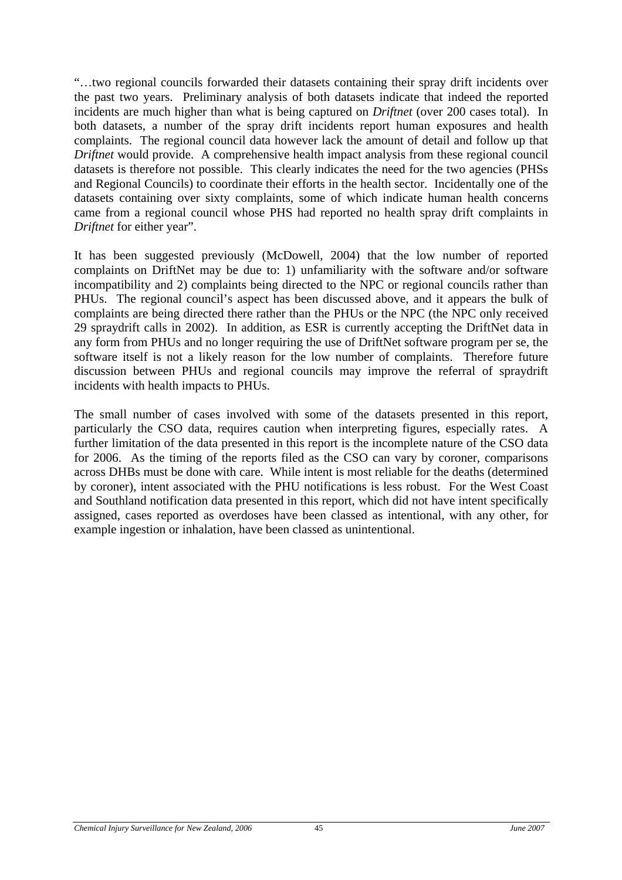"…two regional councils forwarded their datasets containing their spray drift incidents over the past two years. Preliminary analysis of both datasets indicate that indeed the reported incidents are much higher than what is being captured on *Driftnet* (over 200 cases total). In both datasets, a number of the spray drift incidents report human exposures and health complaints. The regional council data however lack the amount of detail and follow up that *Driftnet* would provide. A comprehensive health impact analysis from these regional council datasets is therefore not possible. This clearly indicates the need for the two agencies (PHSs and Regional Councils) to coordinate their efforts in the health sector. Incidentally one of the datasets containing over sixty complaints, some of which indicate human health concerns came from a regional council whose PHS had reported no health spray drift complaints in *Driftnet* for either year".

It has been suggested previously (McDowell, 2004) that the low number of reported complaints on DriftNet may be due to: 1) unfamiliarity with the software and/or software incompatibility and 2) complaints being directed to the NPC or regional councils rather than PHUs. The regional council's aspect has been discussed above, and it appears the bulk of complaints are being directed there rather than the PHUs or the NPC (the NPC only received 29 spraydrift calls in 2002). In addition, as ESR is currently accepting the DriftNet data in any form from PHUs and no longer requiring the use of DriftNet software program per se, the software itself is not a likely reason for the low number of complaints. Therefore future discussion between PHUs and regional councils may improve the referral of spraydrift incidents with health impacts to PHUs.

The small number of cases involved with some of the datasets presented in this report, particularly the CSO data, requires caution when interpreting figures, especially rates. A further limitation of the data presented in this report is the incomplete nature of the CSO data for 2006. As the timing of the reports filed as the CSO can vary by coroner, comparisons across DHBs must be done with care. While intent is most reliable for the deaths (determined by coroner), intent associated with the PHU notifications is less robust. For the West Coast and Southland notification data presented in this report, which did not have intent specifically assigned, cases reported as overdoses have been classed as intentional, with any other, for example ingestion or inhalation, have been classed as unintentional.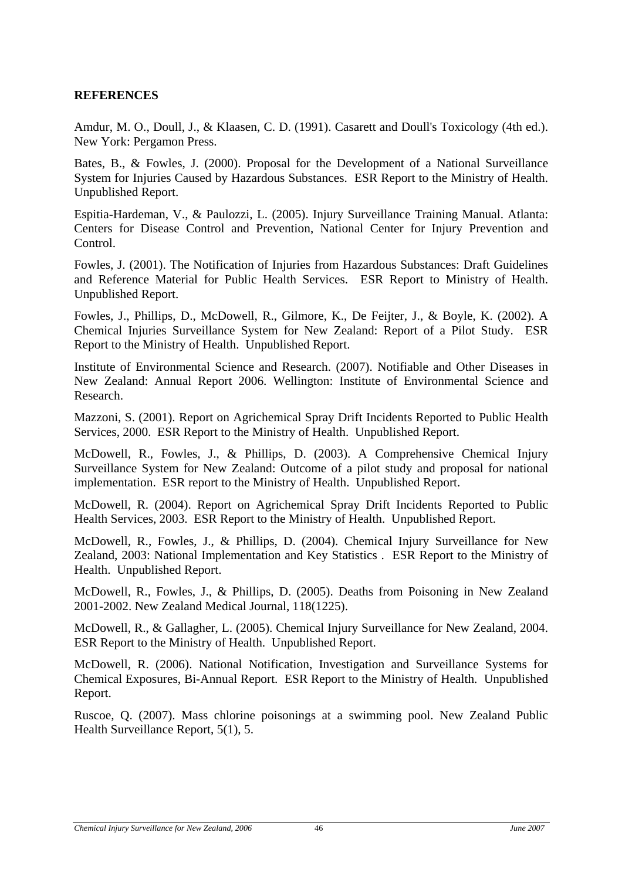### <span id="page-55-0"></span>**REFERENCES**

Amdur, M. O., Doull, J., & Klaasen, C. D. (1991). Casarett and Doull's Toxicology (4th ed.). New York: Pergamon Press.

Bates, B., & Fowles, J. (2000). Proposal for the Development of a National Surveillance System for Injuries Caused by Hazardous Substances. ESR Report to the Ministry of Health. Unpublished Report.

Espitia-Hardeman, V., & Paulozzi, L. (2005). Injury Surveillance Training Manual. Atlanta: Centers for Disease Control and Prevention, National Center for Injury Prevention and Control.

Fowles, J. (2001). The Notification of Injuries from Hazardous Substances: Draft Guidelines and Reference Material for Public Health Services. ESR Report to Ministry of Health. Unpublished Report.

Fowles, J., Phillips, D., McDowell, R., Gilmore, K., De Feijter, J., & Boyle, K. (2002). A Chemical Injuries Surveillance System for New Zealand: Report of a Pilot Study. ESR Report to the Ministry of Health. Unpublished Report.

Institute of Environmental Science and Research. (2007). Notifiable and Other Diseases in New Zealand: Annual Report 2006. Wellington: Institute of Environmental Science and Research.

Mazzoni, S. (2001). Report on Agrichemical Spray Drift Incidents Reported to Public Health Services, 2000. ESR Report to the Ministry of Health. Unpublished Report.

McDowell, R., Fowles, J., & Phillips, D. (2003). A Comprehensive Chemical Injury Surveillance System for New Zealand: Outcome of a pilot study and proposal for national implementation. ESR report to the Ministry of Health. Unpublished Report.

McDowell, R. (2004). Report on Agrichemical Spray Drift Incidents Reported to Public Health Services, 2003. ESR Report to the Ministry of Health. Unpublished Report.

McDowell, R., Fowles, J., & Phillips, D. (2004). Chemical Injury Surveillance for New Zealand, 2003: National Implementation and Key Statistics . ESR Report to the Ministry of Health. Unpublished Report.

McDowell, R., Fowles, J., & Phillips, D. (2005). Deaths from Poisoning in New Zealand 2001-2002. New Zealand Medical Journal, 118(1225).

McDowell, R., & Gallagher, L. (2005). Chemical Injury Surveillance for New Zealand, 2004. ESR Report to the Ministry of Health. Unpublished Report.

McDowell, R. (2006). National Notification, Investigation and Surveillance Systems for Chemical Exposures, Bi-Annual Report. ESR Report to the Ministry of Health. Unpublished Report.

Ruscoe, Q. (2007). Mass chlorine poisonings at a swimming pool. New Zealand Public Health Surveillance Report, 5(1), 5.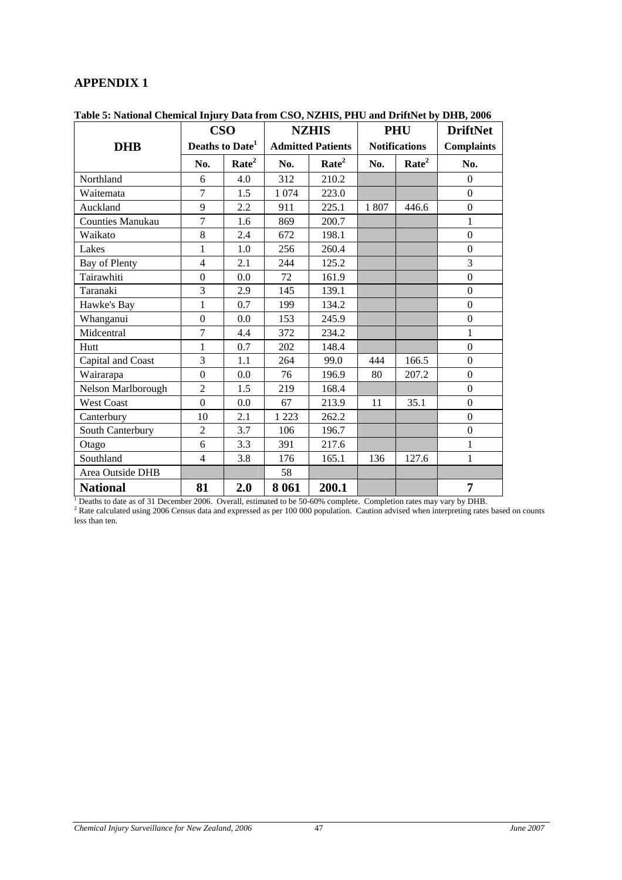#### <span id="page-56-1"></span><span id="page-56-0"></span>**APPENDIX 1**

|                         |                  | <b>CSO</b>                  |         | <b>NZHIS</b>             |      | <b>PHU</b>           | <b>DriftNet</b>   |
|-------------------------|------------------|-----------------------------|---------|--------------------------|------|----------------------|-------------------|
| <b>DHB</b>              |                  | Deaths to Date <sup>1</sup> |         | <b>Admitted Patients</b> |      | <b>Notifications</b> | <b>Complaints</b> |
|                         | No.              | Rate <sup>2</sup>           | No.     | Rate <sup>2</sup>        | No.  | Rate <sup>2</sup>    | No.               |
| Northland               | 6                | 4.0                         | 312     | 210.2                    |      |                      | $\Omega$          |
| Waitemata               | $\overline{7}$   | 1.5                         | 1 0 7 4 | 223.0                    |      |                      | $\mathbf{0}$      |
| Auckland                | 9                | 2.2                         | 911     | 225.1                    | 1807 | 446.6                | $\Omega$          |
| <b>Counties Manukau</b> | $\overline{7}$   | 1.6                         | 869     | 200.7                    |      |                      | $\mathbf{1}$      |
| Waikato                 | 8                | 2.4                         | 672     | 198.1                    |      |                      | $\boldsymbol{0}$  |
| Lakes                   | $\mathbf{1}$     | 1.0                         | 256     | 260.4                    |      |                      | $\Omega$          |
| Bay of Plenty           | $\overline{4}$   | 2.1                         | 244     | 125.2                    |      |                      | $\overline{3}$    |
| Tairawhiti              | $\boldsymbol{0}$ | 0.0                         | 72      | 161.9                    |      |                      | $\boldsymbol{0}$  |
| Taranaki                | 3                | 2.9                         | 145     | 139.1                    |      |                      | $\Omega$          |
| Hawke's Bay             | 1                | 0.7                         | 199     | 134.2                    |      |                      | $\overline{0}$    |
| Whanganui               | $\overline{0}$   | 0.0                         | 153     | 245.9                    |      |                      | $\mathbf{0}$      |
| Midcentral              | 7                | 4.4                         | 372     | 234.2                    |      |                      | $\mathbf{1}$      |
| Hutt                    | 1                | 0.7                         | 202     | 148.4                    |      |                      | $\overline{0}$    |
| Capital and Coast       | 3                | 1.1                         | 264     | 99.0                     | 444  | 166.5                | $\boldsymbol{0}$  |
| Wairarapa               | $\boldsymbol{0}$ | $0.0\,$                     | 76      | 196.9                    | 80   | 207.2                | $\overline{0}$    |
| Nelson Marlborough      | $\overline{2}$   | 1.5                         | 219     | 168.4                    |      |                      | $\mathbf{0}$      |
| <b>West Coast</b>       | $\theta$         | 0.0                         | 67      | 213.9                    | 11   | 35.1                 | $\boldsymbol{0}$  |
| Canterbury              | 10               | 2.1                         | 1 2 2 3 | 262.2                    |      |                      | $\Omega$          |
| South Canterbury        | $\overline{2}$   | 3.7                         | 106     | 196.7                    |      |                      | $\overline{0}$    |
| Otago                   | 6                | 3.3                         | 391     | 217.6                    |      |                      | $\mathbf{1}$      |
| Southland               | $\overline{4}$   | 3.8                         | 176     | 165.1                    | 136  | 127.6                | 1                 |
| Area Outside DHB        |                  |                             | 58      |                          |      |                      |                   |
| <b>National</b>         | 81               | 2.0                         | 8 0 6 1 | 200.1                    |      |                      | 7                 |

<span id="page-56-2"></span>**Table 5: National Chemical Injury Data from CSO, NZHIS, PHU and DriftNet by DHB, 2006** 

less than ten.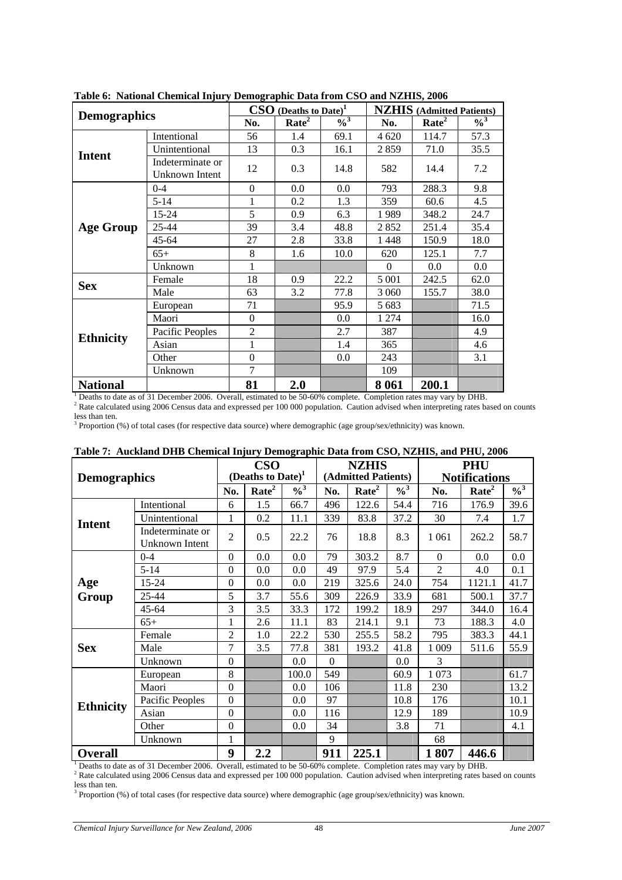| <b>Demographics</b> |                                                                                                                          |                   | $\textbf{CSO}$ (Deaths to Date) <sup>1</sup> |         | <b>NZHIS</b> (Admitted Patients) |                            |      |  |
|---------------------|--------------------------------------------------------------------------------------------------------------------------|-------------------|----------------------------------------------|---------|----------------------------------|----------------------------|------|--|
|                     | No.                                                                                                                      | Rate <sup>2</sup> | $\frac{0}{3}$                                | No.     | Rate <sup>2</sup>                | $\frac{9}{6}$ <sup>3</sup> |      |  |
|                     | Intentional                                                                                                              | 56                | 1.4                                          | 69.1    | 4 6 20                           | 114.7                      | 57.3 |  |
| <b>Intent</b>       | Unintentional                                                                                                            | 13                | 0.3                                          | 16.1    | 2859                             | 71.0                       | 35.5 |  |
|                     | Indeterminate or<br>Unknown Intent                                                                                       | 12                | 0.3                                          | 14.8    | 582                              | 14.4                       | 7.2  |  |
|                     | $0 - 4$                                                                                                                  | $\theta$          | 0.0                                          | 0.0     | 793                              | 288.3                      | 9.8  |  |
|                     | $5 - 14$                                                                                                                 |                   | 0.2                                          | 1.3     | 359                              | 60.6                       | 4.5  |  |
|                     | $15 - 24$                                                                                                                | 5                 | 0.9                                          | 6.3     | 1989                             | 348.2                      | 24.7 |  |
| <b>Age Group</b>    | 25-44                                                                                                                    | 39                | 3.4                                          | 48.8    | 2852                             | 251.4                      | 35.4 |  |
|                     | 45-64                                                                                                                    | 27                | 2.8                                          | 33.8    | 1448                             | 150.9                      | 18.0 |  |
|                     | $65+$                                                                                                                    | 8                 | 1.6                                          | 10.0    | 620                              | 125.1                      | 7.7  |  |
|                     | Unknown                                                                                                                  | 1                 |                                              |         | $\Omega$                         | 0.0                        | 0.0  |  |
| <b>Sex</b>          | Female                                                                                                                   | 18                | 0.9                                          | 22.2    | 5 0 0 1                          | 242.5                      | 62.0 |  |
|                     | Male                                                                                                                     | 63                | 3.2                                          | 77.8    | 3 0 6 0                          | 155.7                      | 38.0 |  |
|                     | European                                                                                                                 | 71                |                                              | 95.9    | 5 6 8 3                          |                            | 71.5 |  |
|                     | Maori                                                                                                                    | $\theta$          |                                              | $0.0\,$ | 1 274                            |                            | 16.0 |  |
| <b>Ethnicity</b>    | Pacific Peoples                                                                                                          | $\overline{2}$    |                                              | 2.7     | 387                              |                            | 4.9  |  |
|                     | Asian                                                                                                                    | 1                 |                                              | 1.4     | 365                              |                            | 4.6  |  |
|                     | Other                                                                                                                    | $\theta$          |                                              | $0.0\,$ | 243                              |                            | 3.1  |  |
|                     | Unknown                                                                                                                  | 7                 |                                              |         | 109                              |                            |      |  |
| <b>National</b>     | $^{1}$ Doeths to date as of 21 December 2006. Overall, estimated to be 50.60% complete. Completion rates may yers by DUD | 81                | 2.0                                          |         | 8 0 6 1                          | 200.1                      |      |  |

<span id="page-57-1"></span><span id="page-57-0"></span>**Table 6: National Chemical Injury Demographic Data from CSO and NZHIS, 2006** 

 $^1$  Deaths to date as of 31 December 2006. Overall, estimated to be 50-60% complete. Completion rates may vary by DHB.<br><sup>2</sup> Rate calculated using 2006 Census data and expressed per 100 000 population. Caution advised when less than ten.

<sup>3</sup> Proportion (%) of total cases (for respective data source) where demographic (age group/sex/ethnicity) was known.

<span id="page-57-2"></span>

|                     | Table 7. Auckland DTD Chenncal Hijury Demographic Data from C5O, N2H15, and I HO, 2000 |                |                               |                            |          |                     |                            |          |                      |                            |
|---------------------|----------------------------------------------------------------------------------------|----------------|-------------------------------|----------------------------|----------|---------------------|----------------------------|----------|----------------------|----------------------------|
|                     |                                                                                        |                | <b>CSO</b>                    |                            |          | <b>NZHIS</b>        |                            |          | <b>PHU</b>           |                            |
| <b>Demographics</b> |                                                                                        |                | (Deaths to Date) <sup>1</sup> |                            |          | (Admitted Patients) |                            |          | <b>Notifications</b> |                            |
|                     |                                                                                        | No.            | Rate <sup>2</sup>             | $\frac{9}{6}$ <sup>3</sup> | No.      | Rate <sup>2</sup>   | $\frac{9}{6}$ <sup>3</sup> | No.      | Rate <sup>2</sup>    | $\frac{9}{6}$ <sup>3</sup> |
|                     | Intentional                                                                            | 6              | 1.5                           | 66.7                       | 496      | 122.6               | 54.4                       | 716      | 176.9                | 39.6                       |
| <b>Intent</b>       | Unintentional                                                                          | 1              | 0.2                           | 11.1                       | 339      | 83.8                | 37.2                       | 30       | 7.4                  | 1.7                        |
|                     | Indeterminate or                                                                       | $\overline{2}$ | 0.5                           | 22.2                       | 76       | 18.8                | 8.3                        | 1 0 6 1  | 262.2                | 58.7                       |
|                     | Unknown Intent                                                                         |                |                               |                            |          |                     |                            |          |                      |                            |
|                     | $0 - 4$                                                                                | $\Omega$       | 0.0                           | 0.0                        | 79       | 303.2               | 8.7                        | $\Omega$ | $0.0\,$              | $0.0\,$                    |
|                     | $5 - 14$                                                                               | $\Omega$       | $0.0\,$                       | 0.0                        | 49       | 97.9                | 5.4                        | 2        | 4.0                  | 0.1                        |
| Age                 | $15 - 24$                                                                              | $\Omega$       | $0.0\,$                       | 0.0                        | 219      | 325.6               | 24.0                       | 754      | 1121.1               | 41.7                       |
| Group               | 25-44                                                                                  | 5              | 3.7                           | 55.6                       | 309      | 226.9               | 33.9                       | 681      | 500.1                | 37.7                       |
|                     | $45 - 64$                                                                              | 3              | 3.5                           | 33.3                       | 172      | 199.2               | 18.9                       | 297      | 344.0                | 16.4                       |
|                     | $65+$                                                                                  | 1              | 2.6                           | 11.1                       | 83       | 214.1               | 9.1                        | 73       | 188.3                | 4.0                        |
|                     | Female                                                                                 | $\overline{2}$ | 1.0                           | 22.2                       | 530      | 255.5               | 58.2                       | 795      | 383.3                | 44.1                       |
| <b>Sex</b>          | Male                                                                                   | $\tau$         | 3.5                           | 77.8                       | 381      | 193.2               | 41.8                       | 1 0 0 9  | 511.6                | 55.9                       |
|                     | Unknown                                                                                | $\Omega$       |                               | $0.0\,$                    | $\Omega$ |                     | 0.0                        | 3        |                      |                            |
|                     | European                                                                               | 8              |                               | 100.0                      | 549      |                     | 60.9                       | 1073     |                      | 61.7                       |
|                     | Maori                                                                                  | $\Omega$       |                               | 0.0                        | 106      |                     | 11.8                       | 230      |                      | 13.2                       |
| <b>Ethnicity</b>    | Pacific Peoples                                                                        | $\Omega$       |                               | 0.0                        | 97       |                     | 10.8                       | 176      |                      | 10.1                       |
|                     | Asian                                                                                  | $\theta$       |                               | 0.0                        | 116      |                     | 12.9                       | 189      |                      | 10.9                       |
|                     | Other                                                                                  | $\mathbf{0}$   |                               | 0.0                        | 34       |                     | 3.8                        | 71       |                      | 4.1                        |
|                     | Unknown                                                                                |                |                               |                            | 9        |                     |                            | 68       |                      |                            |
| <b>Overall</b>      |                                                                                        | 9              | $2.2\,$                       |                            | 911      | 225.1               |                            | 1807     | 446.6                |                            |

# **Table 7: Auckland DHB Chemical Injury Demographic Data from CSO, NZHIS, and PHU, 2006**

Deaths to date as of 31 December 2006. Overall, estimated to be 50-60% complete. Completion rates may vary by DHB.

 $^1$  Deaths to date as of 31 December 2006. Overall, estimated to be 50-60% complete. Completion rates may vary by DHB.<br><sup>2</sup> Rate calculated using 2006 Census data and expressed per 100 000 population. Caution advised when less than ten.

<sup>3</sup> Proportion (%) of total cases (for respective data source) where demographic (age group/sex/ethnicity) was known.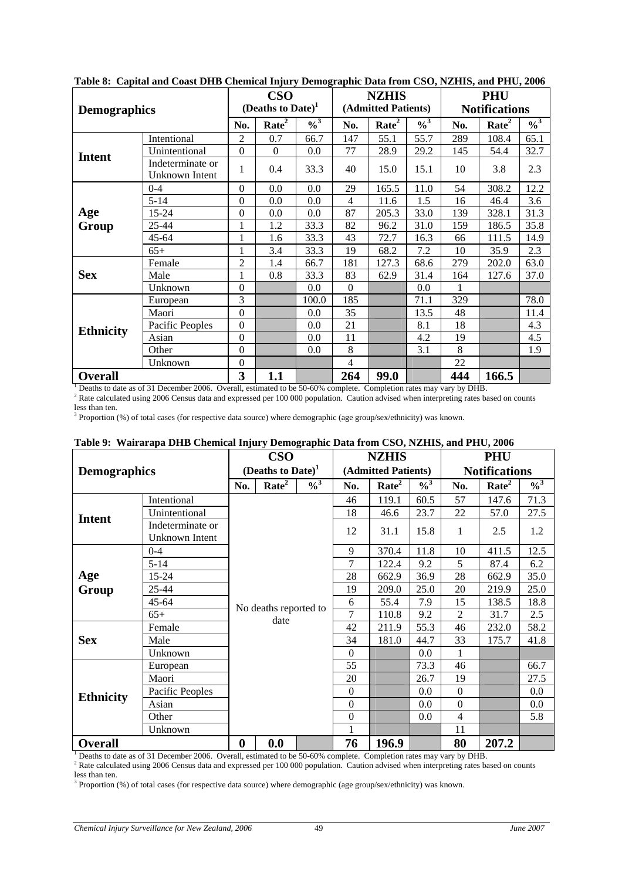| abit of capital and coast Dilb chemical mjury Demographic Data from cooy reliably and rarey soos |                                    |                         |                      |                            |                | <b>NZHIS</b>        |                            |     | <b>PHU</b>           |                            |
|--------------------------------------------------------------------------------------------------|------------------------------------|-------------------------|----------------------|----------------------------|----------------|---------------------|----------------------------|-----|----------------------|----------------------------|
| <b>Demographics</b>                                                                              |                                    |                         | (Deaths to Date) $1$ |                            |                | (Admitted Patients) |                            |     | <b>Notifications</b> |                            |
|                                                                                                  |                                    | No.                     | Rate <sup>2</sup>    | $\frac{9}{6}$ <sup>3</sup> | No.            | Rate <sup>2</sup>   | $\frac{9}{6}$ <sup>3</sup> | No. | Rate <sup>2</sup>    | $\frac{9}{6}$ <sup>3</sup> |
|                                                                                                  | Intentional                        | 2                       | 0.7                  | 66.7                       | 147            | 55.1                | 55.7                       | 289 | 108.4                | 65.1                       |
| <b>Intent</b>                                                                                    | Unintentional                      | $\boldsymbol{0}$        | $\Omega$             | 0.0                        | 77             | 28.9                | 29.2                       | 145 | 54.4                 | 32.7                       |
|                                                                                                  | Indeterminate or<br>Unknown Intent | 1                       | 0.4                  | 33.3                       | 40             | 15.0                | 15.1                       | 10  | 3.8                  | 2.3                        |
|                                                                                                  | $0 - 4$                            | $\Omega$                | 0.0                  | 0.0                        | 29             | 165.5               | 11.0                       | 54  | 308.2                | 12.2                       |
|                                                                                                  | $5 - 14$                           | $\mathbf{0}$            | $0.0\,$              | 0.0                        | $\overline{4}$ | 11.6                | 1.5                        | 16  | 46.4                 | 3.6                        |
| Age                                                                                              | $15 - 24$                          | $\boldsymbol{0}$        | 0.0                  | 0.0                        | 87             | 205.3               | 33.0                       | 139 | 328.1                | 31.3                       |
| Group                                                                                            | 25-44                              | 1                       | 1.2                  | 33.3                       | 82             | 96.2                | 31.0                       | 159 | 186.5                | 35.8                       |
|                                                                                                  | $45 - 64$                          | 1                       | 1.6                  | 33.3                       | 43             | 72.7                | 16.3                       | 66  | 111.5                | 14.9                       |
|                                                                                                  | $65+$                              | $\mathbf{1}$            | 3.4                  | 33.3                       | 19             | 68.2                | 7.2                        | 10  | 35.9                 | 2.3                        |
|                                                                                                  | Female                             | $\overline{2}$          | 1.4                  | 66.7                       | 181            | 127.3               | 68.6                       | 279 | 202.0                | 63.0                       |
| <b>Sex</b>                                                                                       | Male                               | $\mathbf{1}$            | 0.8                  | 33.3                       | 83             | 62.9                | 31.4                       | 164 | 127.6                | 37.0                       |
|                                                                                                  | Unknown                            | $\mathbf{0}$            |                      | 0.0                        | $\Omega$       |                     | 0.0                        |     |                      |                            |
|                                                                                                  | European                           | 3                       |                      | 100.0                      | 185            |                     | 71.1                       | 329 |                      | 78.0                       |
|                                                                                                  | Maori                              | $\mathbf{0}$            |                      | 0.0                        | 35             |                     | 13.5                       | 48  |                      | 11.4                       |
| <b>Ethnicity</b>                                                                                 | Pacific Peoples                    | $\mathbf{0}$            |                      | 0.0                        | 21             |                     | 8.1                        | 18  |                      | 4.3                        |
|                                                                                                  | Asian                              | $\mathbf{0}$            |                      | 0.0                        | 11             |                     | 4.2                        | 19  |                      | 4.5                        |
|                                                                                                  | Other                              | $\mathbf{0}$            |                      | 0.0                        | 8              |                     | 3.1                        | 8   |                      | 1.9                        |
| Unknown                                                                                          |                                    | $\mathbf{0}$            |                      |                            | 4              |                     |                            | 22  |                      |                            |
| <b>Overall</b>                                                                                   |                                    | $\overline{\mathbf{3}}$ | 1.1                  |                            | 264            | 99.0                |                            | 444 | 166.5                |                            |

<span id="page-58-1"></span><span id="page-58-0"></span>**Table 8: Capital and Coast DHB Chemical Injury Demographic Data from CSO, NZHIS, and PHU, 2006** 

**Overall 2 264 99.0 444 166.5 1**<br> **Example 1** Deaths to date as of 31 December 2006. Overall, estimated to be 50-60% complete. Completion rates may vary by DHB.<br>
<sup>2</sup> Bets seleculated using 2006 Concus date and

<sup>2</sup> Rate calculated using 2006 Census data and expressed per 100 000 population. Caution advised when interpreting rates based on counts less than ten.

<sup>3</sup> Proportion (%) of total cases (for respective data source) where demographic (age group/sex/ethnicity) was known.

<span id="page-58-2"></span>

|                     | Table 2. "Malfal apa DTID Chemical Infury Demographic Data Irom CSO, NZHIIS, and I ITO, 2000                                                                                                                                                                            |                       | <b>CSO</b>                    |                            |                  | <b>NZHIS</b>        |                            |                  | <b>PHU</b>           |                            |
|---------------------|-------------------------------------------------------------------------------------------------------------------------------------------------------------------------------------------------------------------------------------------------------------------------|-----------------------|-------------------------------|----------------------------|------------------|---------------------|----------------------------|------------------|----------------------|----------------------------|
| <b>Demographics</b> |                                                                                                                                                                                                                                                                         |                       | (Deaths to Date) <sup>1</sup> |                            |                  | (Admitted Patients) |                            |                  | <b>Notifications</b> |                            |
|                     |                                                                                                                                                                                                                                                                         | No.                   | Rate <sup>2</sup>             | $\frac{9}{6}$ <sup>3</sup> | No.              | Rate <sup>2</sup>   | $\frac{9}{6}$ <sup>3</sup> | No.              | Rate <sup>2</sup>    | $\frac{9}{6}$ <sup>3</sup> |
|                     | Intentional                                                                                                                                                                                                                                                             |                       |                               |                            | 46               | 119.1               | 60.5                       | 57               | 147.6                | 71.3                       |
| <b>Intent</b>       | Unintentional                                                                                                                                                                                                                                                           |                       |                               |                            | 18               | 46.6                | 23.7                       | 22               | 57.0                 | 27.5                       |
|                     | Indeterminate or<br>Unknown Intent                                                                                                                                                                                                                                      |                       |                               |                            | 12               | 31.1                | 15.8                       | 1                | 2.5                  | 1.2                        |
|                     | $0 - 4$                                                                                                                                                                                                                                                                 |                       | 9                             | 370.4                      | 11.8             | 10                  | 411.5                      | 12.5             |                      |                            |
|                     | $5 - 14$                                                                                                                                                                                                                                                                |                       |                               |                            | 7                | 122.4               | 9.2                        | 5                | 87.4                 | 6.2                        |
| Age                 | $15 - 24$                                                                                                                                                                                                                                                               |                       |                               |                            | 28               | 662.9               | 36.9                       | 28               | 662.9                | 35.0                       |
| Group               | 25-44                                                                                                                                                                                                                                                                   |                       |                               |                            |                  | 209.0               | 25.0                       | 20               | 219.9                | 25.0                       |
|                     | $45 - 64$                                                                                                                                                                                                                                                               | No deaths reported to |                               |                            | 6                | 55.4                | 7.9                        | 15               | 138.5                | 18.8                       |
|                     | $65+$                                                                                                                                                                                                                                                                   |                       | date                          |                            | 7                | 110.8               | 9.2                        | $\overline{2}$   | 31.7                 | 2.5                        |
|                     | Female                                                                                                                                                                                                                                                                  |                       |                               |                            | 42               | 211.9               | 55.3                       | 46               | 232.0                | 58.2                       |
| <b>Sex</b>          | Male                                                                                                                                                                                                                                                                    |                       |                               |                            | 34               | 181.0               | 44.7                       | 33               | 175.7                | 41.8                       |
|                     | Unknown                                                                                                                                                                                                                                                                 |                       |                               |                            | $\Omega$         |                     | 0.0                        | 1                |                      |                            |
|                     | European                                                                                                                                                                                                                                                                |                       |                               |                            | 55               |                     | 73.3                       | 46               |                      | 66.7                       |
|                     | Maori                                                                                                                                                                                                                                                                   |                       |                               |                            | 20               |                     | 26.7                       | 19               |                      | 27.5                       |
| <b>Ethnicity</b>    | Pacific Peoples                                                                                                                                                                                                                                                         |                       |                               |                            | $\Omega$         |                     | 0.0                        | $\Omega$         |                      | 0.0                        |
|                     | Asian                                                                                                                                                                                                                                                                   |                       |                               |                            | $\boldsymbol{0}$ |                     | 0.0                        | $\boldsymbol{0}$ |                      | $0.0\,$                    |
|                     | Other                                                                                                                                                                                                                                                                   |                       |                               |                            | $\Omega$         |                     | 0.0                        | 4                |                      | 5.8                        |
| Unknown             |                                                                                                                                                                                                                                                                         |                       |                               |                            |                  |                     |                            | 11               |                      |                            |
| <b>Overall</b>      |                                                                                                                                                                                                                                                                         | $\bf{0}$              | 0.0                           |                            | 76               | 196.9               |                            | 80               | 207.2                |                            |
|                     | Deaths to date as of 31 December 2006. Overall, estimated to be 50-60% complete. Completion rates may vary by DHB.<br><sup>2</sup> Rate calculated using 2006 Census data and expressed per 100 000 population. Caution advised when interpreting rates based on counts |                       |                               |                            |                  |                     |                            |                  |                      |                            |

# **Table 9: Wairarapa DHB Chemical Injury Demographic Data from CSO, NZHIS, and PHU, 2006**

less than ten.

<sup>3</sup> Proportion (%) of total cases (for respective data source) where demographic (age group/sex/ethnicity) was known.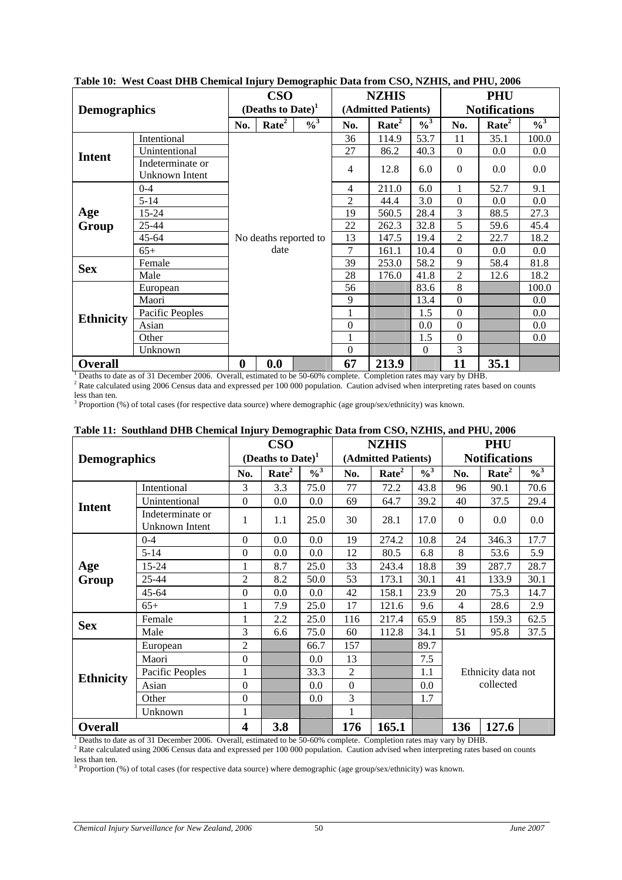|                     | rabic ro. "Mest Coast DTD" Chemical mjury Demographic Data from CDO, N2H110, and FTIC, 2000 |          | <b>CSO</b>                    |                            |                | <b>NZHIS</b>        |                            |                  | <b>PHU</b>           |               |
|---------------------|---------------------------------------------------------------------------------------------|----------|-------------------------------|----------------------------|----------------|---------------------|----------------------------|------------------|----------------------|---------------|
| <b>Demographics</b> |                                                                                             |          | (Deaths to Date) <sup>1</sup> |                            |                | (Admitted Patients) |                            |                  | <b>Notifications</b> |               |
|                     |                                                                                             | No.      | Rate <sup>2</sup>             | $\frac{9}{6}$ <sup>3</sup> | No.            | Rate <sup>2</sup>   | $\frac{9}{6}$ <sup>3</sup> | No.              | Rate <sup>2</sup>    | $\frac{0}{3}$ |
|                     | Intentional                                                                                 |          |                               |                            | 36             | 114.9               | 53.7                       | 11               | 35.1                 | 100.0         |
| <b>Intent</b>       | Unintentional                                                                               |          |                               |                            | 27             | 86.2                | 40.3                       | $\Omega$         | $0.0\,$              | 0.0           |
|                     | Indeterminate or<br>Unknown Intent                                                          |          |                               |                            | 4              | 12.8                | 6.0                        | $\Omega$         | 0.0                  | 0.0           |
|                     | $0 - 4$                                                                                     |          |                               |                            | $\overline{4}$ | 211.0               | 6.0                        |                  | 52.7                 | 9.1           |
|                     | $5 - 14$                                                                                    |          |                               |                            | 2              | 44.4                | 3.0                        | $\boldsymbol{0}$ | $0.0\,$              | 0.0           |
| Age                 | 15-24                                                                                       |          |                               |                            |                | 560.5               | 28.4                       | 3                | 88.5                 | 27.3          |
| Group               | 25-44                                                                                       |          |                               |                            | 22             | 262.3               | 32.8                       | 5                | 59.6                 | 45.4          |
|                     | $45 - 64$                                                                                   |          | No deaths reported to         |                            | 13             | 147.5               | 19.4                       | $\overline{2}$   | 22.7                 | 18.2          |
|                     | $65+$                                                                                       |          | date                          |                            | 7              | 161.1               | 10.4                       | $\Omega$         | $0.0\,$              | 0.0           |
| <b>Sex</b>          | Female                                                                                      |          |                               |                            | 39             | 253.0               | 58.2                       | 9                | 58.4                 | 81.8          |
|                     | Male                                                                                        |          |                               |                            | 28             | 176.0               | 41.8                       | $\overline{2}$   | 12.6                 | 18.2          |
|                     | European                                                                                    |          |                               |                            | 56             |                     | 83.6                       | 8                |                      | 100.0         |
|                     | Maori                                                                                       |          |                               |                            | 9              |                     | 13.4                       | $\boldsymbol{0}$ |                      | 0.0           |
| <b>Ethnicity</b>    | Pacific Peoples                                                                             |          |                               |                            |                |                     | 1.5                        | $\Omega$         |                      | 0.0           |
|                     | Asian                                                                                       |          |                               |                            | $\theta$       |                     | 0.0                        | $\Omega$         |                      | 0.0           |
|                     | Other                                                                                       |          |                               |                            | 1              |                     | 1.5                        | $\boldsymbol{0}$ |                      | 0.0           |
| Unknown             |                                                                                             |          |                               |                            | $\Omega$       |                     | $\Omega$                   | 3                |                      |               |
| <b>Overall</b>      |                                                                                             | $\bf{0}$ | 0.0                           |                            | 67             | 213.9               |                            | 11               | 35.1                 |               |

<span id="page-59-1"></span><span id="page-59-0"></span>**Table 10: West Coast DHB Chemical Injury Demographic Data from CSO, NZHIS, and PHU, 2006** 

**Overall 0 0.0 67 213.9 11 35.1** 1 Deaths to date as of 31 December 2006. Overall, estimated to be 50-60% complete. Completion rates may vary by DHB. 2 Rate calculated using 2006 Census data and expressed per 100 000 population. Caution advised when interpreting rates based on counts

less than ten.

<sup>3</sup> Proportion (%) of total cases (for respective data source) where demographic (age group/sex/ethnicity) was known.

|                     |                                    |                         |                               |                   |                | <b>NZHIS</b>        |                            |              | <b>PHU</b>           |                            |  |
|---------------------|------------------------------------|-------------------------|-------------------------------|-------------------|----------------|---------------------|----------------------------|--------------|----------------------|----------------------------|--|
| <b>Demographics</b> |                                    |                         | (Deaths to Date) <sup>1</sup> |                   |                | (Admitted Patients) |                            |              | <b>Notifications</b> |                            |  |
|                     |                                    | No.                     | Rate <sup>2</sup>             | $\frac{9}{6}^{3}$ | No.            | Rate <sup>2</sup>   | $\frac{9}{6}$ <sup>3</sup> | No.          | Rate <sup>2</sup>    | $\frac{9}{6}$ <sup>3</sup> |  |
|                     | Intentional                        |                         | 3.3                           | 75.0              | 77             | 72.2                | 43.8                       | 96           | 90.1                 | 70.6                       |  |
| <b>Intent</b>       | Unintentional                      | $\Omega$                | 0.0                           | 0.0               | 69             | 64.7                | 39.2                       | 40           | 37.5                 | 29.4                       |  |
|                     | Indeterminate or<br>Unknown Intent | 1                       | 1.1                           | 25.0              | 30             | 28.1                | 17.0                       | $\mathbf{0}$ | 0.0                  | 0.0                        |  |
|                     | $0 - 4$                            | $\Omega$                | 0.0                           | 0.0               | 19             | 274.2               | 10.8                       | 24           | 346.3                | 17.7                       |  |
|                     | $5 - 14$                           | $\Omega$                | 0.0                           | 0.0               | 12             | 80.5                | 6.8                        | 8            | 53.6                 | 5.9                        |  |
| Age                 | $15 - 24$                          | 1                       | 8.7                           | 25.0              | 33             | 243.4               | 18.8                       | 39           | 287.7                | 28.7                       |  |
| Group               | 25-44                              | 2                       | 8.2                           | 50.0              | 53             | 173.1               | 30.1                       | 41           | 133.9                | 30.1                       |  |
|                     | $45 - 64$                          | $\Omega$                | 0.0                           | 0.0               | 42             | 158.1               | 23.9                       | 20           | 75.3                 | 14.7                       |  |
|                     | $65+$                              | 1                       | 7.9                           | 25.0              | 17             | 121.6               | 9.6                        | 4            | 28.6                 | 2.9                        |  |
| <b>Sex</b>          | Female                             |                         | 2.2                           | 25.0              | 116            | 217.4               | 65.9                       | 85           | 159.3                | 62.5                       |  |
|                     | Male                               | 3                       | 6.6                           | 75.0              | 60             | 112.8               | 34.1                       | 51           | 95.8                 | 37.5                       |  |
|                     | European                           | $\overline{2}$          |                               | 66.7              | 157            |                     | 89.7                       |              |                      |                            |  |
|                     | Maori                              | $\boldsymbol{0}$        |                               | 0.0               | 13             |                     | 7.5                        |              |                      |                            |  |
| <b>Ethnicity</b>    | Pacific Peoples                    | 1                       |                               | 33.3              | $\overline{2}$ |                     | 1.1                        |              | Ethnicity data not   |                            |  |
|                     | Asian                              | $\Omega$                |                               | 0.0               | $\overline{0}$ |                     | 0.0                        | collected    |                      |                            |  |
|                     | Other                              | $\boldsymbol{0}$        |                               | 0.0               | 3              |                     | 1.7                        |              |                      |                            |  |
|                     | Unknown                            | 1                       |                               |                   | $\mathbf{1}$   |                     |                            |              |                      |                            |  |
| <b>Overall</b>      |                                    | $\overline{\mathbf{4}}$ | 3.8                           |                   | 176            | 165.1               |                            | 136          | 127.6                |                            |  |

#### <span id="page-59-2"></span>**Table 11: Southland DHB Chemical Injury Demographic Data from CSO, NZHIS, and PHU, 2006**

<sup>1</sup> Deaths to date as of 31 December 2006. Overall, estimated to be 50-60% complete. Completion rates may vary by DHB.

 $^1$  Deaths to date as of 31 December 2006. Overall, estimated to be 50-60% complete. Completion rates may vary by DHB.<br><sup>2</sup> Rate calculated using 2006 Census data and expressed per 100 000 population. Caution advised when less than ten.

<sup>3</sup> Proportion (%) of total cases (for respective data source) where demographic (age group/sex/ethnicity) was known.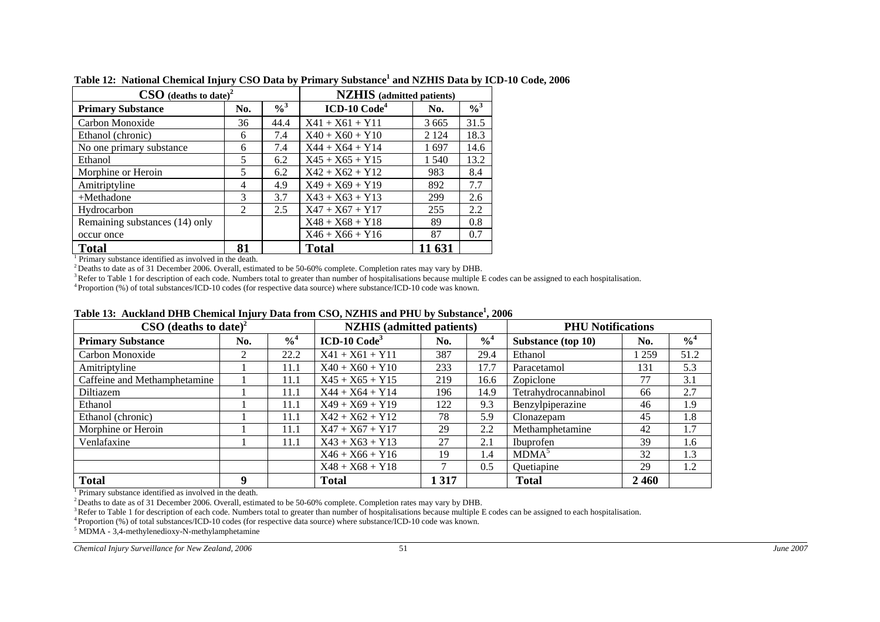| $\textbf{CSO}$ (deaths to date) <sup>2</sup> |                             |               | <b>NZHIS</b> (admitted patients) |         |               |  |  |  |
|----------------------------------------------|-----------------------------|---------------|----------------------------------|---------|---------------|--|--|--|
| <b>Primary Substance</b>                     | No.                         | $\frac{0}{3}$ | $ICD-10 Code4$                   | No.     | $\frac{0}{3}$ |  |  |  |
| Carbon Monoxide                              | 36                          | 44.4          | $X41 + X61 + Y11$                | 3 6 6 5 | 31.5          |  |  |  |
| Ethanol (chronic)                            | 6                           | 7.4           | $X40 + X60 + Y10$                | 2 1 2 4 | 18.3          |  |  |  |
| No one primary substance                     | 6                           | 7.4           | $X44 + X64 + Y14$                | 1697    | 14.6          |  |  |  |
| Ethanol                                      | 5                           | 6.2           | $X45 + X65 + Y15$                | 1 540   | 13.2          |  |  |  |
| Morphine or Heroin                           | 5                           | 6.2           | $X42 + X62 + Y12$                | 983     | 8.4           |  |  |  |
| Amitriptyline                                | $\overline{4}$              | 4.9           | $X49 + X69 + Y19$                | 892     | 7.7           |  |  |  |
| $+$ Methadone                                | $\mathcal{R}$               | 3.7           | $X43 + X63 + Y13$                | 299     | 2.6           |  |  |  |
| Hydrocarbon                                  | $\mathcal{D}_{\mathcal{L}}$ | 2.5           | $X47 + X67 + Y17$                | 255     | $2.2^{\circ}$ |  |  |  |
| Remaining substances (14) only               |                             |               | $X48 + X68 + Y18$                | 89      | 0.8           |  |  |  |
| occur once                                   |                             |               | $X46 + X66 + Y16$                | 87      | 0.7           |  |  |  |
| <b>Total</b>                                 | 81                          |               | <b>Total</b>                     | 11 631  |               |  |  |  |

**Table 12: National Chemical Injury CSO Data by Primary Substance1 and NZHIS Data by ICD-10 Code, 2006** 

 $1$  Primary substance identified as involved in the death.

<sup>2</sup> Deaths to date as of 31 December 2006. Overall, estimated to be 50-60% complete. Completion rates may vary by DHB.

<sup>3</sup> Refer to Table 1 for description of each code. Numbers total to greater than number of hospitalisations because multiple E codes can be assigned to each hospitalisation.

4 Proportion (%) of total substances/ICD-10 codes (for respective data source) where substance/ICD-10 code was known.

| $\text{CSO}$ (deaths to date) <sup>2</sup> |     |                            | <b>NZHIS</b> (admitted patients) |         |                            | <b>PHU</b> Notifications |       |                            |
|--------------------------------------------|-----|----------------------------|----------------------------------|---------|----------------------------|--------------------------|-------|----------------------------|
| <b>Primary Substance</b>                   | No. | $\frac{9}{6}$ <sup>4</sup> | $ICD-10 Code3$                   | No.     | $\frac{9}{6}$ <sup>4</sup> | Substance (top 10)       | No.   | $\frac{0}{6}$ <sup>4</sup> |
| Carbon Monoxide                            |     | 22.2                       | $X41 + X61 + Y11$                | 387     | 29.4                       | Ethanol                  | l 259 | 51.2                       |
| Amitriptyline                              |     | 11.1                       | $X40 + X60 + Y10$                | 233     | 17.7                       | Paracetamol              | 131   | 5.3                        |
| Caffeine and Methamphetamine               |     | 11.1                       | $X45 + X65 + Y15$                | 219     | 16.6                       | Zopiclone                | 77    | 3.1                        |
| Diltiazem                                  |     | 11.1                       | $X44 + X64 + Y14$                | 196     | 14.9                       | Tetrahydrocannabinol     | 66    | 2.7                        |
| Ethanol                                    |     | 11.1                       | $X49 + X69 + Y19$                | 122     | 9.3                        | Benzylpiperazine         | 46    | 1.9                        |
| Ethanol (chronic)                          |     | 11.1                       | $X42 + X62 + Y12$                | 78      | 5.9                        | Clonazepam               | 45    | 1.8                        |
| Morphine or Heroin                         |     | 11.1                       | $X47 + X67 + Y17$                | 29      | 2.2                        | Methamphetamine          | 42    | 1.7                        |
| Venlafaxine                                |     | 11.1                       | $X43 + X63 + Y13$                | 27      | 2.1                        | Ibuprofen                | 39    | 1.6                        |
|                                            |     |                            | $X46 + X66 + Y16$                | 19      | 1.4                        | MDMA <sup>5</sup>        | 32    | 1.3                        |
|                                            |     |                            | $X48 + X68 + Y18$                |         | 0.5                        | Quetiapine               | 29    | 1.2                        |
| <b>Total</b>                               | q   |                            | <b>Total</b>                     | 1 3 1 7 |                            | <b>Total</b>             | 2460  |                            |

#### **Table 13: Auckland DHB Chemical Injury Data from CSO, NZHIS and PHU by Substance1, 2006**

<sup>1</sup> Primary substance identified as involved in the death.

<sup>2</sup> Deaths to date as of 31 December 2006. Overall, estimated to be 50-60% complete. Completion rates may vary by DHB.

<sup>3</sup> Refer to Table 1 for description of each code. Numbers total to greater than number of hospitalisations because multiple E codes can be assigned to each hospitalisation.

4 Proportion (%) of total substances/ICD-10 codes (for respective data source) where substance/ICD-10 code was known.

5 MDMA - 3,4-methylenedioxy-N-methylamphetamine

<span id="page-60-2"></span><span id="page-60-1"></span><span id="page-60-0"></span>*Chemical Injury Surveillance for New Zealand, 2006* 51 *June 2007*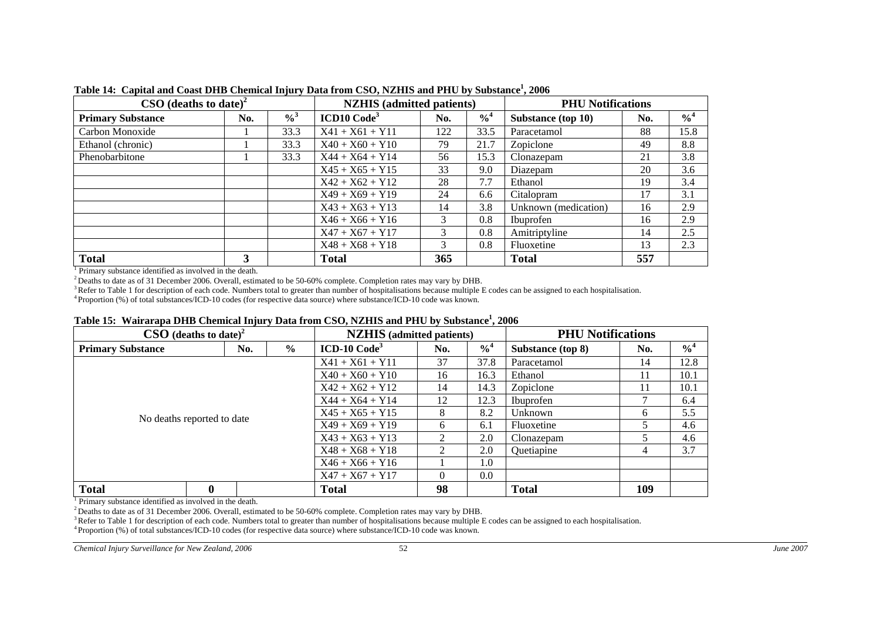| $\text{CSO}$ (deaths to date) <sup>2</sup> |     |                            | <b>NZHIS</b> (admitted patients) |     |                            | <b>PHU Notifications</b> |     |               |
|--------------------------------------------|-----|----------------------------|----------------------------------|-----|----------------------------|--------------------------|-----|---------------|
| <b>Primary Substance</b>                   | No. | $\frac{0}{6}$ <sup>3</sup> | ICD10 Code <sup>3</sup>          | No. | $\frac{9}{6}$ <sup>4</sup> | Substance (top 10)       | No. | $\frac{0}{4}$ |
| Carbon Monoxide                            |     | 33.3                       | $X41 + X61 + Y11$                | 122 | 33.5                       | Paracetamol              | 88  | 15.8          |
| Ethanol (chronic)                          |     | 33.3                       | $X40 + X60 + Y10$                | 79  | 21.7                       | Zopiclone                | 49  | 8.8           |
| Phenobarbitone                             |     | 33.3                       | $X44 + X64 + Y14$                | 56  | 15.3                       | Clonazepam               | 21  | 3.8           |
|                                            |     |                            | $X45 + X65 + Y15$                | 33  | 9.0                        | Diazepam                 | 20  | 3.6           |
|                                            |     |                            | $X42 + X62 + Y12$                | 28  | 7.7                        | Ethanol                  | 19  | 3.4           |
|                                            |     |                            | $X49 + X69 + Y19$                | 24  | 6.6                        | Citalopram               | 17  | 3.1           |
|                                            |     |                            | $X43 + X63 + Y13$                | 14  | 3.8                        | Unknown (medication)     | 16  | 2.9           |
|                                            |     |                            | $X46 + X66 + Y16$                | 3   | 0.8                        | Ibuprofen                | 16  | 2.9           |
|                                            |     |                            | $X47 + X67 + Y17$                | 3   | 0.8                        | Amitriptyline            | 14  | 2.5           |
|                                            |     |                            | $X48 + X68 + Y18$                | 3   | 0.8                        | Fluoxetine               | 13  | 2.3           |
| <b>Total</b>                               | 3   |                            | <b>Total</b>                     | 365 |                            | <b>Total</b>             | 557 |               |

**Table 14: Capital and Coast DHB Chemical Injury Data from CSO, NZHIS and PHU by Substance1, 2006** 

<sup>1</sup> Primary substance identified as involved in the death.

<sup>2</sup> Deaths to date as of 31 December 2006. Overall, estimated to be 50-60% complete. Completion rates may vary by DHB.

<sup>3</sup> Refer to Table 1 for description of each code. Numbers total to greater than number of hospitalisations because multiple E codes can be assigned to each hospitalisation.

4 Proportion (%) of total substances/ICD-10 codes (for respective data source) where substance/ICD-10 code was known.

|  |  |  |  |  | Table 15: Wairarapa DHB Chemical Injury Data from CSO, NZHIS and PHU by Substance <sup>1</sup> , 2006 |  |  |
|--|--|--|--|--|-------------------------------------------------------------------------------------------------------|--|--|
|--|--|--|--|--|-------------------------------------------------------------------------------------------------------|--|--|

|                            | $\textbf{CSO}$ (deaths to date) <sup>2</sup> |                   |                   | <b>NZHIS</b> (admitted patients) |                |                            | <b>PHU Notifications</b> |     |               |  |
|----------------------------|----------------------------------------------|-------------------|-------------------|----------------------------------|----------------|----------------------------|--------------------------|-----|---------------|--|
| <b>Primary Substance</b>   |                                              | No.               | $\%$              | $ICD-10 Code3$                   | No.            | $\frac{9}{6}$ <sup>4</sup> | Substance (top 8)        | No. | $\frac{0}{4}$ |  |
|                            |                                              | $X41 + X61 + Y11$ | 37                | 37.8                             | Paracetamol    | 14                         | 12.8                     |     |               |  |
|                            |                                              | $X40 + X60 + Y10$ | 16                | 16.3                             | Ethanol        | 11                         | 10.1                     |     |               |  |
|                            |                                              |                   |                   | $X42 + X62 + Y12$                | 14             | 14.3                       | Zopiclone                | 11  | 10.1          |  |
|                            |                                              | $X44 + X64 + Y14$ | 12                | 12.3                             | Ibuprofen      |                            | 6.4                      |     |               |  |
| No deaths reported to date |                                              |                   |                   | $X45 + X65 + Y15$                | 8              | 8.2                        | Unknown                  | 6   | 5.5           |  |
|                            |                                              |                   |                   | $X49 + X69 + Y19$                | 6              | 6.1                        | Fluoxetine               |     | 4.6           |  |
|                            |                                              |                   |                   | $X43 + X63 + Y13$                | $\mathfrak{D}$ | 2.0                        | Clonazepam               |     | 4.6           |  |
|                            |                                              |                   |                   | $X48 + X68 + Y18$                | $\mathfrak{D}$ | 2.0                        | Quetiapine               | 4   | 3.7           |  |
|                            |                                              |                   |                   | $X46 + X66 + Y16$                |                | 1.0                        |                          |     |               |  |
|                            |                                              |                   | $X47 + X67 + Y17$ | $\Omega$                         | 0.0            |                            |                          |     |               |  |
| <b>Total</b>               | $\boldsymbol{0}$                             |                   |                   | <b>Total</b>                     | 98             |                            | <b>Total</b>             | 109 |               |  |

<sup>1</sup> Primary substance identified as involved in the death.

<sup>2</sup> Deaths to date as of 31 December 2006. Overall, estimated to be 50-60% complete. Completion rates may vary by DHB.

<sup>3</sup> Refer to Table 1 for description of each code. Numbers total to greater than number of hospitalisations because multiple E codes can be assigned to each hospitalisation.

4 Proportion (%) of total substances/ICD-10 codes (for respective data source) where substance/ICD-10 code was known.

<span id="page-61-2"></span><span id="page-61-1"></span><span id="page-61-0"></span>*Chemical Injury Surveillance for New Zealand, 2006* 52 *June 2007*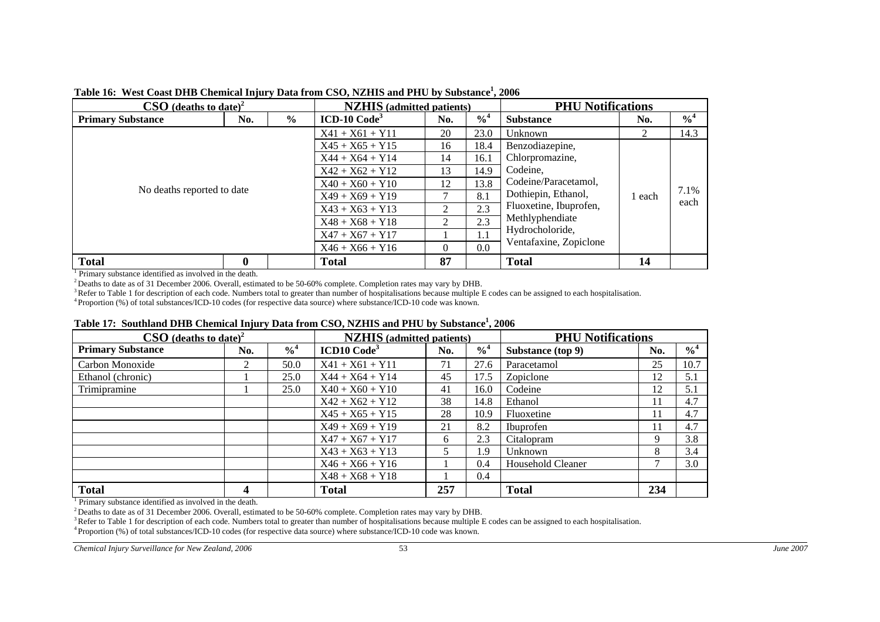| $\textbf{CSO}$ (deaths to date) <sup>2</sup> |                   |                   | <b>NZHIS</b> (admitted patients) |                        |                            | <b>PHU Notifications</b> |               |                            |  |
|----------------------------------------------|-------------------|-------------------|----------------------------------|------------------------|----------------------------|--------------------------|---------------|----------------------------|--|
| <b>Primary Substance</b>                     | No.               | $\frac{6}{6}$     | $ICD-10 Code3$                   | No.                    | $\frac{9}{6}$ <sup>4</sup> | <b>Substance</b>         | No.           | $\frac{9}{6}$ <sup>4</sup> |  |
|                                              |                   |                   | $X41 + X61 + Y11$                | 20                     | 23.0                       | Unknown                  | $\mathcal{L}$ | 14.3                       |  |
|                                              |                   | $X45 + X65 + Y15$ | 16                               | 18.4                   | Benzodiazepine,            |                          |               |                            |  |
|                                              | $X44 + X64 + Y14$ | 14                | 16.1                             | Chlorpromazine,        |                            |                          |               |                            |  |
|                                              | $X42 + X62 + Y12$ | 13                | 14.9                             | Codeine,               |                            |                          |               |                            |  |
|                                              |                   | $X40 + X60 + Y10$ | 12                               | 13.8                   | Codeine/Paracetamol,       |                          |               |                            |  |
| No deaths reported to date                   |                   |                   | $X49 + X69 + Y19$                |                        | 8.1                        | Dothiepin, Ethanol,      | 1 each        | 7.1%<br>each               |  |
|                                              |                   |                   | $X43 + X63 + Y13$                | 2                      | 2.3                        | Fluoxetine, Ibuprofen,   |               |                            |  |
|                                              |                   |                   | $X48 + X68 + Y18$                | 2                      | 2.3                        | Methlyphendiate          |               |                            |  |
|                                              | $X47 + X67 + Y17$ |                   | 1.1                              | Hydrocholoride,        |                            |                          |               |                            |  |
|                                              | $X46 + X66 + Y16$ | $\Omega$          | 0.0                              | Ventafaxine, Zopiclone |                            |                          |               |                            |  |
| <b>Total</b>                                 |                   |                   | <b>Total</b>                     | 87                     |                            | <b>Total</b>             | 14            |                            |  |

#### **Table 16: West Coast DHB Chemical Injury Data from CSO, NZHIS and PHU by Substance1, 2006**

1 Primary substance identified as involved in the death.

<sup>2</sup> Deaths to date as of 31 December 2006. Overall, estimated to be 50-60% complete. Completion rates may vary by DHB.

 $3$  Refer to Table 1 for description of each code. Numbers total to greater than number of hospitalisations because multiple E codes can be assigned to each hospitalisation.

4 Proportion (%) of total substances/ICD-10 codes (for respective data source) where substance/ICD-10 code was known.

#### **Table 17: Southland DHB Chemical Injury Data from CSO, NZHIS and PHU by Substance1, 2006**

| $\textbf{CSO}$ (deaths to date) <sup>2</sup> |     |                            | <b>NZHIS</b> (admitted patients) |     |                            | <b>PHU Notifications</b> |     |                            |
|----------------------------------------------|-----|----------------------------|----------------------------------|-----|----------------------------|--------------------------|-----|----------------------------|
| <b>Primary Substance</b>                     | No. | $\frac{9}{6}$ <sup>4</sup> | ICD10 Code <sup>3</sup>          | No. | $\frac{9}{6}$ <sup>4</sup> | Substance (top 9)        | No. | $\frac{9}{6}$ <sup>4</sup> |
| Carbon Monoxide                              | 2   | 50.0                       | $X41 + X61 + Y11$                | 71  | 27.6                       | Paracetamol              | 25  | 10.7                       |
| Ethanol (chronic)                            |     | 25.0                       | $X44 + X64 + Y14$                | 45  | 17.5                       | Zopiclone                | 12  | 5.1                        |
| Trimipramine                                 |     | 25.0                       | $X40 + X60 + Y10$                | 41  | 16.0                       | Codeine                  | 12  | 5.1                        |
|                                              |     |                            | $X42 + X62 + Y12$                | 38  | 14.8                       | Ethanol                  | 11  | 4.7                        |
|                                              |     |                            | $X45 + X65 + Y15$                | 28  | 10.9                       | Fluoxetine               | 11  | 4.7                        |
|                                              |     |                            | $X49 + X69 + Y19$                | 21  | 8.2                        | Ibuprofen                | 11  | 4.7                        |
|                                              |     |                            | $X47 + X67 + Y17$                | 6   | 2.3                        | Citalopram               | 9   | 3.8                        |
|                                              |     |                            | $X43 + X63 + Y13$                |     | 1.9                        | Unknown                  | 8   | 3.4                        |
|                                              |     |                            | $X46 + X66 + Y16$                |     | 0.4                        | Household Cleaner        |     | 3.0                        |
|                                              |     |                            | $X48 + X68 + Y18$                |     | 0.4                        |                          |     |                            |
| <b>Total</b>                                 | 4   |                            | Total                            | 257 |                            | <b>Total</b>             | 234 |                            |

1 Primary substance identified as involved in the death.

2 Deaths to date as of 31 December 2006. Overall, estimated to be 50-60% complete. Completion rates may vary by DHB.

<sup>3</sup> Refer to Table 1 for description of each code. Numbers total to greater than number of hospitalisations because multiple E codes can be assigned to each hospitalisation.

4 Proportion (%) of total substances/ICD-10 codes (for respective data source) where substance/ICD-10 code was known.

<span id="page-62-2"></span><span id="page-62-1"></span><span id="page-62-0"></span>*Chemical Injury Surveillance for New Zealand, 2006* 53 *June 2007*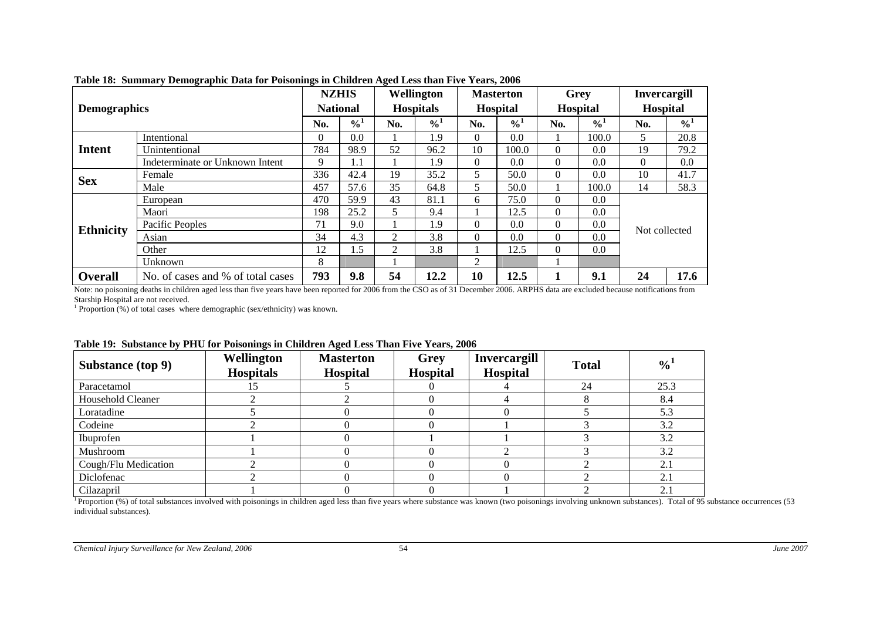|                                 |                                   |     | <b>NZHIS</b>    |                | Wellington       |          | <b>Masterton</b> |          | Grey            | <b>Invercargill</b> |               |  |
|---------------------------------|-----------------------------------|-----|-----------------|----------------|------------------|----------|------------------|----------|-----------------|---------------------|---------------|--|
| <b>Demographics</b>             |                                   |     | <b>National</b> |                | <b>Hospitals</b> |          | <b>Hospital</b>  |          | <b>Hospital</b> |                     | Hospital      |  |
|                                 |                                   | No. | $\frac{0}{1}$   | No.            | $\frac{0}{4}$    | No.      | $\frac{0}{4}$    | No.      | $\frac{0}{1}$   | No.                 | $\frac{0}{0}$ |  |
|                                 | Intentional                       | 0   | 0.0             |                | 1.9              | $\Omega$ | 0.0              |          | 100.0           | 5.                  | 20.8          |  |
| <b>Intent</b>                   | Unintentional                     | 784 | 98.9            | 52             | 96.2             | 10       | 100.0            | $\Omega$ | 0.0             | 19                  | 79.2          |  |
| Indeterminate or Unknown Intent |                                   | 9   | 1.1             |                | 1.9              | $\Omega$ | 0.0              | $\Omega$ | 0.0             | $\Omega$            | 0.0           |  |
| <b>Sex</b>                      | Female                            |     | 42.4            | 19             | 35.2             | 5        | 50.0             | $\Omega$ | 0.0             | 10                  | 41.7          |  |
|                                 | Male                              | 457 | 57.6            | 35             | 64.8             | 5        | 50.0             |          | 100.0           | 14                  | 58.3          |  |
|                                 | European                          | 470 | 59.9            | 43             | 81.1             | 6        | 75.0             | $\Omega$ | 0.0             |                     |               |  |
|                                 | Maori                             | 198 | 25.2            | 5              | 9.4              |          | 12.5             | $\Omega$ | 0.0             |                     |               |  |
| <b>Ethnicity</b>                | Pacific Peoples                   | 71  | 9.0             |                | 1.9              | $\Omega$ | 0.0              | $\Omega$ | 0.0             | Not collected       |               |  |
|                                 | Asian                             | 34  | 4.3             | $\overline{2}$ | 3.8              | $\Omega$ | 0.0              | $\Omega$ | 0.0             |                     |               |  |
|                                 | Other                             | 12  | 1.5             | $\overline{2}$ | 3.8              |          | 12.5             | $\Omega$ | 0.0             |                     |               |  |
|                                 | Unknown                           | 8   |                 |                |                  | 2        |                  |          |                 |                     |               |  |
| <b>Overall</b>                  | No. of cases and % of total cases | 793 | 9.8             | 54             | 12.2             | 10       | 12.5             |          | 9.1             | 24                  | 17.6          |  |

#### **Table 18: Summary Demographic Data for Poisonings in Children Aged Less than Five Years, 2006**

Note: no poisoning deaths in children aged less than five years have been reported for 2006 from the CSO as of 31 December 2006. ARPHS data are excluded because notifications from Starship Hospital are not received.

<sup>1</sup> Proportion  $(\%)$  of total cases where demographic (sex/ethnicity) was known.

| Substance (top 9)    | Wellington<br><b>Hospitals</b> | <b>Masterton</b><br><b>Hospital</b> | Grey<br><b>Hospital</b> | <b>Invercargill</b><br><b>Hospital</b> | <b>Total</b> | $\frac{0}{4}$ |
|----------------------|--------------------------------|-------------------------------------|-------------------------|----------------------------------------|--------------|---------------|
| Paracetamol          |                                |                                     |                         |                                        | 24           | 25.3          |
| Household Cleaner    |                                |                                     |                         |                                        |              | 8.4           |
| Loratadine           |                                |                                     |                         |                                        |              | 5.3           |
| Codeine              |                                |                                     |                         |                                        |              | 3.2           |
| Ibuprofen            |                                |                                     |                         |                                        |              | 3.2           |
| Mushroom             |                                |                                     |                         |                                        |              | 3.2           |
| Cough/Flu Medication |                                |                                     |                         |                                        |              | 2.1           |
| Diclofenac           |                                |                                     |                         |                                        |              | 2.1           |
| Cilazapril           |                                |                                     |                         |                                        |              | 2.1           |

#### **Table 19: Substance by PHU for Poisonings in Children Aged Less Than Five Years, 2006**

<span id="page-63-2"></span><span id="page-63-1"></span><span id="page-63-0"></span>**1** Proportion (%) of total substances involved with poisonings in children aged less than five years where substance was known (two poisonings involving unknown substances). Total of 95 substance occurrences (53) individual substances).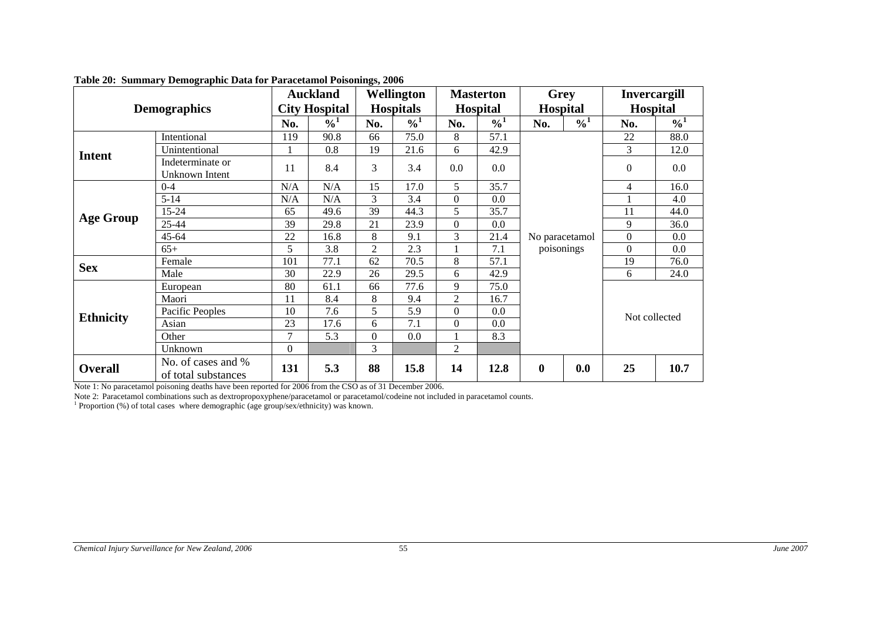|                  |                                           |          | <b>Auckland</b>            |                | Wellington       |                | <b>Masterton</b> | Grey                         |               | <b>Invercargill</b> |               |
|------------------|-------------------------------------------|----------|----------------------------|----------------|------------------|----------------|------------------|------------------------------|---------------|---------------------|---------------|
|                  | <b>Demographics</b>                       |          | <b>City Hospital</b>       |                | <b>Hospitals</b> |                | Hospital         | Hospital                     |               | <b>Hospital</b>     |               |
|                  |                                           | No.      | $\frac{9}{6}$ <sup>1</sup> | No.            | $\frac{0}{10}$   | No.            | $\frac{0}{0}$    | No.                          | $\frac{0}{0}$ | No.                 | $\frac{0}{0}$ |
|                  | Intentional                               | 119      | 90.8                       | 66             | 75.0             | 8              | 57.1             |                              |               | 22                  | 88.0          |
| <b>Intent</b>    | Unintentional                             |          | 0.8                        | 19             | 21.6             | 6              | 42.9             |                              |               | 3                   | 12.0          |
|                  | Indeterminate or<br>Unknown Intent        | 11       | 8.4                        | 3              | 3.4              | 0.0            | 0.0              | No paracetamol<br>poisonings |               | $\Omega$            | $0.0\,$       |
|                  | $0 - 4$                                   | N/A      | N/A                        | 15             | 17.0             | 5              | 35.7             |                              |               | 4                   | 16.0          |
| <b>Age Group</b> | $5 - 14$                                  | N/A      | N/A                        | 3              | 3.4              | $\theta$       | 0.0              |                              |               |                     | 4.0           |
|                  | 15-24                                     | 65       | 49.6                       | 39             | 44.3             | 5              | 35.7             |                              |               | 11                  | 44.0          |
|                  | 25-44                                     | 39       | 29.8                       | 21             | 23.9             | $\Omega$       | 0.0              |                              |               | 9                   | 36.0          |
|                  | $45 - 64$                                 | 22       | 16.8                       | 8              | 9.1              | 3              | 21.4             |                              |               | $\Omega$            | 0.0           |
|                  | $65+$                                     | 5        | 3.8                        | $\overline{2}$ | 2.3              |                | 7.1              |                              |               | $\overline{0}$      | 0.0           |
| <b>Sex</b>       | Female                                    | 101      | 77.1                       | 62             | 70.5             | 8              | 57.1             |                              |               | 19                  | 76.0          |
|                  | Male                                      | 30       | 22.9                       | 26             | 29.5             | 6              | 42.9             |                              |               | 6                   | 24.0          |
|                  | European                                  | 80       | 61.1                       | 66             | 77.6             | 9              | 75.0             |                              |               |                     |               |
|                  | Maori                                     | 11       | 8.4                        | 8              | 9.4              | $\overline{2}$ | 16.7             |                              |               |                     |               |
| <b>Ethnicity</b> | Pacific Peoples                           | 10       | 7.6                        | 5              | 5.9              | $\Omega$       | 0.0              |                              |               | Not collected       |               |
|                  | Asian                                     | 23       | 17.6                       | 6              | 7.1              | $\Omega$       | 0.0              |                              |               |                     |               |
|                  | Other                                     | 7        | 5.3                        | $\theta$       | 0.0              |                | 8.3              |                              |               |                     |               |
|                  | Unknown                                   | $\Omega$ |                            | 3              |                  | $\overline{2}$ |                  |                              |               |                     |               |
| <b>Overall</b>   | No. of cases and %<br>of total substances | 131      | 5.3                        | 88             | 15.8             | 14             | 12.8             | $\boldsymbol{0}$             | 0.0           | 25                  | 10.7          |

#### **Table 20: Summary Demographic Data for Paracetamol Poisonings, 2006**

Note 1: No paracetamol poisoning deaths have been reported for 2006 from the CSO as of 31 December 2006.

Note 2: Paracetamol combinations such as dextropropoxyphene/paracetamol or paracetamol/codeine not included in paracetamol counts. <sup>1</sup> Proportion (%) of total cases where demographic (age group/sex/ethnicity) was known.

<span id="page-64-1"></span><span id="page-64-0"></span>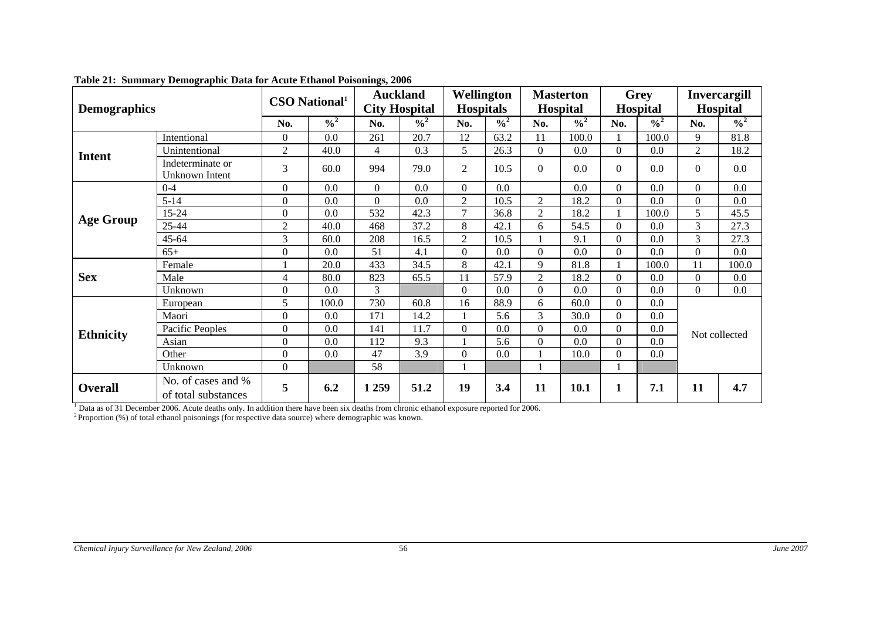| <b>Demographics</b>                                         |                                    | $\mathbf{CSO}$ National <sup>1</sup> |               |                | <b>Auckland</b><br><b>City Hospital</b> |                  | Wellington<br><b>Hospitals</b> |                | <b>Masterton</b><br><b>Hospital</b> |                | <b>Grey</b><br><b>Hospital</b> |                | <b>Invercargill</b><br><b>Hospital</b> |  |
|-------------------------------------------------------------|------------------------------------|--------------------------------------|---------------|----------------|-----------------------------------------|------------------|--------------------------------|----------------|-------------------------------------|----------------|--------------------------------|----------------|----------------------------------------|--|
|                                                             |                                    | No.                                  | $\frac{0}{2}$ | No.            | $\frac{0}{2}$                           | No.              | $\frac{0}{2}$                  | No.            | $\frac{0}{2}$                       | No.            | $\frac{0}{2}$                  | No.            | $\frac{0}{2}$                          |  |
| Intentional                                                 |                                    | $\overline{0}$                       | 0.0           | 261            | 20.7                                    | 12               | 63.2                           | 11             | 100.0                               |                | 100.0                          | 9              | 81.8                                   |  |
| <b>Intent</b>                                               | Unintentional                      | $\overline{2}$                       | 40.0          | $\overline{4}$ | 0.3                                     | 5                | 26.3                           | $\Omega$       | 0.0                                 | $\Omega$       | 0.0                            | $\overline{2}$ | 18.2                                   |  |
|                                                             | Indeterminate or<br>Unknown Intent | 3                                    | 60.0          | 994            | 79.0                                    | $\overline{2}$   | 10.5                           | $\Omega$       | 0.0                                 | $\Omega$       | 0.0                            | $\Omega$       | 0.0                                    |  |
|                                                             | $0 - 4$                            | $\Omega$                             | 0.0           | $\Omega$       | 0.0                                     | $\mathbf{0}$     | 0.0                            |                | 0.0                                 | $\Omega$       | 0.0                            | $\Omega$       | 0.0                                    |  |
| <b>Age Group</b>                                            | $5 - 14$                           | $\Omega$                             | 0.0           | $\Omega$       | 0.0                                     | $\sqrt{2}$       | 10.5                           | $\overline{2}$ | 18.2                                | $\Omega$       | 0.0                            | $\Omega$       | 0.0                                    |  |
|                                                             | 15-24                              | $\Omega$                             | 0.0           | 532            | 42.3                                    | $\overline{7}$   | 36.8                           | $\overline{2}$ | 18.2                                | 1              | 100.0                          | 5              | 45.5                                   |  |
|                                                             | 25-44                              | $\overline{2}$                       | 40.0          | 468            | 37.2                                    | 8                | 42.1                           | 6              | 54.5                                | $\Omega$       | 0.0                            | $\overline{3}$ | 27.3                                   |  |
|                                                             | $45 - 64$                          | 3                                    | 60.0          | 208            | 16.5                                    | $\overline{2}$   | 10.5                           |                | 9.1                                 | $\Omega$       | 0.0                            | 3              | 27.3                                   |  |
|                                                             | $65+$                              | $\overline{0}$                       | 0.0           | 51             | 4.1                                     | $\boldsymbol{0}$ | 0.0                            | $\Omega$       | 0.0                                 | $\overline{0}$ | 0.0                            | $\Omega$       | 0.0                                    |  |
|                                                             | Female                             |                                      | 20.0          | 433            | 34.5                                    | 8                | 42.1                           | 9              | 81.8                                |                | 100.0                          | 11             | 100.0                                  |  |
| <b>Sex</b>                                                  | Male                               | 4                                    | 80.0          | 823            | 65.5                                    | 11               | 57.9                           | $\overline{2}$ | 18.2                                | $\Omega$       | 0.0                            | $\Omega$       | 0.0                                    |  |
|                                                             | Unknown                            | $\theta$                             | 0.0           | 3              |                                         | $\Omega$         | 0.0                            | $\Omega$       | 0.0                                 | $\Omega$       | 0.0                            | $\Omega$       | 0.0                                    |  |
|                                                             | European                           | 5                                    | 100.0         | 730            | 60.8                                    | 16               | 88.9                           | 6              | 60.0                                | $\Omega$       | 0.0                            |                |                                        |  |
|                                                             | Maori                              | $\overline{0}$                       | 0.0           | 171            | 14.2                                    |                  | 5.6                            | 3              | 30.0                                | $\overline{0}$ | 0.0                            |                |                                        |  |
| <b>Ethnicity</b>                                            | Pacific Peoples                    | $\Omega$                             | 0.0           | 141            | 11.7                                    | $\boldsymbol{0}$ | 0.0                            | $\Omega$       | 0.0                                 | $\Omega$       | 0.0                            |                | Not collected                          |  |
|                                                             | Asian                              | $\boldsymbol{0}$                     | 0.0           | 112            | 9.3                                     |                  | 5.6                            | $\Omega$       | 0.0                                 | $\Omega$       | 0.0                            |                |                                        |  |
|                                                             | Other                              | $\Omega$                             | 0.0           | 47             | 3.9                                     | $\boldsymbol{0}$ | 0.0                            |                | 10.0                                | $\Omega$       | 0.0                            |                |                                        |  |
|                                                             | Unknown                            | $\Omega$                             |               | 58             |                                         |                  |                                |                |                                     | 1              |                                |                |                                        |  |
| No. of cases and %<br><b>Overall</b><br>of total substances |                                    | 5                                    | 6.2           | 1 2 5 9        | 51.2                                    | 19               | 3.4                            | 11             | 10.1                                | 1              | 7.1                            | 11             | 4.7                                    |  |

#### **Table 21: Summary Demographic Data for Acute Ethanol Poisonings, 2006**

<span id="page-65-1"></span><span id="page-65-0"></span>1 Data as of 31 December 2006. Acute deaths only. In addition there have been six deaths from chronic ethanol exposure reported for 2006.  $2^2$  Proportion (%) of total ethanol poisonings (for respective data source) where demographic was known.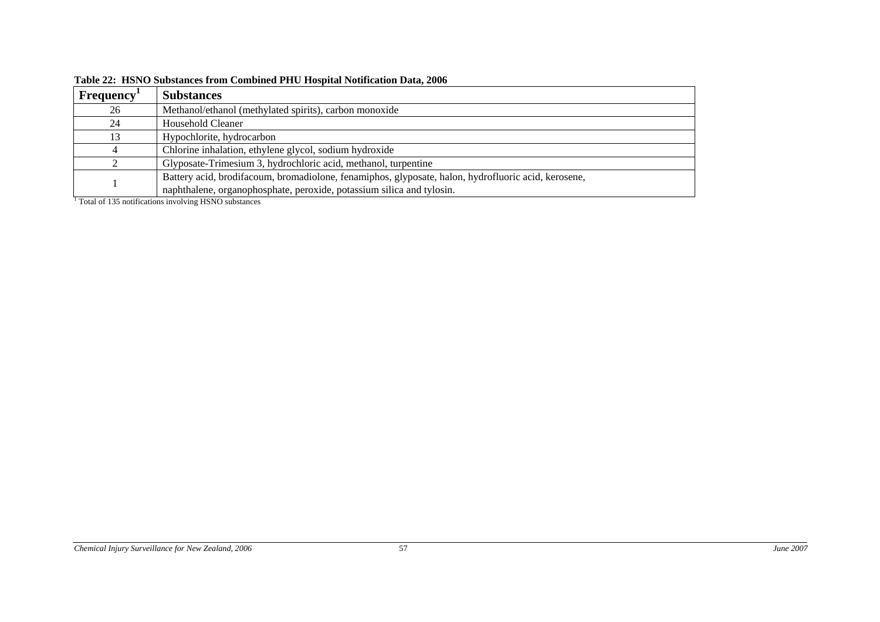| Frequency <sup>1</sup> | <b>Substances</b>                                                                                   |
|------------------------|-----------------------------------------------------------------------------------------------------|
| 26                     | Methanol/ethanol (methylated spirits), carbon monoxide                                              |
| 24                     | Household Cleaner                                                                                   |
| 13                     | Hypochlorite, hydrocarbon                                                                           |
|                        | Chlorine inhalation, ethylene glycol, sodium hydroxide                                              |
|                        | Glyposate-Trimesium 3, hydrochloric acid, methanol, turpentine                                      |
|                        | Battery acid, brodifacoum, bromadiolone, fenamiphos, glyposate, halon, hydrofluoric acid, kerosene, |
|                        | naphthalene, organophosphate, peroxide, potassium silica and tylosin.                               |

**Table 22: HSNO Substances from Combined PHU Hospital Notification Data, 2006** 

<span id="page-66-1"></span><span id="page-66-0"></span><sup>1</sup> Total of 135 notifications involving HSNO substances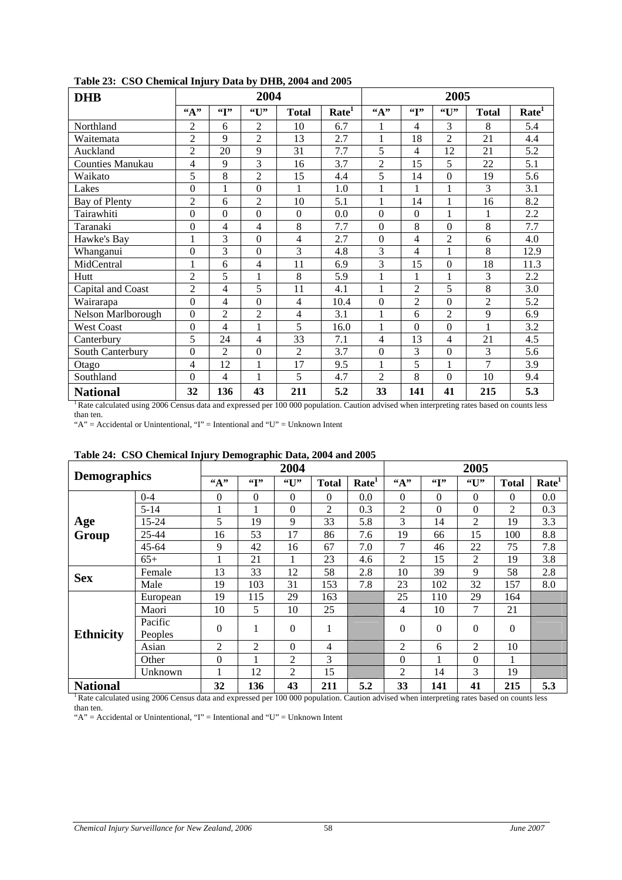<span id="page-67-1"></span>

| <b>DHB</b>              |                  |                          | 2004             |                |                   | 2005             |                            |                  |                |                   |  |
|-------------------------|------------------|--------------------------|------------------|----------------|-------------------|------------------|----------------------------|------------------|----------------|-------------------|--|
|                         | ``A"             | $\mathfrak{c}$           | $G$ <sup>1</sup> | <b>Total</b>   | Rate <sup>1</sup> | ``A"             | $\mathfrak{c}(\mathbf{r})$ | "U"              | <b>Total</b>   | Rate <sup>1</sup> |  |
| Northland               | $\overline{2}$   | 6                        | $\overline{c}$   | 10             | 6.7               | 1                | $\overline{4}$             | 3                | 8              | 5.4               |  |
| Waitemata               | $\overline{2}$   | 9                        | $\mathfrak{D}$   | 13             | 2.7               | 1                | 18                         | $\overline{2}$   | 21             | 4.4               |  |
| Auckland                | $\overline{2}$   | 20                       | 9                | 31             | 7.7               | 5                | 4                          | 12               | 21             | 5.2               |  |
| <b>Counties Manukau</b> | 4                | 9                        | 3                | 16             | 3.7               | $\overline{2}$   | 15                         | 5                | 22             | 5.1               |  |
| Waikato                 | 5                | 8                        | $\overline{2}$   | 15             | 4.4               | 5                | 14                         | $\Omega$         | 19             | 5.6               |  |
| Lakes                   | $\Omega$         | 1                        | $\theta$         | 1              | 1.0               | 1                | 1                          | 1                | 3              | 3.1               |  |
| Bay of Plenty           | $\overline{2}$   | 6                        | $\overline{2}$   | 10             | 5.1               | 1                | 14                         | 1                | 16             | 8.2               |  |
| Tairawhiti              | $\overline{0}$   | $\theta$                 | $\overline{0}$   | $\theta$       | 0.0               | $\Omega$         | $\theta$                   | 1                | 1              | 2.2               |  |
| Taranaki                | $\boldsymbol{0}$ | 4                        | 4                | 8              | 7.7               | $\boldsymbol{0}$ | 8                          | $\Omega$         | 8              | 7.7               |  |
| Hawke's Bay             | 1                | 3                        | $\theta$         | 4              | 2.7               | $\Omega$         | 4                          | $\overline{2}$   | 6              | 4.0               |  |
| Whanganui               | $\boldsymbol{0}$ | 3                        | $\overline{0}$   | 3              | 4.8               | 3                | 4                          | 1                | 8              | 12.9              |  |
| MidCentral              | 1                | 6                        | 4                | 11             | 6.9               | $\overline{3}$   | 15                         | $\Omega$         | 18             | 11.3              |  |
| Hutt                    | $\overline{2}$   | 5                        | 1                | 8              | 5.9               | 1                | 1                          | 1                | 3              | 2.2               |  |
| Capital and Coast       | $\overline{2}$   | $\overline{\mathcal{L}}$ | 5                | 11             | 4.1               | 1                | $\overline{2}$             | 5                | 8              | 3.0               |  |
| Wairarapa               | $\overline{0}$   | $\overline{\mathcal{L}}$ | $\boldsymbol{0}$ | 4              | 10.4              | $\mathbf{0}$     | $\overline{2}$             | $\Omega$         | $\overline{2}$ | 5.2               |  |
| Nelson Marlborough      | $\boldsymbol{0}$ | $\overline{c}$           | $\overline{2}$   | 4              | 3.1               | 1                | 6                          | $\overline{2}$   | 9              | 6.9               |  |
| <b>West Coast</b>       | $\boldsymbol{0}$ | 4                        | $\mathbf{1}$     | 5              | 16.0              | 1                | $\theta$                   | $\overline{0}$   | $\mathbf{1}$   | 3.2               |  |
| Canterbury              | 5                | 24                       | $\overline{4}$   | 33             | 7.1               | 4                | 13                         | 4                | 21             | 4.5               |  |
| South Canterbury        | $\boldsymbol{0}$ | $\overline{c}$           | $\boldsymbol{0}$ | $\overline{2}$ | 3.7               | $\boldsymbol{0}$ | 3                          | $\boldsymbol{0}$ | 3              | 5.6               |  |
| Otago                   | $\overline{4}$   | 12                       | $\mathbf{1}$     | 17             | 9.5               | 1                | 5                          | 1                | $\overline{7}$ | 3.9               |  |
| Southland               | $\boldsymbol{0}$ | 4                        | $\mathbf{1}$     | 5              | 4.7               | $\overline{2}$   | 8                          | $\boldsymbol{0}$ | 10             | 9.4               |  |
| <b>National</b>         | 32               | 136                      | 43               | 211            | 5.2               | 33               | 141                        | 41               | 215            | 5.3               |  |

#### <span id="page-67-0"></span>**Table 23: CSO Chemical Injury Data by DHB, 2004 and 2005**

<sup>1</sup> Rate calculated using 2006 Census data and expressed per 100 000 population. Caution advised when interpreting rates based on counts less than ten.

"A" = Accidental or Unintentional, "I" = Intentional and "U" = Unknown Intent

| Table 24: CSO Chemical Hijury Demographic Data, 2004 and 2005 |                    |              |              |                |                |                   |          |                |                 |                |                   |
|---------------------------------------------------------------|--------------------|--------------|--------------|----------------|----------------|-------------------|----------|----------------|-----------------|----------------|-------------------|
|                                                               |                    |              |              | 2004           |                |                   |          |                | 2005            |                |                   |
| <b>Demographics</b>                                           |                    | $\mathbf{A}$ | $\mathbf{G}$ | `U"            | <b>Total</b>   | Rate <sup>1</sup> | A        | $\mathfrak{c}$ | $\mathbf{``U}"$ | <b>Total</b>   | Rate <sup>1</sup> |
|                                                               | $0 - 4$            | $\Omega$     | $\Omega$     | $\Omega$       | $\Omega$       | 0.0               | $\Omega$ | $\Omega$       | $\Omega$        | $\Omega$       | 0.0               |
|                                                               | $5 - 14$           | 1            |              | $\Omega$       | $\overline{c}$ | 0.3               | 2        | $\Omega$       | $\Omega$        | $\overline{2}$ | 0.3               |
| Age<br>Group                                                  | 15-24              | 5            | 19           | 9              | 33             | 5.8               | 3        | 14             | 2               | 19             | 3.3               |
|                                                               | 25-44              | 16           | 53           | 17             | 86             | 7.6               | 19       | 66             | 15              | 100            | 8.8               |
|                                                               | 45-64              | 9            | 42           | 16             | 67             | 7.0               | 7        | 46             | 22              | 75             | 7.8               |
|                                                               | $65+$              | 1            | 21           |                | 23             | 4.6               | 2        | 15             | 2               | 19             | 3.8               |
| <b>Sex</b>                                                    | Female             | 13           | 33           | 12             | 58             | 2.8               | 10       | 39             | 9               | 58             | 2.8               |
|                                                               | Male               | 19           | 103          | 31             | 153            | 7.8               | 23       | 102            | 32              | 157            | 8.0               |
|                                                               | European           | 19           | 115          | 29             | 163            |                   | 25       | 110            | 29              | 164            |                   |
|                                                               | Maori              | 10           | 5            | 10             | 25             |                   | 4        | 10             | $\overline{7}$  | 21             |                   |
| <b>Ethnicity</b>                                              | Pacific<br>Peoples | $\theta$     |              | $\Omega$       |                |                   | $\Omega$ | $\Omega$       | $\Omega$        | $\theta$       |                   |
|                                                               | Asian              | 2            | 2            | $\Omega$       | 4              |                   | 2        | 6              | 2               | 10             |                   |
|                                                               | Other              | $\mathbf{0}$ |              | $\overline{2}$ | 3              |                   | $\Omega$ | 1              | $\Omega$        | 1              |                   |
|                                                               | Unknown            | 1            | 12           | 2              | 15             |                   | 2        | 14             | 3               | 19             |                   |
| <b>National</b>                                               |                    | 32           | 136          | 43             | 211            | 5.2               | 33       | 141            | 41              | 215            | 5.3               |

#### **Table 24: CSO Chemical Injury Demographic Data, 2004 and 2005**

<sup>1</sup> Rate calculated using 2006 Census data and expressed per 100 000 population. Caution advised when interpreting rates based on counts less than ten.

"A" = Accidental or Unintentional, "I" = Intentional and "U" = Unknown Intent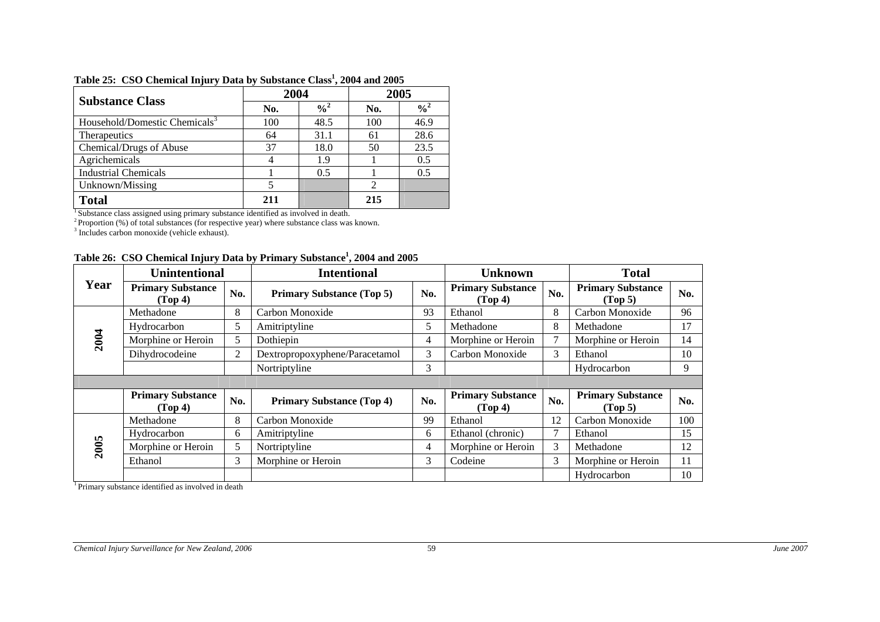|                                           | 2004 |               | 2005 |                            |  |
|-------------------------------------------|------|---------------|------|----------------------------|--|
| <b>Substance Class</b>                    | No.  | $\frac{0}{2}$ | No.  | $\frac{9}{6}$ <sup>2</sup> |  |
| Household/Domestic Chemicals <sup>3</sup> | 100  | 48.5          | 100  | 46.9                       |  |
| <b>Therapeutics</b>                       | 64   | 31.1          | 61   | 28.6                       |  |
| Chemical/Drugs of Abuse                   | 37   | 18.0          | 50   | 23.5                       |  |
| Agrichemicals                             |      | 1.9           |      | 0.5                        |  |
| <b>Industrial Chemicals</b>               |      | 0.5           |      | 0.5                        |  |
| Unknown/Missing                           |      |               | 2    |                            |  |
| <b>Total</b>                              | 211  |               | 215  |                            |  |

#### **Table 25: CSO Chemical Injury Data by Substance Class1, 2004 and 2005**

<sup>1</sup> Substance class assigned using primary substance identified as involved in death.

 $2^2$ Proportion (%) of total substances (for respective year) where substance class was known.

<sup>3</sup> Includes carbon monoxide (vehicle exhaust).

|  |  | Table 26: CSO Chemical Injury Data by Primary Substance <sup>1</sup> , 2004 and 2005 |  |  |
|--|--|--------------------------------------------------------------------------------------|--|--|
|--|--|--------------------------------------------------------------------------------------|--|--|

|      | <b>Unintentional</b>                |                | <b>Intentional</b>               |     | <b>Unknown</b>                      |     | <b>Total</b>                        |     |
|------|-------------------------------------|----------------|----------------------------------|-----|-------------------------------------|-----|-------------------------------------|-----|
| Year | <b>Primary Substance</b><br>(Top 4) | No.            | <b>Primary Substance (Top 5)</b> | No. | <b>Primary Substance</b><br>(Top 4) | No. | <b>Primary Substance</b><br>(Top 5) | No. |
|      | Methadone                           | 8              | Carbon Monoxide                  | 93  | Ethanol                             | 8   | Carbon Monoxide                     | 96  |
|      | Hydrocarbon                         | 5              | Amitriptyline                    | 5   | Methadone                           | 8   | Methadone                           | 17  |
| 2004 | Morphine or Heroin                  | 5              | Dothiepin                        | 4   | Morphine or Heroin                  | 7   | Morphine or Heroin                  | 14  |
|      | Dihydrocodeine                      | $\overline{2}$ | Dextropropoxyphene/Paracetamol   | 3   | Carbon Monoxide                     | 3   | Ethanol                             | 10  |
|      |                                     |                | Nortriptyline                    | 3   |                                     |     | Hydrocarbon                         | 9   |
|      |                                     |                |                                  |     |                                     |     |                                     |     |
|      | <b>Primary Substance</b><br>(Top 4) | No.            | <b>Primary Substance (Top 4)</b> | No. | <b>Primary Substance</b><br>(Top 4) | No. | <b>Primary Substance</b><br>(Top 5) | No. |
|      | Methadone                           | 8              | Carbon Monoxide                  | 99  | Ethanol                             | 12  | Carbon Monoxide                     | 100 |
|      | Hydrocarbon                         | 6              | Amitriptyline                    | 6   | Ethanol (chronic)                   |     | Ethanol                             | 15  |
| 2005 | Morphine or Heroin                  | 5              | Nortriptyline                    | 4   | Morphine or Heroin                  | 3   | Methadone                           | 12  |
|      | Ethanol                             | 3              | Morphine or Heroin               | 3   | Codeine                             | 3   | Morphine or Heroin                  | 11  |
|      |                                     |                |                                  |     |                                     |     | Hydrocarbon                         | 10  |

<span id="page-68-0"></span><sup>1</sup> Primary substance identified as involved in death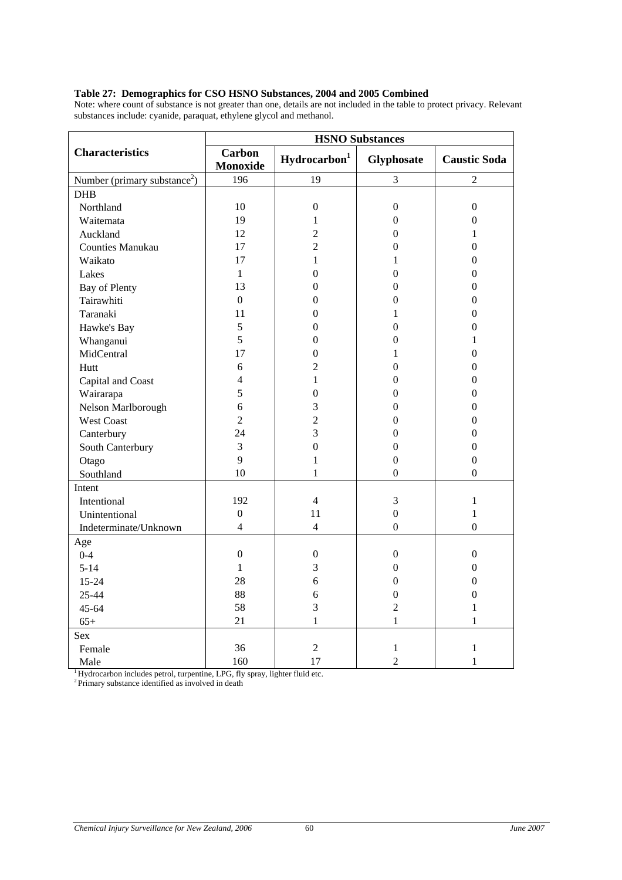#### <span id="page-69-1"></span><span id="page-69-0"></span>**Table 27: Demographics for CSO HSNO Substances, 2004 and 2005 Combined**

Note: where count of substance is not greater than one, details are not included in the table to protect privacy. Relevant substances include: cyanide, paraquat, ethylene glycol and methanol.

|                                          |                           |                          | <b>HSNO Substances</b> |                     |
|------------------------------------------|---------------------------|--------------------------|------------------------|---------------------|
| <b>Characteristics</b>                   | <b>Carbon</b><br>Monoxide | Hydrocarbon <sup>1</sup> | Glyphosate             | <b>Caustic Soda</b> |
| Number (primary substance <sup>2</sup> ) | 196                       | 19                       | 3                      | $\overline{2}$      |
| <b>DHB</b>                               |                           |                          |                        |                     |
| Northland                                | 10                        | $\boldsymbol{0}$         | $\boldsymbol{0}$       | $\theta$            |
| Waitemata                                | 19                        | 1                        | $\boldsymbol{0}$       | $\overline{0}$      |
| Auckland                                 | 12                        | $\overline{c}$           | $\mathbf{0}$           | 1                   |
| <b>Counties Manukau</b>                  | 17                        | $\overline{2}$           | $\boldsymbol{0}$       | 0                   |
| Waikato                                  | 17                        | 1                        | 1                      | 0                   |
| Lakes                                    | $\mathbf{1}$              | $\theta$                 | $\boldsymbol{0}$       | $\theta$            |
| <b>Bay of Plenty</b>                     | 13                        | $\boldsymbol{0}$         | $\boldsymbol{0}$       | $\overline{0}$      |
| Tairawhiti                               | $\mathbf{0}$              | $\overline{0}$           | $\overline{0}$         | $\theta$            |
| Taranaki                                 | 11                        | $\overline{0}$           | 1                      | 0                   |
| Hawke's Bay                              | 5                         | $\theta$                 | $\theta$               | 0                   |
| Whanganui                                | 5                         | $\boldsymbol{0}$         | $\boldsymbol{0}$       | 1                   |
| MidCentral                               | 17                        | $\overline{0}$           | 1                      | 0                   |
| Hutt                                     | 6                         | $\overline{2}$           | $\overline{0}$         | $\theta$            |
| Capital and Coast                        | $\overline{4}$            | $\mathbf{1}$             | $\boldsymbol{0}$       | $\theta$            |
| Wairarapa                                | 5                         | $\boldsymbol{0}$         | $\boldsymbol{0}$       | $\overline{0}$      |
| Nelson Marlborough                       | 6                         | 3                        | $\overline{0}$         | 0                   |
| West Coast                               | $\overline{2}$            | $\overline{c}$           | $\theta$               | 0                   |
| Canterbury                               | 24                        | 3                        | $\boldsymbol{0}$       | $\overline{0}$      |
| South Canterbury                         | 3                         | $\boldsymbol{0}$         | $\boldsymbol{0}$       | $\overline{0}$      |
| Otago                                    | 9                         | 1                        | $\boldsymbol{0}$       | $\boldsymbol{0}$    |
| Southland                                | 10                        | $\mathbf{1}$             | $\Omega$               | $\Omega$            |
| Intent                                   |                           |                          |                        |                     |
| Intentional                              | 192                       | $\overline{4}$           | 3                      | 1                   |
| Unintentional                            | $\boldsymbol{0}$          | 11                       | $\overline{0}$         | $\mathbf{1}$        |
| Indeterminate/Unknown                    | $\overline{4}$            | $\overline{4}$           | $\boldsymbol{0}$       | $\boldsymbol{0}$    |
| Age                                      |                           |                          |                        |                     |
| $0 - 4$                                  | $\overline{0}$            | $\boldsymbol{0}$         | $\boldsymbol{0}$       | $\mathbf{0}$        |
| $5 - 14$                                 | $\mathbf{1}$              | 3                        | $\boldsymbol{0}$       | $\boldsymbol{0}$    |
| $15 - 24$                                | 28                        | 6                        | $\boldsymbol{0}$       | $\overline{0}$      |
| 25-44                                    | 88                        | 6                        | $\boldsymbol{0}$       | $\overline{0}$      |
| $45 - 64$                                | 58                        | 3                        | $\overline{2}$         | 1                   |
| $65+$                                    | 21                        | $\mathbf{1}$             | $\mathbf{1}$           | $\mathbf{1}$        |
| <b>Sex</b>                               |                           |                          |                        |                     |
| Female                                   | 36                        | $\overline{2}$           | 1                      | 1                   |
| Male                                     | 160                       | 17                       | $\overline{2}$         | 1                   |

 $1$ <sup>1</sup> Hydrocarbon includes petrol, turpentine, LPG, fly spray, lighter fluid etc.

<sup>2</sup> Primary substance identified as involved in death